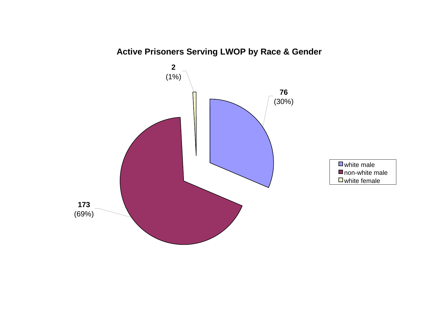

# **Active Prisoners Serving LWOP by Race & Gender**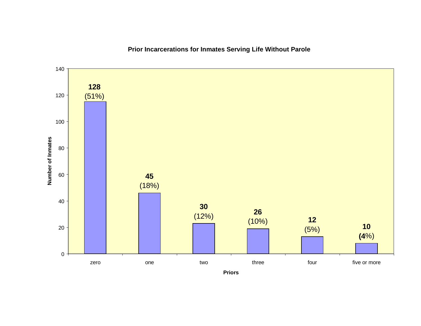

# **Prior Incarcerations for Inmates Serving Life Without Parole**

**Priors**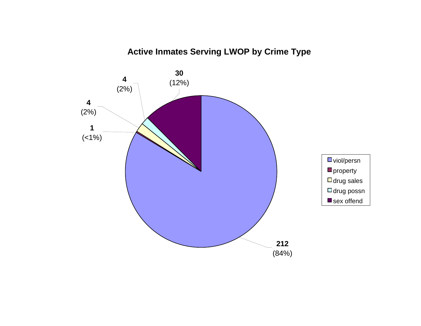# **Active Inmates Serving LWOP by Crime Type**

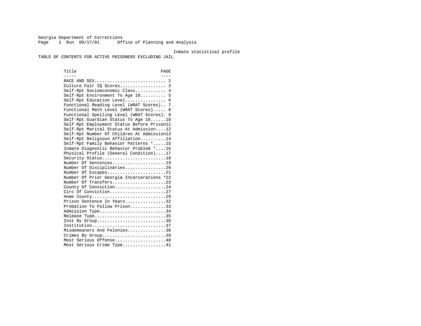Georgia Department of Corrections Page 1 Run 09/17/01 Office of Planning and Analysis

#### Inmate statistical profile

TABLE OF CONTENTS FOR ACTIVE PRISONERS EXCLUDING JAIL

Title PAGE ----- ---- RACE AND SEX............................ 2 Culture Fair IQ Scores.................. 3 Self-Rpt Socioeconomic Class............ 4 Self-Rpt Environment To Age 16.......... 5 Self-Rpt Education Level................ 6 Functional Reading Level (WRAT Scores).. 7 Functional Math Level (WRAT Scores)..... 8 Functional Spelling Level (WRAT Scores). 9 Self-Rpt Guardian Status To Age 16......10 Self-Rpt Employment Status Before Prison11 Self-Rpt Marital Status At Admission....12 Self-Rpt Number Of Children At Admission13 Self-Rpt Religious Affiliation..........14 Self-Rpt Family Behavior Patterns \*.....15 Inmate Diagnostic Behavior Problem \*....16 Physical Profile (General Condition)....17 Security Status...........................18 Number Of Sentences.....................19 Number Of Disciplinaries................20 Number Of Escapes........................21 Number Of Prior Georgia Incarcerations \*22 Number Of Transfers.....................23 County Of Conviction....................24 Circ Of Conviction......................27 Home County.............................29 Prison Sentence In Years.................32 Probation To Follow Prison..............33Admission Type............................34 Release Type..............................35 Inst By Group..............................36 Institution.............................37 Misdemeanors And Felonies...............38 Crimes By Group.............................39 Most Serious Offense....................40 Most Serious Crime Type.................41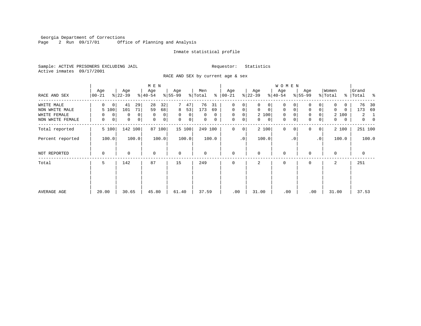Georgia Department of Corrections Page 2 Run 09/17/01 Office of Planning and Analysis

#### Inmate statistical profile

Sample: ACTIVE PRISONERS EXCLUDING JAIL **Requestor:** Statistics Active inmates 09/17/2001

RACE AND SEX by current age & sex

|                  |                  |                     | M E N            |                  |                     |                    |                   | <b>WOMEN</b>               |                            |                  |                                  |
|------------------|------------------|---------------------|------------------|------------------|---------------------|--------------------|-------------------|----------------------------|----------------------------|------------------|----------------------------------|
| RACE AND SEX     | Age<br>$00 - 21$ | Age<br>$ 22-39 $    | Age<br>$ 40-54 $ | Age<br>$8 55-99$ | Men<br>ి<br>% Total | Age<br>$ 00 - 21 $ | Age<br>$ 22-39 $  | Age<br>$ 40-54 $           | Age<br>$8 55-99$           | Women<br>% Total | Grand<br>ႜ<br>%   Total          |
| WHITE MALE       | 0<br>0           | 29<br>41            | 28<br>32         | 7<br>47          | 76<br>31            | 0<br>0             | 0<br>0            | $\mathbf 0$                | 0                          |                  | 76<br>30                         |
| NON WHITE MALE   | 5 100            | 101<br>71           | 59<br>68         | 8<br>53          | 173<br>69           | $\mathbf{0}$<br>0  | $\mathbf 0$<br>0  | $\mathbf 0$<br>$\mathbf 0$ | $\mathbf 0$<br>0           | $\Omega$<br>0    | 173<br>69                        |
| WHITE FEMALE     | 0<br>0           | $\overline{0}$<br>0 | $\mathbf 0$<br>0 | 0<br>0           | 0<br>$\Omega$       | $\mathbf 0$<br>0   | 2 100             | $\mathbf 0$<br>$\Omega$    | 0<br>0                     | 2 100            | 2<br>1                           |
| NON WHITE FEMALE | 0<br>0           | 0<br>$\overline{0}$ | 0<br>0           | $\mathbf 0$<br>0 | 0<br>0              | 0<br>0             | $\mathbf{0}$<br>0 | 0<br>0                     | $\mathbf 0$<br>0           | 0<br>0           | $\overline{0}$<br>$\overline{0}$ |
| Total reported   | 5 100            | 142 100             | 87 100           | 15 100           | 249 100             | 0<br>0             | 2 100             | $\mathbf 0$<br>0           | $\Omega$<br>0 <sup>1</sup> | 2 100            | 251 100                          |
| Percent reported | 100.0            | 100.0               | 100.0            | 100.0            | 100.0               | .0                 | 100.0             | . 0                        | .0 <sup>1</sup>            | 100.0            | 100.0                            |
| NOT REPORTED     | 0                | 0                   | $\mathbf 0$      | 0                | 0                   | $\mathbf 0$        | $\mathbf 0$       | $\mathbf 0$                | $\Omega$                   | $\mathbf 0$      | 0                                |
| Total            | 5                | 142                 | 87               | 15               | 249                 | $\mathbf 0$        | 2                 | $\mathbf 0$                | $\Omega$                   | 2                | 251                              |
|                  |                  |                     |                  |                  |                     |                    |                   |                            |                            |                  |                                  |
|                  |                  |                     |                  |                  |                     |                    |                   |                            |                            |                  |                                  |
| AVERAGE AGE      | 20.00            | 30.65               | 45.80            | 61.40            | 37.59               | .00                | 31.00             | .00                        | .00                        | 31.00            | 37.53                            |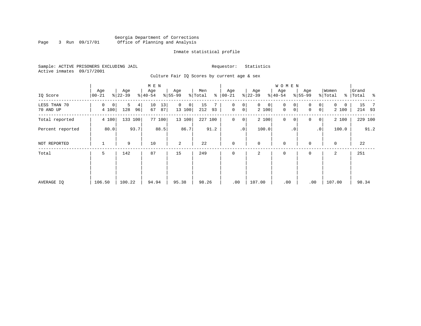### Georgia Department of Corrections Page 3 Run 09/17/01 Office of Planning and Analysis

#### Inmate statistical profile

Sample: ACTIVE PRISONERS EXCLUDING JAIL **Requestor:** Statistics Active inmates 09/17/2001

Culture Fair IQ Scores by current age & sex

|                           |                  |                                  | M E N                |                         |                      |                                     |                            | <b>WOMEN</b>     |                                                  |                        |                    |
|---------------------------|------------------|----------------------------------|----------------------|-------------------------|----------------------|-------------------------------------|----------------------------|------------------|--------------------------------------------------|------------------------|--------------------|
| IQ Score                  | Age<br>$00 - 21$ | Age<br>$ 22-39 $                 | Age<br>$8 40-54$     | Age<br>$8 55-99$        | Men<br>% Total<br>နွ | Age<br>$ 00 - 21 $                  | Age<br>$ 22-39$            | Age<br>$8 40-54$ | Age<br>$8 55-99$                                 | Women<br>% Total       | Grand<br>% Total % |
| LESS THAN 70<br>70 AND UP | 0<br>0<br>4 100  | 5<br>4 <sup>1</sup><br>128<br>96 | 10<br>13<br>67<br>87 | $\Omega$<br>0<br>13 100 | 15<br>93<br>212      | 0<br>0<br>$\mathsf{O}\xspace$<br> 0 | $\mathbf{0}$<br>0<br>2 100 | 0<br>0<br>0<br>0 | $\overline{0}$<br>$\Omega$<br> 0 <br>$\mathbf 0$ | $\Omega$<br>0<br>2 100 | 15 7<br>214 93     |
| Total reported            | 4 100            | 133 100                          | 77 100               | 13 100                  | 227 100              | $\mathbf 0$<br>$\overline{0}$       | 2 100                      | $\mathbf 0$<br>0 | 0<br> 0                                          | 2 100                  | 229 100            |
| Percent reported          | 80.0             | 93.7                             | 88.5                 | 86.7                    | 91.2                 | .0 <sup>1</sup>                     | 100.0                      | $\cdot$ 0        | $\cdot$ 0                                        | 100.0                  | 91.2               |
| NOT REPORTED              | 1                | 9                                | 10                   | 2                       | 22                   | $\mathbf 0$                         | $\mathbf 0$                | $\mathbf 0$      | $\Omega$                                         | $\mathbf 0$            | 22                 |
| Total                     | 5                | 142                              | 87                   | 15                      | 249                  | $\mathbf 0$                         | 2                          | $\mathbf 0$      | 0                                                | 2                      | 251                |
|                           |                  |                                  |                      |                         |                      |                                     |                            |                  |                                                  |                        |                    |
|                           |                  |                                  |                      |                         |                      |                                     |                            |                  |                                                  |                        |                    |
| AVERAGE IQ                | 106.50           | 100.22                           | 94.94                | 95.38                   | 98.26                | .00                                 | 107.00                     | .00              | .00                                              | 107.00                 | 98.34              |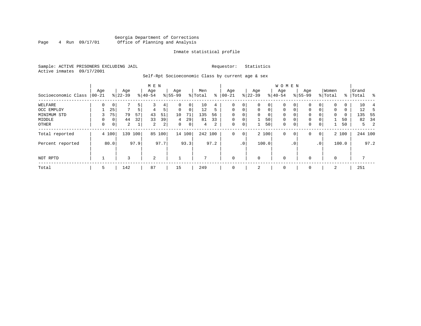### Georgia Department of Corrections<br>4 Run 09/17/01 Office of Planning and Analysis Page 4 Run 09/17/01 Office of Planning and Analysis

#### Inmate statistical profile

Sample: ACTIVE PRISONERS EXCLUDING JAIL **Requestor:** Statistics Active inmates 09/17/2001

Self-Rpt Socioeconomic Class by current age & sex

|                     |          |             |           |                | M E N     |                |             |             |         |      |             |             |              |             | <b>WOMEN</b> |             |             |                 |          |       |           |          |
|---------------------|----------|-------------|-----------|----------------|-----------|----------------|-------------|-------------|---------|------|-------------|-------------|--------------|-------------|--------------|-------------|-------------|-----------------|----------|-------|-----------|----------|
|                     | Age      |             | Age       |                | Age       |                | Age         |             | Men     |      | Age         |             | Age          |             | Age          |             | Age         |                 | Women    |       | Grand     |          |
| Socioeconomic Class | $ 00-21$ |             | $8 22-39$ |                | $8 40-54$ |                | $ 55-99$    |             | % Total | ⊱    | $00 - 21$   |             | $ 22-39 $    |             | $ 40-54 $    |             | $8155 - 99$ |                 | % Total  |       | %   Total | $\sim$ 8 |
| WELFARE             | $\Omega$ | $\mathbf 0$ |           | 5 <sup>1</sup> |           | 4              | 0           | 0           | 10      | 4    |             | 0           | 0            | 0           | 0            | 0           |             |                 | $\Omega$ | 0     | 10        |          |
| OCC EMPLOY          |          | 25          | 7         | 5              | 4         | 5              | $\mathbf 0$ | $\mathbf 0$ | 12      | 5    | $\Omega$    | $\mathbf 0$ | $\mathbf{0}$ | $\mathbf 0$ | $\Omega$     | $\Omega$    | $\Omega$    | 0               | $\Omega$ | 0     | 12        | 5        |
| MINIMUM STD         |          | 75          | 79        | 57             | 43        | 51             | 10          | 71          | 135     | 56   | $\Omega$    | 0           | $\Omega$     | 0           | $\Omega$     | $\Omega$    | 0           |                 | $\Omega$ | 0     | 135       | - 55     |
| MIDDLE              | $\Omega$ | 0           | 44        | 32             | 33        | 39             | 4           | 29          | 81      | 33   | $\mathbf 0$ | $\mathbf 0$ |              | 50          | $\mathbf 0$  | $\mathbf 0$ | 0           |                 |          | 50    | 82        | -34      |
| OTHER               | 0        | 0           | 2         |                | 2         | $\overline{a}$ | 0           | 0           | 4       | 2    | 0           | 0           |              | 50          | $\mathbf 0$  | 0           | 0           | $\mathbf 0$     |          | 50    |           | 2<br>5   |
| Total reported      |          | 4 100       |           | 139 100        | 85        | 100            |             | 14 100      | 242 100 |      | 0           | 0           |              | 2 100       | $\mathbf{0}$ | 0           | 0           | $\circ$         |          | 2 100 |           | 244 100  |
| Percent reported    |          | 80.0        |           | 97.9           |           | 97.7           |             | 93.3        |         | 97.2 |             | $\cdot$ 0   |              | 100.0       |              | . 0         |             | .0 <sup>1</sup> |          | 100.0 |           | 97.2     |
| NOT RPTD            |          |             |           |                | 2         |                |             |             |         |      | $\mathbf 0$ |             | 0            |             | $\mathbf 0$  |             | $\Omega$    |                 | $\Omega$ |       |           |          |
| Total               | 5        |             | 142       |                | 87        |                | 15          |             | 249     |      | $\Omega$    |             | 2            |             | $\mathbf 0$  |             | 0           |                 | 2        |       | 251       |          |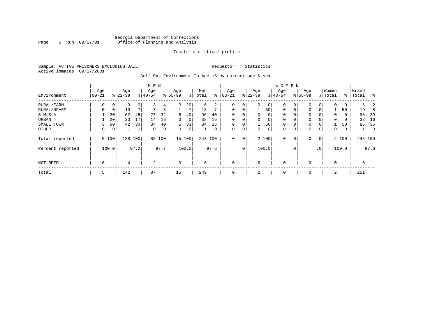### Georgia Department of Corrections Page 5 Run 09/17/01 Office of Planning and Analysis

#### Inmate statistical profile

Sample: ACTIVE PRISONERS EXCLUDING JAIL **Requestor:** Statistics Active inmates 09/17/2001

Self-Rpt Environment To Age 16 by current age & sex

|                  | M E N          |                |                  |      |                              |      |                 |        |                |      |                  |                 |                  |          | <b>WOMEN</b>     |             |                    |                |                  |       |                    |               |
|------------------|----------------|----------------|------------------|------|------------------------------|------|-----------------|--------|----------------|------|------------------|-----------------|------------------|----------|------------------|-------------|--------------------|----------------|------------------|-------|--------------------|---------------|
| Environment      | Age<br>  00-21 |                | Age<br>$8 22-39$ |      | Age<br>$\frac{1}{6}$   40-54 |      | Age<br>$ 55-99$ |        | Men<br>% Total | ႜ    | Age<br>$00 - 21$ |                 | Age<br>$ 22-39 $ |          | Age<br>$8 40-54$ |             | Age<br>$8155 - 99$ |                | Women<br>% Total |       | Grand<br>%   Total | $\frac{8}{6}$ |
| RURAL/FARM       | 0              | 0              | 0                | 0    | 3                            | 4    | 3               | 20     | 6              | 2    | 0                | 0               | 0                | 0        | 0                | 0           | $\Omega$           | 0              | 0                | 0     | б.                 | 2             |
| RURAL/NFARM      | $\Omega$       | 0              | 10               |      |                              | 8    |                 | 7      | 18             |      | $\mathbf 0$      | 0               |                  | 50       | $\mathbf 0$      | 0           | $\Omega$           |                |                  | 50    | 19                 | -8            |
| S.M.S.A          |                | 20             | 62               | 45   | 27                           | 32   | 6               | 40     | 96             | 40   | $\Omega$         |                 | $\Omega$         | $\Omega$ | $\Omega$         | $\Omega$    | $\Omega$           |                | $\Omega$         | 0     | 96                 | 39            |
| URBAN            |                | 20             | 23               | 17   | 14                           | 16   | 0               | 0      | 38             | 16   | $\mathbf 0$      |                 | $\Omega$         | 0        | $\Omega$         | $\Omega$    | $\Omega$           |                | $\Omega$         | 0     | 38                 | 16            |
| SMALL TOWN       |                | 60             | 42               | 30   | 34                           | 40   | 5               | 33     | 84             | 35   | $\mathbf 0$      | 0               |                  | 50       | $\mathbf 0$      | 0           | 0                  |                |                  | 50    | 85                 | 35            |
| OTHER            | 0              | $\overline{0}$ |                  |      | $\mathbf 0$                  | 0    | 0               | 0      |                | 0    | 0                | 0               | 0                | 0        | 0                | 0           | 0                  | 0              | 0                | 0     |                    | 0             |
| Total reported   |                | 5 100          | 138              | 100  | 85                           | 100  |                 | 15 100 | 243 100        |      | 0                | 0               |                  | 2 100    | $\mathbf 0$      | $\mathbf 0$ | $\Omega$           | $\overline{0}$ |                  | 2 100 |                    | 245 100       |
| Percent reported |                | 100.0          |                  | 97.2 |                              | 97.7 |                 | 100.0  |                | 97.6 |                  | .0 <sup>′</sup> |                  | 100.0    |                  | . 0         |                    | $\cdot$ 0      |                  | 100.0 |                    | 97.6          |
| NOT RPTD         | $\mathbf 0$    |                | 4                |      | 2                            |      | $\Omega$        |        | 6              |      | $\mathbf{0}$     |                 | $\Omega$         |          | $\mathbf 0$      |             | $\Omega$           |                | $\Omega$         |       | 6                  |               |
| Total            | 5              |                | 142              |      | 87                           |      | 15              |        | 249            |      | 0                |                 | 2                |          | 0                |             | 0                  |                | 2                |       | 251                |               |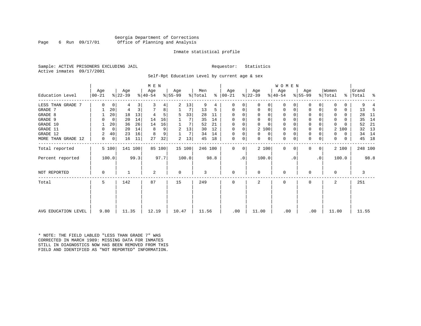#### Georgia Department of Corrections Page 6 Run 09/17/01 Office of Planning and Analysis

#### Inmate statistical profile

Sample: ACTIVE PRISONERS EXCLUDING JAIL **Requestor:** Statistics Active inmates 09/17/2001

Self-Rpt Education Level by current age & sex

|                     | M E N           |             |                  |      |                  |        |                 |        |                |      |                 |           |                  |          | WOMEN            |           |                  |              |                  |       |                    |         |     |
|---------------------|-----------------|-------------|------------------|------|------------------|--------|-----------------|--------|----------------|------|-----------------|-----------|------------------|----------|------------------|-----------|------------------|--------------|------------------|-------|--------------------|---------|-----|
| Education Level     | Age<br>$ 00-21$ |             | Age<br>$ 22-39 $ |      | Age<br>$ 40-54 $ |        | Age<br>$ 55-99$ |        | Men<br>% Total | ៖    | Age<br>$ 00-21$ |           | Age<br>$ 22-39 $ |          | Age<br>$ 40-54 $ |           | Age<br>$8 55-99$ |              | Women<br>% Total |       | Grand<br>%   Total |         | နွ  |
| LESS THAN GRADE 7   | $\Omega$        | 0           | 4                | 3    |                  | 4      | 2               | 13     | 9              | 4    | $\Omega$        | 0         | $\Omega$         | 0        | 0                | $\Omega$  | 0                | 0            |                  | 0     |                    | 9       |     |
| GRADE 7             |                 | 20          | 4                | 3    |                  | 8      |                 | 7      | 13             | 5    | $\Omega$        | 0         | 0                | 0        | $\mathbf 0$      | 0         | $\Omega$         |              |                  | 0     | 13                 |         | -5  |
| GRADE 8             |                 | 20          | 18               | 13   |                  | 5      | 5               | 33     | 28             | 11   | $\Omega$        |           | $\Omega$         | $\Omega$ | 0                | O         | $\Omega$         |              | $\Omega$         | 0     |                    | 28      | -11 |
| GRADE 9             |                 | 0           | 20               | 14   | 14               | 16     |                 |        | 35             | 14   | 0               |           | $\Omega$         | $\Omega$ | 0                |           | 0                |              | $\Omega$         | 0     |                    | 35      | 14  |
| GRADE 10            |                 | 20          | 36               | 26   | 14               | 16     |                 | 7      | 52             | 21   | $\Omega$        | 0         | $\Omega$         | $\Omega$ | 0                | $\Omega$  | 0                |              | $\Omega$         |       |                    | 52      | 21  |
| GRADE 11            | $\Omega$        | $\mathbf 0$ | 20               | 14   | 8                | 9      | 2               | 13     | 30             | 12   | $\Omega$        |           |                  | 2 100    | 0                |           | $\Omega$         |              | 2                | 100   |                    | 32      | 13  |
| GRADE 12            | 2               | 40          | 23               | 16   | 8                | 9      |                 | 7      | 34             | 14   | $\Omega$        | 0         | $\Omega$         | 0        | 0                | $\Omega$  | 0                |              | 0                | 0     |                    | 34      | 14  |
| MORE THAN GRADE 12  | 0               | 0           | 16               | 11   | 27               | 32     | 2               | 13     | 45             | 18   | 0               | 0         | 0                | 0        | $\mathbf 0$      | 0         | $\mathbf 0$      | 0            | $\mathbf{0}$     | 0     |                    | 45      | 18  |
| Total reported      |                 | 5 100       | 141 100          |      |                  | 85 100 |                 | 15 100 | 246 100        |      | $\Omega$        | 0         |                  | 2 100    | $\mathbf{0}$     | $\Omega$  | $\Omega$         | $\mathbf{0}$ |                  | 2 100 |                    | 248 100 |     |
| Percent reported    |                 | 100.0       |                  | 99.3 |                  | 97.7   |                 | 100.0  |                | 98.8 |                 | $\cdot$ 0 | 100.0            |          |                  | $\cdot$ 0 |                  | $\cdot$ 0    |                  | 100.0 |                    | 98.8    |     |
| NOT REPORTED        | 0               |             |                  |      | $\overline{c}$   |        | $\mathbf 0$     |        | 3              |      | $\mathbf 0$     |           | 0                |          | $\mathbf 0$      |           | 0                |              | 0                |       |                    | 3       |     |
| Total               | 5               |             | 142              |      | 87               |        | 15              |        | 249            |      | $\Omega$        |           | 2                |          | $\Omega$         |           | $\Omega$         |              | $\overline{a}$   |       | 251                |         |     |
|                     |                 |             |                  |      |                  |        |                 |        |                |      |                 |           |                  |          |                  |           |                  |              |                  |       |                    |         |     |
| AVG EDUCATION LEVEL | 9.80            |             | 11.35            |      | 12.19            |        | 10.47           |        | 11.56          |      | .00             |           | 11.00            |          | .00              |           | .00              |              | 11.00            |       |                    | 11.55   |     |

\* NOTE: THE FIELD LABLED "LESS THAN GRADE 7" WAS CORRECTED IN MARCH 1989: MISSING DATA FOR INMATES STILL IN DIAGNOSTICS NOW HAS BEEN REMOVED FROM THIS FIELD AND IDENTIFIED AS "NOT REPORTED" INFORMATION.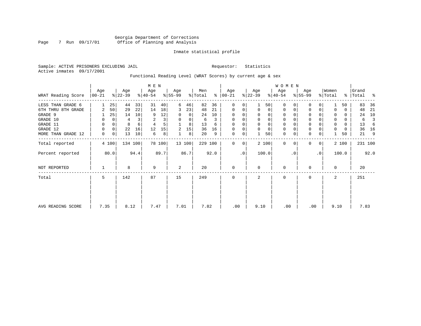### Georgia Department of Corrections Page 7 Run 09/17/01 Office of Planning and Analysis

#### Inmate statistical profile

Sample: ACTIVE PRISONERS EXCLUDING JAIL **Requestor:** Statistics Active inmates 09/17/2001

### Functional Reading Level (WRAT Scores) by current age & sex

|                    |                  |       |                  |         | M E N            |        |                  |        |                |      |                    |           |                  |          | <b>WOMEN</b>     |          |                  |           |                  |       |                    |      |
|--------------------|------------------|-------|------------------|---------|------------------|--------|------------------|--------|----------------|------|--------------------|-----------|------------------|----------|------------------|----------|------------------|-----------|------------------|-------|--------------------|------|
| WRAT Reading Score | Age<br>$ 00-21 $ |       | Age<br>$ 22-39 $ |         | Age<br>$8 40-54$ |        | Age<br>$8 55-99$ |        | Men<br>% Total | ွေ   | Age<br>$ 00 - 21 $ |           | Age<br>$ 22-39 $ |          | Age<br>$ 40-54 $ |          | Age<br>$8 55-99$ |           | Women<br>% Total |       | Grand<br>%   Total | ႜ    |
| LESS THAN GRADE 6  |                  | 25    | 44               | 33      | 31               | 40     | 6                | 46     | 82             | 36   | $\mathbf{0}$       | 0         |                  | 50       | $\Omega$         | $\Omega$ | $\Omega$         |           |                  | 50    | 83                 | 36   |
| 6TH THRU 8TH GRADE | 2                | 50    | 29               | 22      | 14               | 18     | 3                | 23     | 48             | 21   | 0                  | 0         | $\mathbf 0$      | 0        | 0                | $\Omega$ | 0                | 0         |                  | 0     | 48                 | 21   |
| GRADE 9            |                  | 25    | 14               | 10      | 9                | 12     | 0                | 0      | 24             | 10   | 0                  |           |                  | 0        | 0                |          | 0                |           |                  | 0     | 24                 | 10   |
| GRADE 10           | 0                |       | 4                |         | $\overline{2}$   | 3      | 0                | 0      | 6              | 3    | 0                  |           | $\mathbf 0$      | 0        | 0                |          | 0                |           | 0                | 0     | 6                  | 3    |
| GRADE 11           | 0                |       | 8                | 6       |                  |        |                  | 8      | 13             | 6    | $\Omega$           |           |                  | $\Omega$ | $\Omega$         |          | $\Omega$         |           |                  | 0     | 13                 | -6   |
| GRADE 12           | O                | 0     | 22               | 16      | 12               | 15     | $\overline{2}$   | 15     | 36             | 16   | $\Omega$           |           | $\Omega$         | $\Omega$ | 0                |          | 0                |           |                  | U     | 36                 | 16   |
| MORE THAN GRADE 12 | 0                | 0     | 13               | 10      | 6                | 8      |                  | 8      | 20             | 9    | 0                  | 0         |                  | 50       | $\mathbf 0$      | 0        | $\Omega$         | 0         |                  | 50    | 21                 | 9    |
| Total reported     |                  | 4 100 |                  | 134 100 |                  | 78 100 |                  | 13 100 | 229 100        |      | 0                  | 0         |                  | 2 100    | $\mathbf 0$      | $\Omega$ | $\Omega$         | 0         |                  | 2 100 | 231 100            |      |
| Percent reported   |                  | 80.0  |                  | 94.4    |                  | 89.7   |                  | 86.7   |                | 92.0 |                    | $\cdot$ 0 |                  | 100.0    |                  | . 0      |                  | $\cdot$ 0 |                  | 100.0 |                    | 92.0 |
| NOT REPORTED       |                  |       | 8                |         | 9                |        | 2                |        | 20             |      | $\mathbf{0}$       |           | $\Omega$         |          | $\mathbf 0$      |          | $\Omega$         |           | $\Omega$         |       | 20                 |      |
| Total              | 5                |       | 142              |         | 87               |        | 15               |        | 249            |      | 0                  |           | 2                |          | 0                |          | 0                |           | 2                |       | 251                |      |
|                    |                  |       |                  |         |                  |        |                  |        |                |      |                    |           |                  |          |                  |          |                  |           |                  |       |                    |      |
| AVG READING SCORE  | 7.35             |       | 8.12             |         | 7.47             |        | 7.01             |        | 7.82           |      | .00                |           | 9.10             |          | .00              |          | .00              |           | 9.10             |       | 7.83               |      |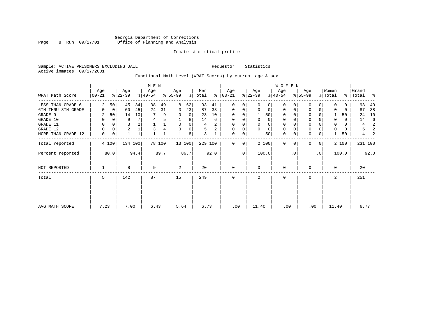### Georgia Department of Corrections Page 8 Run 09/17/01 Office of Planning and Analysis

#### Inmate statistical profile

Sample: ACTIVE PRISONERS EXCLUDING JAIL **Requestor:** Statistics Active inmates 09/17/2001

# Functional Math Level (WRAT Scores) by current age & sex

|                    |                  |                |                  |              | M E N            |        |                  |                |                |      |                  |           |                  |          | W O M E N        |          |                  |                |                  |       |                      |      |
|--------------------|------------------|----------------|------------------|--------------|------------------|--------|------------------|----------------|----------------|------|------------------|-----------|------------------|----------|------------------|----------|------------------|----------------|------------------|-------|----------------------|------|
| WRAT Math Score    | Age<br>$ 00-21 $ |                | Age<br>$ 22-39 $ |              | Age<br>$8 40-54$ |        | Age<br>$8 55-99$ |                | Men<br>% Total | ႜႜ   | Age<br>$ 00-21 $ |           | Age<br>$ 22-39 $ |          | Age<br>$8 40-54$ |          | Age<br>$8 55-99$ |                | Women<br>% Total |       | Grand<br>%   Total % |      |
| LESS THAN GRADE 6  |                  | 50             | 45               | 34           | 38               | 49     | 8                | 62             | 93             | 41   | $\Omega$         |           |                  |          |                  |          |                  |                |                  | 0     | 93                   | 40   |
| 6TH THRU 8TH GRADE |                  | $\overline{0}$ | 60               | 45           | 24               | 31     | 3                | 23             | 87             | 38   | 0                |           | $\Omega$         | 0        | 0                | 0        | 0                | 0              | n                | 0     | 87                   | 38   |
| GRADE 9            | 2                | 50             | 14               | 10           |                  | 9      | $\Omega$         | $\overline{0}$ | 23             | 10   | 0                | 0         |                  | 50       | $\mathbf 0$      | 0        | 0                |                |                  | 50    | 24                   | 10   |
| GRADE 10           | 0                | 0              | 9                | 7            | 4                |        |                  | 8              | 14             | 6    | $\Omega$         |           | $\Omega$         | 0        | $\Omega$         |          | 0                |                | $\mathbf 0$      | 0     | 14                   | 6    |
| GRADE 11           | 0                | 0              | 3                |              |                  |        | $\Omega$         | $\Omega$       | 4              | 2    | 0                |           |                  | 0        | $\mathbf 0$      |          | 0                |                | 0                | 0     | 4                    | 2    |
| GRADE 12           | 0                | $\mathbf 0$    | 2                |              | 3                |        | $\Omega$         | $\Omega$       | 5              | 2    | $\Omega$         | $\Omega$  | $\Omega$         | $\Omega$ | $\mathbf 0$      | $\Omega$ | 0                |                | $\Omega$         | 0     | 5                    | 2    |
| MORE THAN GRADE 12 | 0                | 0              |                  | $\mathbf{1}$ |                  |        |                  | 8              | 3              |      | $\Omega$         |           |                  | 50       | $\Omega$         | $\Omega$ | $\Omega$         | $\Omega$       |                  | 50    | 4                    | 2    |
| Total reported     |                  | 4 100          |                  | 134 100      |                  | 78 100 |                  | 13 100         | 229 100        |      | $\Omega$         | $\Omega$  |                  | 2 100    | $\Omega$         | 0        | 0                | $\overline{0}$ |                  | 2 100 | 231 100              |      |
| Percent reported   |                  | 80.0           |                  | 94.4         |                  | 89.7   |                  | 86.7           |                | 92.0 |                  | $\cdot$ 0 | 100.0            |          |                  | . 0      |                  | $\cdot$ 0      |                  | 100.0 |                      | 92.0 |
| NOT REPORTED       |                  |                | 8                |              | 9                |        | 2                |                | 20             |      | $\Omega$         |           | $\Omega$         |          | $\Omega$         |          | U                |                | $\Omega$         |       | 20                   |      |
| Total              | 5                |                | 142              |              | 87               |        | 15               |                | 249            |      | <sup>0</sup>     |           |                  |          | $\Omega$         |          | $\Omega$         |                | $\mathfrak{D}$   |       | 251                  |      |
|                    |                  |                |                  |              |                  |        |                  |                |                |      |                  |           |                  |          |                  |          |                  |                |                  |       |                      |      |
| AVG MATH SCORE     | 7.23             |                | 7.00             |              | 6.43             |        | 5.64             |                | 6.73           |      | .00              |           | 11.40            |          | .00              |          | .00              |                | 11.40            |       | 6.77                 |      |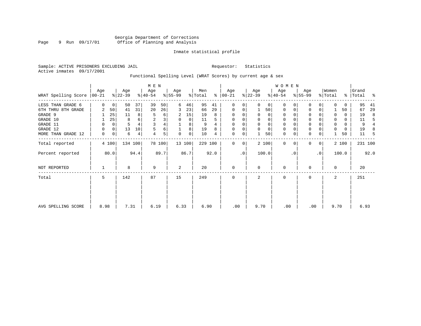### Georgia Department of Corrections Page 9 Run 09/17/01 Office of Planning and Analysis

#### Inmate statistical profile

Sample: ACTIVE PRISONERS EXCLUDING JAIL **Requestor:** Statistics Active inmates 09/17/2001

### Functional Spelling Level (WRAT Scores) by current age & sex

|                     |                  |             |                  |         | M E N            |        |                  |             |                |      |                   |           |                  |             | W O M E N        |          |                  |                |                  |       |                    |                |
|---------------------|------------------|-------------|------------------|---------|------------------|--------|------------------|-------------|----------------|------|-------------------|-----------|------------------|-------------|------------------|----------|------------------|----------------|------------------|-------|--------------------|----------------|
| WRAT Spelling Score | Age<br>$00 - 21$ |             | Age<br>$ 22-39 $ |         | Age<br>$ 40-54 $ |        | Age<br>$ 55-99 $ |             | Men<br>% Total | ⊱    | Age<br>$ 00 - 21$ |           | Age<br>$ 22-39 $ |             | Age<br>$ 40-54 $ |          | Age<br>$8 55-99$ |                | Women<br>% Total |       | Grand<br>%   Total | ႜ              |
| LESS THAN GRADE 6   | $\Omega$         | $\mathbf 0$ | 50               | 37      | 39               | 50     | 6                | 46          | 95             | 41   | 0                 | 0         | $\Omega$         | $\Omega$    | $\Omega$         | $\Omega$ | $\Omega$         | $\Omega$       |                  | 0     | 95                 | 41             |
| 6TH THRU 8TH GRADE  | 2                | 50          | 41               | 31      | 20               | 26     | 3                | 23          | 66             | 29   | $\mathbf 0$       | 0         |                  | 50          | $\mathbf 0$      | 0        | 0                | 0              |                  | 50    | 67                 | 29             |
| GRADE 9             |                  | 25          | 11               | 8       | 5                | 6      | 2                | 15          | 19             | 8    | 0                 | 0         |                  | 0           | $\mathbf 0$      |          | $\Omega$         |                | 0                | 0     | 19                 | 8              |
| GRADE 10            |                  | 25          | 8                | 6       | $\overline{c}$   | 3      | 0                | $\mathbf 0$ | 11             | 5    | $\mathbf 0$       | 0         | 0                | 0           | $\mathbf 0$      |          | 0                |                | 0                | 0     | 11                 | 5              |
| GRADE 11            | 0                | 0           | 5                |         | 3                | 4      |                  | 8           | 9              |      | $\Omega$          |           |                  | $\mathbf 0$ | 0                |          | $\mathbf 0$      |                |                  | 0     | 9                  | $\overline{4}$ |
| GRADE 12            | 0                | 0           | 13               | 10      | 5                | 6      |                  | 8           | 19             | 8    | $\mathbf 0$       | 0         | $\Omega$         | $\mathbf 0$ | 0                |          | 0                |                | 0                | 0     | 19                 | 8              |
| MORE THAN GRADE 12  | 0                | 0           | 6                | 4       | 4                | 5      | $\Omega$         | 0           | 10             | 4    | 0                 | 0         |                  | 50          | $\mathbf 0$      | 0        | $\mathbf 0$      | 0              |                  | 50    | 11                 | -5             |
| Total reported      |                  | 4 100       |                  | 134 100 |                  | 78 100 |                  | 13 100      | 229 100        |      | $\mathbf{0}$      | 0         |                  | 2 100       | $\mathbf 0$      | $\Omega$ | $\Omega$         | $\overline{0}$ |                  | 2 100 | 231 100            |                |
| Percent reported    |                  | 80.0        |                  | 94.4    |                  | 89.7   |                  | 86.7        |                | 92.0 |                   | $\cdot$ 0 |                  | 100.0       |                  | . 0      |                  | $\cdot$ 0      |                  | 100.0 |                    | 92.0           |
| NOT REPORTED        |                  |             | 8                |         | 9                |        | 2                |             | 20             |      | $\mathbf{0}$      |           | $\Omega$         |             | $\mathbf 0$      |          | $\Omega$         |                | $\Omega$         |       | 20                 |                |
| Total               | 5                |             | 142              |         | 87               |        | 15               |             | 249            |      | $\mathbf 0$       |           | 2                |             | $\mathbf 0$      |          | 0                |                | 2                |       | 251                |                |
|                     |                  |             |                  |         |                  |        |                  |             |                |      |                   |           |                  |             |                  |          |                  |                |                  |       |                    |                |
| AVG SPELLING SCORE  | 8.98             |             | 7.31             |         | 6.19             |        | 6.33             |             | 6.90           |      | .00               |           | 9.70             |             | .00              |          | .00              |                | 9.70             |       | 6.93               |                |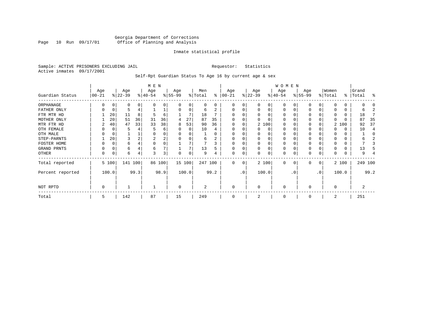#### Georgia Department of Corrections Page 10 Run 09/17/01 Office of Planning and Analysis

#### Inmate statistical profile

Sample: ACTIVE PRISONERS EXCLUDING JAIL **Requestor:** Statistics Active inmates 09/17/2001

Self-Rpt Guardian Status To Age 16 by current age & sex

|                  | M E N             |       |                  |      |                  |        |                  |          |                |      |                   |           |                 |          | WOMEN            |           |                  |              |                  |          |                |         |
|------------------|-------------------|-------|------------------|------|------------------|--------|------------------|----------|----------------|------|-------------------|-----------|-----------------|----------|------------------|-----------|------------------|--------------|------------------|----------|----------------|---------|
| Guardian Status  | Age<br>$ 00 - 21$ |       | Age<br>$ 22-39 $ |      | Age<br>$ 40-54 $ |        | Age<br>$8 55-99$ |          | Men<br>% Total | ⊱    | Age<br>$ 00 - 21$ |           | Age<br>$ 22-39$ |          | Age<br>$ 40-54 $ |           | Age<br>$ 55-99 $ |              | Women<br>% Total | ွေ       | Grand<br>Total | န္      |
| ORPHANAGE        |                   |       | O                |      |                  | U      |                  |          | 0              | 0    | O                 | 0         |                 | O        | 0                |           |                  |              | U                | 0        |                |         |
| FATHER ONLY      |                   |       |                  |      |                  | ⊥      |                  | 0        | 6              | 2    | $\Omega$          | 0         |                 | $\Omega$ | $\Omega$         |           |                  | 0            |                  | 0        | h              |         |
| FTR MTR HD       |                   | 20    | 11               | 8    | 5                | 6      |                  |          | 18             |      |                   |           |                 |          | O                |           |                  |              | 0                | 0        | 18             |         |
| MOTHER ONLY      |                   | 20    | 51               | 36   | 31               | 36     | 4                | 27       | 87             | 35   |                   |           |                 |          | O                |           |                  |              |                  | O        | 87             | 35      |
| MTR FTR HD       | 2                 | 40    | 47               | 33   | 33               | 38     | 8                | 53       | 90             | 36   | $\Omega$          | 0         |                 | 2 100    | 0                |           |                  |              |                  | 2 100    | 92             | 37      |
| OTH FEMALE       |                   |       |                  |      |                  | 6      |                  | 0        | 10             |      | 0                 | 0         |                 | 0        | 0                |           | 0                |              |                  | 0        | 10             |         |
| OTH MALE         |                   |       |                  |      |                  | 0      |                  |          |                |      | $\Omega$          |           |                 |          | 0                |           |                  |              | 0                | 0        |                |         |
| STEP-PARNTS      |                   | 20    |                  |      | 2                | 2      |                  | $\Omega$ | 6              | 2    | $\Omega$          | 0         |                 | $\Omega$ | 0                |           | $\Omega$         |              | 0                | 0        |                |         |
| FOSTER HOME      |                   |       | 6                |      |                  | 0      |                  |          |                |      | $\Omega$          |           |                 | $\Omega$ | $\Omega$         |           |                  |              | $\Omega$         | 0        |                |         |
| GRAND PRNTS      |                   |       | 6                |      | 6                |        |                  | 7        | 13             |      | $\Omega$          | 0         |                 | $\Omega$ | 0                |           |                  |              |                  | $\Omega$ | 13             |         |
| OTHER            | 0                 |       | 6                | 4    | 3                | 3      |                  | $\Omega$ | 9              |      | $\mathbf 0$       | 0         |                 | $\Omega$ | $\Omega$         |           |                  | 0            |                  | 0        | 9              |         |
| Total reported   |                   | 5 100 | 141 100          |      |                  | 86 100 |                  | 15 100   | 247 100        |      | $\Omega$          | 0         |                 | 2 100    | $\Omega$         | 0         | $\Omega$         | $\mathbf{0}$ |                  | 2 100    |                | 249 100 |
| Percent reported |                   | 100.0 |                  | 99.3 |                  | 98.9   |                  | 100.0    |                | 99.2 |                   | $\cdot$ 0 |                 | 100.0    |                  | $\cdot$ 0 |                  | .0'          |                  | 100.0    |                | 99.2    |
| NOT RPTD         | 0                 |       |                  |      |                  |        | $\Omega$         |          | $\overline{a}$ |      | $\mathbf 0$       |           | $\Omega$        |          | 0                |           | $\Omega$         |              | $\Omega$         |          |                |         |
| Total            | 5                 |       | 142              |      | 87               |        | 15               |          | 249            |      |                   |           |                 |          | $\Omega$         |           |                  |              | 2                |          | 251            |         |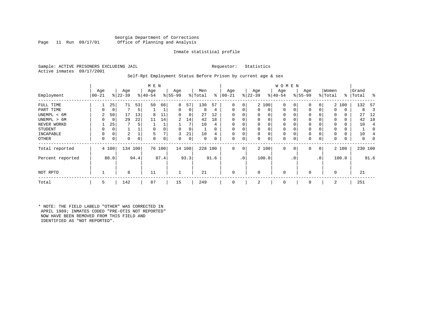#### Georgia Department of Corrections Office of Planning and Analysis

#### Inmate statistical profile

Sample: ACTIVE PRISONERS EXCLUDING JAIL **Requestor:** Statistics Active inmates 09/17/2001

#### Self-Rpt Employment Status Before Prison by current age & sex

|                  |                 |       |                  |      | M E N           |        |                 |        |                |          |                 |                |                  |          | W O M E N        |             |                 |              |                  |       |                    |                |
|------------------|-----------------|-------|------------------|------|-----------------|--------|-----------------|--------|----------------|----------|-----------------|----------------|------------------|----------|------------------|-------------|-----------------|--------------|------------------|-------|--------------------|----------------|
| Employment       | Age<br>$ 00-21$ |       | Age<br>$ 22-39 $ |      | Age<br>$ 40-54$ |        | Age<br>$ 55-99$ |        | Men<br>% Total | ွေ       | Age<br>$ 00-21$ |                | Age<br>$ 22-39 $ |          | Age<br>$ 40-54 $ |             | Age<br>$ 55-99$ |              | Women<br>% Total |       | Grand<br>%   Total | ႜ              |
| FULL TIME        |                 | 25    | 71               | 53   | 50              | 66     | 8               | 57     | 130            | 57       | $\Omega$        | 0              |                  | 2 100    | $\mathbf 0$      | 0           | 0               | 0            |                  | 2 100 | 132                | -57            |
| PART TIME        | 0               | 0     |                  | 5    |                 |        | 0               | 0      | 8              | 4        | $\Omega$        | 0              | 0                | 0        | $\mathbf 0$      | $\mathbf 0$ | $\Omega$        | $\Omega$     | $\Omega$         | 0     | 8                  | 3              |
| UNEMPL < 6M      | 2               | 50    | 17               | 13   | 8               | 11     | 0               | 0      | 27             | 12       |                 |                | 0                | 0        | 0                |             | 0               |              | 0                | 0     | 27                 | 12             |
| UNEMPL > 6M      | 0               | 0     | 29               | 22   | 11              | 14     | $\overline{2}$  | 14     | 42             | 18       |                 |                | $\Omega$         | $\Omega$ | 0                | $\Omega$    | $\Omega$        |              | $\Omega$         | 0     | 42                 | 18             |
| NEVER WORKD      |                 | 25    |                  | 5    |                 |        |                 | 7      | 10             | 4        |                 |                | 0                | 0        | $\mathbf 0$      | C           | $\Omega$        |              | $\Omega$         | 0     | 10                 | $\overline{4}$ |
| <b>STUDENT</b>   | 0               | 0     |                  |      | $\Omega$        |        | 0               | 0      |                | $\Omega$ | $\Omega$        |                | $\mathbf 0$      | $\Omega$ | 0                | $\Omega$    | 0               |              | $\Omega$         | 0     |                    | 0              |
| INCAPABLE        | 0               | 0     | 2                |      | 5               |        | 3               | 21     | 10             | 4        |                 |                | 0                | 0        | 0                |             | 0               |              |                  | 0     | 10                 |                |
| <b>OTHER</b>     | 0               | 0     | 0                | 0    | $\Omega$        | 0      | 0               | 0      | 0              | 0        | $\Omega$        | 0              | 0                | 0        | 0                | 0           | 0               | 0            | 0                | 0     | 0                  |                |
| Total reported   |                 | 4 100 | 134 100          |      |                 | 76 100 |                 | 14 100 | 228 100        |          | $\Omega$        | 0 <sup>1</sup> |                  | 2 100    | $\mathbf{0}$     | $\mathbf 0$ | 0               | $\mathbf{0}$ |                  | 2 100 | 230 100            |                |
| Percent reported |                 | 80.0  |                  | 94.4 |                 | 87.4   |                 | 93.3   |                | 91.6     |                 | .0'            |                  | 100.0    |                  | . 0         |                 | $\cdot$ 0    | 100.0            |       |                    | 91.6           |
| NOT RPTD         |                 |       | 8                |      | 11              |        |                 |        | 21             |          | $\Omega$        |                | $\mathbf 0$      |          | $\mathbf{0}$     |             | $\Omega$        |              | $\Omega$         |       | 21                 |                |
| Total            | 5               |       | 142              |      | 87              |        | 15              |        | 249            |          |                 |                | 2                |          | $\mathbf 0$      |             | $\Omega$        |              | 2                |       | 251                |                |

\* NOTE: THE FIELD LABELD "OTHER" WAS CORRECTED IN APRIL 1989; INMATES CODED "PRE-OTIS NOT REPORTED" NOW HAVE BEEN REMOVED FROM THIS FIELD AND IDENTIFIED AS "NOT REPORTED".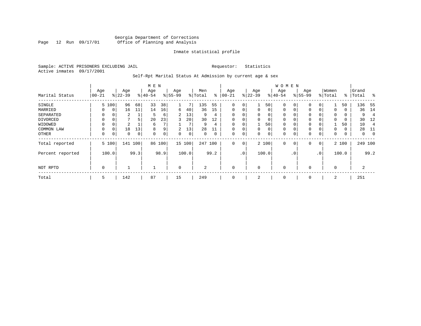#### Georgia Department of Corrections Page 12 Run 09/17/01 Office of Planning and Analysis

#### Inmate statistical profile

Sample: ACTIVE PRISONERS EXCLUDING JAIL **Requestor:** Statistics Active inmates 09/17/2001

### Self-Rpt Marital Status At Admission by current age & sex

|                  |           |             |              |      | M E N    |      |                |       |                |      |             |                 |             |       | <b>WOMEN</b> |             |           |              |          |       |           |                |
|------------------|-----------|-------------|--------------|------|----------|------|----------------|-------|----------------|------|-------------|-----------------|-------------|-------|--------------|-------------|-----------|--------------|----------|-------|-----------|----------------|
|                  | Age       |             | Age          |      | Age      |      | Age            |       | Men            |      | Age         |                 | Age         |       | Age          |             | Age       |              | Women    |       | Grand     |                |
| Marital Status   | $00 - 21$ |             | $ 22-39 $    |      | $ 40-54$ |      | $8 55-99$      |       | % Total        | ⊱    | $ 00-21$    |                 | $ 22-39 $   |       | $ 40-54 $    |             | $8 55-99$ |              | % Total  |       | %   Total | $\sim$         |
| SINGLE           |           | 5 100       | 96           | 68   | 33       | 38   |                | 7     | 135            | 55   | 0           | 0               | 1           | 50    | $\mathbf 0$  | 0           | 0         | 0            |          | 50    | 136       | 55             |
| MARRIED          | $\Omega$  | $\mathbf 0$ | 16           | 11   | 14       | 16   | 6              | 40    | 36             | 15   | $\mathbf 0$ | 0               | 0           | 0     | $\mathbf 0$  | 0           | 0         | $\Omega$     | $\Omega$ | 0     | 36        | 14             |
| SEPARATED        | $\Omega$  | 0           | 2            |      | 5        | 6    | $\overline{2}$ | 13    | 9              | 4    | $\Omega$    |                 | $\mathbf 0$ | 0     | $\mathbf 0$  | $\Omega$    | $\Omega$  |              | 0        | 0     | 9         | $\overline{4}$ |
| DIVORCED         | 0         | 0           | $\mathbf{r}$ | 5    | 20       | 23   | 3              | 20    | 30             | 12   | 0           | 0               | 0           | 0     | $\mathbf 0$  | 0           | 0         |              | $\Omega$ | 0     | 30        | -12            |
| WIDOWED          | $\Omega$  | 0           | 2            |      | 6        |      |                | 7     | 9              | 4    | $\Omega$    | 0               |             | 50    | $\mathbf 0$  | $\Omega$    | 0         |              |          | 50    | 10        | $\overline{4}$ |
| COMMON LAW       | $\Omega$  | $\Omega$    | 18           | 13   | 8        | 9    | 2              | 13    | 28             | 11   | $\Omega$    |                 | $\mathbf 0$ | 0     | $\mathbf 0$  | $\Omega$    | $\Omega$  |              | $\Omega$ | 0     | 28        | 11             |
| OTHER            | 0         | 0           | 0            | 0    | 0        | 0    | 0              | 0     | 0              | 0    | 0           | 0               | 0           | 0     | $\mathbf 0$  | 0           | 0         | 0            | 0        | 0     | 0         | $\overline{0}$ |
| Total reported   |           | 5 100       | 141 100      |      | 86       | 100  | 15 100         |       | 247            | 100  | $\Omega$    | 0               |             | 2 100 | $\mathbf 0$  | $\mathbf 0$ | 0         | $\mathbf{0}$ |          | 2 100 | 249 100   |                |
| Percent reported |           | 100.0       |              | 99.3 |          | 98.9 |                | 100.0 |                | 99.2 |             | .0 <sup>1</sup> |             | 100.0 |              | . 0         |           | $\cdot$ 0    |          | 100.0 |           | 99.2           |
| NOT RPTD         | 0         |             |              |      |          |      | $\mathbf 0$    |       | $\overline{a}$ |      | $\Omega$    |                 | 0           |       | $\mathbf 0$  |             | $\Omega$  |              | $\Omega$ |       | 2         |                |
| Total            | 5         |             | 142          |      | 87       |      | 15             |       | 249            |      | 0           |                 | 2           |       | 0            |             | 0         |              | 2        |       | 251       |                |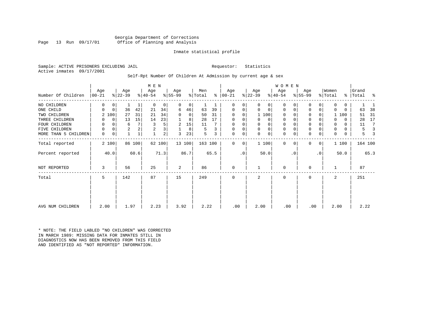Georgia Department of Corrections Office of Planning and Analysis

#### Inmate statistical profile

Sample: ACTIVE PRISONERS EXCLUDING JAIL **Requestor:** Statistics Active inmates 09/17/2001

#### Self-Rpt Number Of Children At Admission by current age & sex

| Number Of Children   | Age<br>$ 00-21 $ |             | Age<br>$ 22-39 $ |        | M E N<br>Age<br>$ 40-54 $ |        | Age<br>$8 55-99$ |             | Men<br>% Total |      | Age<br>$8   00 - 21$ |           | Age<br>$ 22-39 $ |          | WOMEN<br>Age<br>$ 40-54$ |           | Age<br>$ 55-99$ |              | Women<br>% Total | ွေ       | Grand<br> Total | ႜ    |
|----------------------|------------------|-------------|------------------|--------|---------------------------|--------|------------------|-------------|----------------|------|----------------------|-----------|------------------|----------|--------------------------|-----------|-----------------|--------------|------------------|----------|-----------------|------|
| NO CHILDREN          | 0                | $\mathbf 0$ |                  |        | $\Omega$                  | 0      | $\Omega$         | $\mathbf 0$ |                |      | 0                    | 0         | $\Omega$         | 0        | $\Omega$                 | 0         | $\Omega$        | 0            | $\Omega$         | 0        |                 |      |
| ONE CHILD            | 0                | 0           | 36               | 42     | 21                        | 34     | 6                | 46          | 63             | 39   | 0                    | 0         | $\Omega$         | $\Omega$ | $\mathbf 0$              | 0         | $\mathbf 0$     | 0            | $\Omega$         | $\Omega$ | 63              | 38   |
| TWO CHILDREN         | $\overline{2}$   | 100         | 27               | 31     | 21                        | 34     |                  | $\Omega$    | 50             | 31   | $\Omega$             | 0         |                  | 1 100    | 0                        |           | $\Omega$        |              |                  | 100      | 51              | 31   |
| THREE CHILDREN       | 0                | $\mathbf 0$ | 13               | 15     | 14                        | 23     |                  | 8           | 28             | 17   | $\Omega$             | 0         |                  | 0        | $\mathbf 0$              |           | $\Omega$        |              | $\Omega$         | $\Omega$ | 28              | 17   |
| FOUR CHILDREN        | 0                | 0           | 6                |        | 3                         | 5      | 2                | 15          | 11             |      | $\Omega$             |           |                  | $\Omega$ | 0                        |           | $\Omega$        |              | 0                | $\Omega$ | 11              | 7    |
| FIVE CHILDREN        | 0                | $\mathbf 0$ | 2                |        | 2                         | 3      |                  | 8           | 5              |      | $\Omega$             | 0         | 0                | $\Omega$ | 0                        |           | $\Omega$        |              | 0                | 0        | 5               | 3    |
| MORE THAN 5 CHILDREN | 0                | 0           |                  |        |                           | 2      | 3                | 23          | 5              | 3    | 0                    | 0         | 0                | 0        | 0                        | 0         | 0               | 0            | 0                | 0        | 5               |      |
| Total reported       |                  | 2 100       |                  | 86 100 |                           | 62 100 |                  | 13 100      | 163 100        |      | $\Omega$             | 0         |                  | 1 100    | $\Omega$                 | 0         | $\Omega$        | $\mathbf{0}$ |                  | 1 100    | 164 100         |      |
| Percent reported     |                  | 40.0        |                  | 60.6   |                           | 71.3   |                  | 86.7        |                | 65.5 |                      | $\cdot$ 0 |                  | 50.0     |                          | $\cdot$ 0 |                 | $\cdot$ 0    |                  | 50.0     |                 | 65.3 |
| NOT REPORTED         | 3                |             | 56               |        | 25                        |        | 2                |             | 86             |      | $\mathbf 0$          |           |                  |          | $\mathbf 0$              |           | $\mathbf 0$     |              |                  |          | 87              |      |
| Total                | 5                |             | 142              |        | 87                        |        | 15               |             | 249            |      | $\mathbf 0$          |           | 2                |          | 0                        |           | 0               |              | 2                |          | 251             |      |
|                      |                  |             |                  |        |                           |        |                  |             |                |      |                      |           |                  |          |                          |           |                 |              |                  |          |                 |      |
| AVG NUM CHILDREN     | 2.00             |             | 1.97             |        | 2.23                      |        | 3.92             |             | 2.22           |      | .00                  |           | 2.00             |          | .00                      |           | .00             |              | 2.00             |          | 2.22            |      |

\* NOTE: THE FIELD LABLED "NO CHILDREN" WAS CORRECTED IN MARCH 1989: MISSING DATA FOR INMATES STILL IN DIAGNOSTICS NOW HAS BEEN REMOVED FROM THIS FIELD AND IDENTIFIED AS "NOT REPORTED" INFORMATION.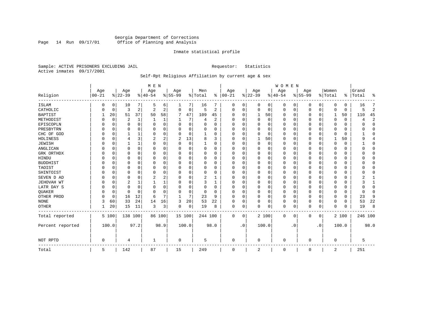### Georgia Department of Corrections Page 14 Run 09/17/01 Office of Planning and Analysis

#### Inmate statistical profile

Sample: ACTIVE PRISONERS EXCLUDING JAIL **Requestor:** Statistics Active inmates 09/17/2001

### Self-Rpt Religious Affiliation by current age & sex

|                   |           |             |                |          | M E N       |          |             |          |             |                |            |             |                       |          | WOMEN        |           |             |           |              |             |           |                |
|-------------------|-----------|-------------|----------------|----------|-------------|----------|-------------|----------|-------------|----------------|------------|-------------|-----------------------|----------|--------------|-----------|-------------|-----------|--------------|-------------|-----------|----------------|
|                   | Age       |             | Age            |          | Age         |          | Age         |          | Men         |                | Age        |             | Age                   |          | Age          |           | Age         |           | Women        |             | Grand     |                |
| Religion          | $00 - 21$ |             | $8 22-39$      |          | $8 40-54$   |          | $8155 - 99$ |          | % Total     | ႜ              | $ 00 - 21$ |             | $\frac{1}{6}$   22-39 |          | $8 40-54$    |           | $8155 - 99$ |           | % Total      |             | %   Total | ٩,             |
| <b>ISLAM</b>      | 0         | 0           | 10             | 7        | .5          | 6        |             | 7        | 16          |                | 0          | 0           | 0                     | 0        | 0            | 0         | 0           | 0         | $\Omega$     | 0           | 16        | 7              |
| CATHOLIC          |           | 0           | 3              | 2        | 2           | 2        | 0           | 0        | 5           | 2              | $\Omega$   | 0           | $\mathbf 0$           | 0        | 0            | 0         | 0           | 0         | $\Omega$     | $\mathbf 0$ | 5         | $\overline{2}$ |
| <b>BAPTIST</b>    |           | 20          | 51             | 37       | 50          | 58       | 7           | 47       | 109         | 45             | $\Omega$   | $\Omega$    | 1                     | 50       | $\Omega$     | 0         | 0           | $\Omega$  | $\mathbf{1}$ | 50          | 110       | 45             |
| METHODIST         |           | 0           | 2              | 1        | 1           | 1        |             | 7        | 4           | $\overline{a}$ | $\Omega$   | $\Omega$    | $\mathbf 0$           | 0        | $\Omega$     | $\Omega$  | 0           | $\Omega$  | $\Omega$     | $\Omega$    | 4         | $\overline{c}$ |
| EPISCOPLN         |           | $\mathbf 0$ | 0              | $\Omega$ | $\Omega$    | 0        | U           | $\Omega$ | $\Omega$    | $\Omega$       | $\Omega$   | $\Omega$    | $\mathbf 0$           | $\Omega$ | 0            | 0         | 0           | $\Omega$  | $\Omega$     | 0           |           | $\mathbf{0}$   |
| PRESBYTRN         |           | 0           | 0              | 0        | $\mathbf 0$ | $\Omega$ | U           | $\Omega$ | $\Omega$    | $\Omega$       | $\Omega$   | $\Omega$    | $\Omega$              | $\Omega$ | <sup>0</sup> | $\Omega$  | 0           | $\Omega$  | $\Omega$     | 0           | O         | $\Omega$       |
| CHC OF GOD        |           | 0           |                | 1        | $\Omega$    | $\Omega$ | U           | $\Omega$ |             | $\Omega$       | $\Omega$   | $\Omega$    | $\Omega$              | $\Omega$ | $\Omega$     | $\Omega$  | 0           | $\Omega$  | $\Omega$     | $\Omega$    |           | $\Omega$       |
| HOLINESS          |           | 0           | 4              | 3        | 2           | 2        | 2           | 13       | 8           | 3              | $\Omega$   | $\Omega$    |                       | 50       | $\Omega$     | 0         | 0           | $\Omega$  |              | 50          | $\Omega$  | 4              |
| <b>JEWISH</b>     |           | 0           |                | 1        | $\Omega$    | $\Omega$ | U           | $\Omega$ |             | O              | $\Omega$   |             | 0                     | $\Omega$ | 0            | $\Omega$  | 0           | $\Omega$  | $\Omega$     | 0           |           | $\Omega$       |
| ANGLICAN          |           | 0           | U              | 0        | $\Omega$    | 0        | U           | 0        | 0           | 0              | $\Omega$   | $\Omega$    | $\Omega$              | $\Omega$ | <sup>0</sup> | 0         | 0           | 0         | $\Omega$     | 0           |           | $\mathbf{0}$   |
| GRK ORTHDX        |           | 0           | U              | $\Omega$ | $\Omega$    | $\Omega$ | U           | O        | $\Omega$    | $\Omega$       | $\Omega$   | $\Omega$    | $\Omega$              | $\Omega$ | $\Omega$     | $\Omega$  | U           | $\Omega$  | $\Omega$     | $\Omega$    |           | $\Omega$       |
| HINDU             |           | $\Omega$    | 0              | 0        | $\Omega$    | 0        | U           | 0        | $\Omega$    | 0              | $\Omega$   | $\Omega$    | $\Omega$              | $\Omega$ | <sup>0</sup> | $\Omega$  | 0           | 0         | $\Omega$     | 0           |           | $\Omega$       |
| <b>BUDDHIST</b>   |           | 0           | 0              | $\Omega$ | $\Omega$    | $\Omega$ | U           | 0        | $\Omega$    | $\Omega$       | $\Omega$   | 0           | $\Omega$              | 0        | $\Omega$     | 0         | 0           | $\Omega$  | $\Omega$     | O           |           | $\Omega$       |
| TAOIST            |           | 0           | 0              | $\Omega$ | $\Omega$    | $\Omega$ | U           | 0        | $\Omega$    | $\Omega$       | $\Omega$   | $\Omega$    | $\Omega$              | $\Omega$ | $\Omega$     | $\Omega$  | 0           | $\Omega$  | $\Omega$     | O           |           | $\Omega$       |
| SHINTOIST         |           | $\Omega$    | 0              | $\Omega$ | $\Omega$    | $\Omega$ | 0           | 0        | $\Omega$    | 0              | $\Omega$   | $\Omega$    | $\Omega$              | $\Omega$ | 0            | $\Omega$  | 0           | 0         | $\Omega$     | 0           |           | $\Omega$       |
| SEVEN D AD        |           | $\Omega$    | 0              | $\Omega$ | 2           | 2        | 0           | 0        | 2           | 1              | $\Omega$   | $\Omega$    | $\Omega$              | $\Omega$ | 0            | $\Omega$  | $\Omega$    | $\Omega$  | $\Omega$     | $\Omega$    |           | $\mathbf{1}$   |
| <b>JEHOVAH WT</b> |           | 0           | $\overline{2}$ | 1        |             | 1        | O           | 0        | 3           | 1              | $\Omega$   | $\Omega$    | $\mathbf 0$           | 0        | $\Omega$     | $\Omega$  | 0           | $\Omega$  | $\Omega$     | $\Omega$    |           | 1              |
| LATR DAY S        |           | 0           | 0              | 0        | $\Omega$    | 0        | U           | 0        | $\Omega$    | $\Omega$       | $\Omega$   | $\Omega$    | 0                     | $\Omega$ | $\Omega$     | 0         | 0           | $\Omega$  | $\Omega$     | 0           |           | 0              |
| <b>OUAKER</b>     |           | 0           | $\Omega$       | $\Omega$ | $\Omega$    | $\Omega$ | $\Omega$    | 0        | $\mathbf 0$ | $\Omega$       | $\Omega$   | $\Omega$    | $\mathbf 0$           | $\Omega$ | $\Omega$     | $\Omega$  | 0           | $\Omega$  | $\Omega$     | 0           | n         | $\Omega$       |
| OTHER PROD        |           | $\Omega$    | 16             | 12       | 6           | 7        | -1          | 7        | 23          | 9              | $\Omega$   | $\Omega$    | $\mathbf 0$           | 0        | $\Omega$     | $\Omega$  | 0           | $\Omega$  | $\Omega$     | $\Omega$    | 23        | 9              |
| <b>NONE</b>       | 3         | 60          | 33             | 24       | 14          | 16       | 3           | 20       | 53          | 22             | $\Omega$   | 0           | $\Omega$              | 0        | $\Omega$     | 0         | 0           | 0         | $\Omega$     | 0           | 53        | 22             |
| <b>OTHER</b>      |           | 20          | 15             | 11       | 3           | 3        | 0           | 0        | 19          | 8              | 0          | $\mathbf 0$ | $\Omega$              | 0        | 0            | 0         | 0           | 0         | $\Omega$     | $\Omega$    | 19        | 8              |
| Total reported    |           | 5 100       | 138 100        |          |             | 86 100   | 15 100      |          | 244 100     |                | $\Omega$   | 0           |                       | 2 100    | $\Omega$     | 0         | 0           | 0         |              | 2 100       | 246 100   |                |
| Percent reported  |           | 100.0       |                | 97.2     |             | 98.9     | 100.0       |          |             | 98.0           |            | $\cdot$ 0   |                       | 100.0    |              | $\cdot$ 0 |             | $\cdot$ 0 |              | 100.0       |           | 98.0           |
| NOT RPTD          | $\Omega$  |             | 4              |          |             |          | 0           |          | 5           |                | $\Omega$   |             | $\Omega$              |          | $\cap$       |           | 0           |           | $\Omega$     |             | 5         |                |
| Total             | 5         |             | 142            |          | 87          |          | 15          |          | 249         |                | $\Omega$   |             | 2                     |          | $\Omega$     |           | 0           |           | 2            |             | 251       |                |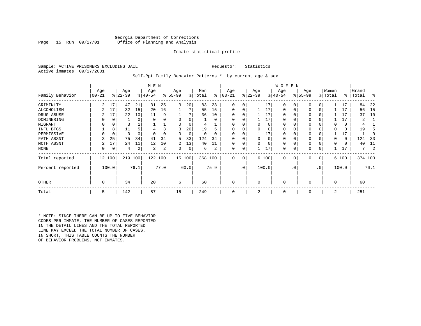#### Georgia Department of Corrections<br>Page 15 Run 09/17/01 office of Planning and Analysis Office of Planning and Analysis

#### Inmate statistical profile

Sample: ACTIVE PRISONERS EXCLUDING JAIL **Requestor:** Statistics Active inmates 09/17/2001

#### Self-Rpt Family Behavior Patterns \* by current age & sex

|                   |       |        |           |          | M E N     |      |          |        |         |          |          |                 |             |          | W O M E N    |             |           |           |          |       |           |      |
|-------------------|-------|--------|-----------|----------|-----------|------|----------|--------|---------|----------|----------|-----------------|-------------|----------|--------------|-------------|-----------|-----------|----------|-------|-----------|------|
|                   | Age   |        | Age       |          | Age       |      | Age      |        | Men     |          | Age      |                 | Age         |          | Age          |             | Age       |           | Women    |       | Grand     |      |
| Family Behavior   | 00-21 |        | $ 22-39 $ |          | $8 40-54$ |      | $ 55-99$ |        | % Total | ∻        | 00-21    |                 | $ 22-39 $   |          | $ 40-54 $    |             | $8 55-99$ |           | % Total  |       | %   Total | ႜ    |
| CRIMINLTY         | 2     | 17     | 47        | 21       | 31        | 25   | 3        | 20     | 83      | 23       | $\Omega$ | $\Omega$        |             | 17       | $\mathbf 0$  | $\Omega$    | $\Omega$  |           |          | 17    | 84        | 22   |
| ALCOHOLISM        |       | 17     | 32        | 15       | 20        | 16   |          |        | 55      | 15       | $\Omega$ | 0               |             | 17       | $\mathbf 0$  | 0           | $\Omega$  | $\Omega$  |          | 17    | 56        | 15   |
| DRUG ABUSE        |       | 17     | 22        | 10       | 11        | 9    |          |        | 36      | 10       |          |                 |             | 17       | $\Omega$     |             |           |           |          | 17    | 37        | 10   |
| <b>DOMINERING</b> |       | 0      |           | $\Omega$ |           |      |          |        |         | $\Omega$ |          |                 |             | 17       | $\Omega$     |             |           |           |          | 17    |           |      |
| MIGRANT           | 0     | 0      |           |          |           |      |          | 0      | 4       |          |          |                 |             | 0        | 0            |             | $\Omega$  |           |          | 0     |           |      |
| INFL BTGS         |       | 8      |           | 5        | 4         |      | 3        | 20     | 19      |          |          |                 |             | 0        | 0            |             | $\Omega$  |           |          | 0     | 19        |      |
| PERMISSIVE        |       | 0      | 0         | $\Omega$ | $\Omega$  |      | 0        | 0      | 0       | 0        |          |                 |             | 17       | 0            |             | $\Omega$  |           |          | 17    |           |      |
| FATH ABSNT        |       | 25     | 75        | 34       | 41        | 34   | 5        | 33     | 124     | 34       |          |                 | $\Omega$    | $\Omega$ | 0            | 0           | $\Omega$  |           |          | 0     | 124       | 33   |
| MOTH ABSNT        |       | 17     | 24        | 11       | 12        | 10   | 2        | 13     | 40      | 11       | $\Omega$ |                 |             | 0        | 0            | C.          | $\Omega$  |           | 0        | 0     | 40        | 11   |
| NONE              | 0     | 0      | 4         | 2        | 2         | 2    | 0        | 0      | 6       | 2        | $\Omega$ | 0               |             | 17       | 0            | C           | 0         |           |          | 17    |           | -2   |
| Total reported    |       | 12 100 | 219       | 100      | 122       | 100  |          | 15 100 | 368 100 |          | $\Omega$ | $\overline{0}$  |             | 6 100    | $\mathbf{0}$ | $\mathbf 0$ | 0         | 0         |          | 6 100 | 374 100   |      |
| Percent reported  |       | 100.0  |           | 76.1     |           | 77.0 |          | 60.0   |         | 75.9     |          | .0 <sup>1</sup> |             | 100.0    |              | $\cdot$ 0   |           | $\cdot$ 0 |          | 100.0 |           | 76.1 |
| OTHER             | 0     |        | 34        |          | 20        |      | 6        |        | 60      |          | $\Omega$ |                 | $\mathbf 0$ |          | 0            |             | $\Omega$  |           | $\Omega$ |       | 60        |      |
| Total             | 5     |        | 142       |          | 87        |      | 15       |        | 249     |          | 0        |                 | 2           |          | 0            |             | 0         |           | 2        |       | 251       |      |

\* NOTE: SINCE THERE CAN BE UP TO FIVE BEHAVIOR CODES PER INMATE, THE NUMBER OF CASES REPORTED IN THE DETAIL LINES AND THE TOTAL REPORTED LINE MAY EXCEED THE TOTAL NUMBER OF CASES. IN SHORT, THIS TABLE COUNTS THE NUMBER OF BEHAVIOR PROBLEMS, NOT INMATES.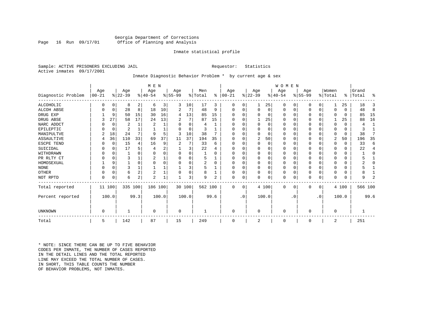#### Georgia Department of Corrections Office of Planning and Analysis

#### Inmate statistical profile

Sample: ACTIVE PRISONERS EXCLUDING JAIL **Requestor:** Statistics Active inmates 09/17/2001

# Inmate Diagnostic Behavior Problem \* by current age & sex

|                    |            |          |           |                | M E N          |       |           |       |         |      |            |           |              |          | W O       | M E N     |           |                |          |       |         |              |
|--------------------|------------|----------|-----------|----------------|----------------|-------|-----------|-------|---------|------|------------|-----------|--------------|----------|-----------|-----------|-----------|----------------|----------|-------|---------|--------------|
|                    | Age        |          | Age       |                | Age            |       | Age       |       | Men     |      | Age        |           | Age          |          | Age       |           | Age       |                | Women    |       | Grand   |              |
| Diagnostic Problem | $ 00 - 21$ |          | $ 22-39 $ |                | $8 40-54$      |       | $ 55-99 $ |       | % Total | ∻    | $ 00 - 21$ |           | $ 22-39$     |          | $8 40-54$ |           | $8 55-99$ |                | % Total  | ៖     | Total   | ႜ            |
| <b>ALCOHOLIC</b>   | O          | 0        | 8         | 2              | 6              | 3     | 3         | 10    | 17      | 3    | 0          | 0         |              | 25       | 0         | 0         |           | 0 <sup>1</sup> |          | 25    | 18      | 3            |
| <b>ALCOH ABSE</b>  |            | 0        | 28        | 8              | 18             | 10    | 2         |       | 48      | 9    | U          | 0         | 0            | 0        | 0         | 0         |           | 0              | U        | 0     | 48      | 8            |
| DRUG EXP           |            | 9        | 50        | 15             | 30             | 16    | 4         | 13    | 85      | 15   | 0          | 0         | 0            | 0        | $\Omega$  | 0         |           | 0              | O        | 0     | 85      | 15           |
| DRUG ABSE          |            | 27       | 58        | 17             | 24             | 13    | 2         | 7     | 87      | 15   | 0          | $\Omega$  |              | 25       | $\Omega$  | O         |           | 0              |          | 25    | 88      | 16           |
| NARC ADDCT         |            | $\Omega$ | 2         | 1              | 2              |       | U         | 0     | 4       |      |            | 0         | $\Omega$     | 0        | $\Omega$  | 0         |           | $\Omega$       | 0        | 0     | 4       | $\mathbf{1}$ |
| EPILEPTIC          |            | 0        | 2         |                |                |       | O         | 0     | 3       |      | 0          | 0         | $\Omega$     |          | 0         | U         |           | $\Omega$       | 0        | 0     | 3       |              |
| MANIPULTVE         |            | 18       | 24        | 7              | 9              | 5     | 3         | 10    | 38      | 7    | 0          | 0         | 0            | 0        | 0         | 0         |           | 0              | 0        | 0     | 38      | 7            |
| ASSAULTIVE         | 4          | 36       | 110       | 33             | 69             | 37    | 11        | 37    | 194     | 35   | U          | 0         | 2            | 50       | $\Omega$  | U         |           | $\Omega$       | 2        | 50    | 196     | 35           |
| ESCPE TEND         |            | 0        | 15        | 4              | 16             | 9     | 2         | 7     | 33      | 6    |            | 0         | $\Omega$     | $\Omega$ | 0         | U         |           | $\Omega$       |          | U     | 33      | 6            |
| SUICIDAL           |            | 0        | 17        | 5              | 4              | 2     |           | 3     | 22      | 4    |            | 0         | $\Omega$     | O        | $\Omega$  | U         |           | $\Omega$       |          | 0     | 22      | 4            |
| WITHDRAWN          |            | $\Omega$ |           | $\Omega$       | $\Omega$       |       | $\Omega$  | 0     |         | O    |            | 0         | $\Omega$     | O        | 0         | 0         |           | $\Omega$       |          | U     |         | $\Omega$     |
| PR RLTY CT         |            | $\Omega$ | 3         |                |                |       | $\Omega$  | O     | 5       |      |            | 0         | <sup>0</sup> | O        | $\Omega$  | O         |           | $\Omega$       |          | U     |         |              |
| HOMOSEXUAL         |            | 9        |           | $\Omega$       | $\Omega$       |       |           | 0     | 2       | 0    |            | 0         | $\Omega$     |          | 0         | O         |           | $\Omega$       |          |       |         | U            |
| <b>NONE</b>        |            | $\Omega$ | 3         |                |                |       |           | 3     |         |      | 0          | 0         | $\Omega$     | $\Omega$ | 0         | 0         |           | 0              |          | 0     |         |              |
| <b>OTHER</b>       |            | $\Omega$ | 6         | $\overline{c}$ | 2              |       |           | 0     | 8       |      |            | 0         | $\Omega$     | $\Omega$ | $\Omega$  | 0         |           | $\Omega$       | 0        | U     | 8       |              |
| NOT RPTD           | $\Omega$   | 0        | 6         | 2              | $\overline{c}$ |       |           | 3     | 9       | 2    | U          | 0         | $\Omega$     | 0        | $\Omega$  | 0         |           | 0              | $\Omega$ | 0     | q       | 2            |
| Total reported     |            | 11 100   | 335       | 100            | 186 100        |       | 30 100    |       | 562 100 |      | 0          | 0         |              | 4 100    | 0         | 0         | O         | $\circ$        |          | 4 100 | 566 100 |              |
| Percent reported   |            | 100.0    |           | 99.3           |                | 100.0 |           | 100.0 |         | 99.6 |            | $\cdot$ 0 |              | 100.0    |           | $\cdot$ 0 |           | $\cdot$ 0      |          | 100.0 |         | 99.6         |
| UNKNOWN            | 0          |          |           |                | $\mathbf 0$    |       | 0         |       |         |      | 0          |           | $\Omega$     |          | 0         |           |           |                | 0        |       |         |              |
| Total              | 5          |          | 142       |                | 87             |       | 15        |       | 249     |      |            |           | 2            |          | 0         |           |           |                | 2        |       | 251     |              |

\* NOTE: SINCE THERE CAN BE UP TO FIVE BEHAVIOR CODES PER INMATE, THE NUMBER OF CASES REPORTED IN THE DETAIL LINES AND THE TOTAL REPORTED LINE MAY EXCEED THE TOTAL NUMBER OF CASES.IN SHORT, THIS TABLE COUNTS THE NUMBER OF BEHAVIOR PROBLEMS, NOT INMATES.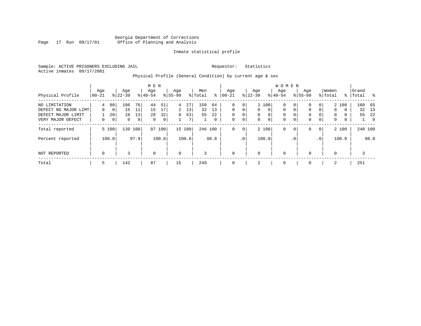#### Georgia Department of Corrections Page 17 Run 09/17/01 Office of Planning and Analysis

#### Inmate statistical profile

Sample: ACTIVE PRISONERS EXCLUDING JAIL **Requestor:** Statistics Active inmates 09/17/2001

# Physical Profile (General Condition) by current age & sex

| Physical Profile                        | Age<br>  00-21 |                                   | Age<br>$8 22-39$   |          | M E N<br>Age<br>$8 40-54$ |          | Age<br>$ 55-99$ |          | Men<br>% Total | ⊱        | Aqe<br>$00 - 21$ |               | Age<br>$ 22-39 $ |                     | <b>WOMEN</b><br>Aqe<br>$8 40-54$ |                         | Age<br>$8155 - 99$ |                            | Women<br>% Total  |        | Grand<br>%   Total | $\sim$ $\sim$        |
|-----------------------------------------|----------------|-----------------------------------|--------------------|----------|---------------------------|----------|-----------------|----------|----------------|----------|------------------|---------------|------------------|---------------------|----------------------------------|-------------------------|--------------------|----------------------------|-------------------|--------|--------------------|----------------------|
| NO LIMITATION<br>DEFECT NO MAJOR LIMT   | 4<br>$\Omega$  | 80<br>0                           | 106<br>15          | 76<br>11 | 44<br>15                  | 51<br>17 | 4<br>2          | 27<br>13 | 158<br>32      | 64<br>13 | 0<br>$\Omega$    | 0<br>$\Omega$ | $\Omega$         | 2 100<br>$\Omega$   | 0<br>$\Omega$                    | 0<br>$\Omega$           | 0<br>$\Omega$      | $\overline{0}$<br>$\Omega$ | 2 100<br>$\Omega$ | 0      | 160<br>32          | 65<br>13             |
| DEFECT MAJOR LIMIT<br>VERY MAJOR DEFECT | 0              | 20 <sup>1</sup><br>0 <sup>1</sup> | 18<br>$\mathbf{0}$ | 13<br>0  | 28<br>$\mathbf 0$         | 32<br>0  | 8               | 53<br>7  | 55             | 22<br>0  | 0<br>0           | $\Omega$<br>0 | $\mathbf 0$<br>0 | $\overline{0}$<br>0 | $\Omega$<br>$\mathbf 0$          | $\Omega$<br>$\mathbf 0$ | 0<br>0             | $\Omega$<br>$\overline{0}$ | $\Omega$<br>0     | 0<br>0 | 55                 | 22<br>$\overline{0}$ |
| Total reported                          |                | 5 100                             | 139                | 100      | 87                        | 100      |                 | 15 100   | 246 100        |          | $\mathbf{0}$     | $\mathbf 0$   |                  | 2 100               | $\mathbf 0$                      | $\mathbf 0$             | 0                  | 0 <sup>1</sup>             | 2 100             |        | 248 100            |                      |
| Percent reported                        |                | 100.0                             |                    | 97.9     |                           | 100.0    |                 | 100.0    |                | 98.8     |                  | .0'           |                  | 100.0               |                                  | . 0                     |                    | .0 <sup>1</sup>            | 100.0             |        |                    | 98.8                 |
| NOT REPORTED                            | $\mathbf 0$    |                                   | 3                  |          | $\mathbf 0$               |          | $\mathbf 0$     |          | 3              |          | $\mathbf{0}$     |               | $\mathbf 0$      |                     | $\mathbf 0$                      |                         | $\Omega$           |                            | $\Omega$          |        | 3                  |                      |
| Total                                   | 5              |                                   | 142                |          | 87                        |          | 15              |          | 249            |          | $\mathbf 0$      |               | 2                |                     | $\mathbf 0$                      |                         | $\Omega$           |                            | 2                 |        | 251                |                      |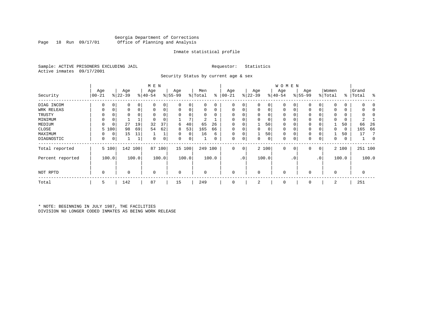#### Georgia Department of Corrections Office of Planning and Analysis

#### Inmate statistical profile

Sample: ACTIVE PRISONERS EXCLUDING JAIL **Requestor:** Statistics Active inmates 09/17/2001

Security Status by current age & sex

|                  |             |       |           |       | M E N       |                |             |        |          |          |            |                 |             |       | W O M E N   |     |             |                |                |               |       |             |
|------------------|-------------|-------|-----------|-------|-------------|----------------|-------------|--------|----------|----------|------------|-----------------|-------------|-------|-------------|-----|-------------|----------------|----------------|---------------|-------|-------------|
|                  | Age         |       | Age       |       | Age         |                | Age         |        | Men      |          | Age        |                 | Age         |       | Age         |     | Age         |                | Women          |               | Grand |             |
| Security         | $00 - 21$   |       | $ 22-39 $ |       | $ 40-54$    |                | $8 55-99$   |        | % Total  | ి        | $ 00 - 21$ |                 | $8 22-39$   |       | $ 40-54 $   |     | $ 55-99 $   |                | % Total        | $\frac{8}{6}$ | Total | ႜ           |
| DIAG INCOM       | $\Omega$    | 0     | 0         | 0     | O           | 0              | 0           | 0      | 0        | 0        | 0          | 0 <sup>1</sup>  | $\mathbf 0$ | 0     | 0           |     | 0           | 0              | $\Omega$       | 0             |       | O           |
| WRK RELEAS       |             | 0     | 0         | 0     |             | 0              | 0           | 0      | 0        | 0        | $\Omega$   | 0               | 0           | 0     | 0           |     | 0           | 0              | $\Omega$       | 0             |       |             |
| TRUSTY           |             |       | 0         |       |             |                | $\Omega$    | 0      | $\Omega$ | $\Omega$ |            |                 | 0           | 0     | 0           |     | 0           |                | $\Omega$       | 0             |       |             |
| MINIMUM          | $\Omega$    | 0     |           |       |             |                |             | 7      | 2        |          |            |                 | 0           | 0     | 0           |     | $\mathbf 0$ |                | $\Omega$       | 0             |       |             |
| MEDIUM           | U           | 0     | 27        | 19    | 32          | 37             | 6           | 40     | 65       | 26       | $\Omega$   |                 |             | 50    | 0           |     | 0           |                |                | 50            | 66    | 26          |
| CLOSE            | 5           | 100   | 98        | 69    | 54          | 62             | 8           | 53     | 165      | 66       |            |                 | 0           | 0     | 0           |     | 0           |                | $\Omega$       | 0             | 165   | 66          |
| MAXIMUM          | 0           | 0     | 15        | 11    |             |                | 0           | 0      | 16       | 6        | $\Omega$   |                 |             | 50    | 0           |     | 0           |                |                | 50            | 17    | 7           |
| DIAGNOSTIC       | 0           | 0     |           |       | 0           | $\overline{0}$ | 0           | 0      |          | 0        | 0          | 0 <sup>1</sup>  | 0           | 0     | 0           | 0   | 0           | 0              | 0              | 0             |       | $\mathbf 0$ |
| Total reported   |             | 5 100 | 142 100   |       | 87          | 100            |             | 15 100 |          | 249 100  | 0          | 0               |             | 2 100 | $\mathbf 0$ | 0   | 0           | $\overline{0}$ |                | 2 100         |       | 251 100     |
| Percent reported |             | 100.0 |           | 100.0 |             | 100.0          |             | 100.0  |          | 100.0    |            | .0 <sup>1</sup> |             | 100.0 |             | . 0 |             | $\cdot$ 0      |                | 100.0         |       | 100.0       |
| NOT RPTD         | $\mathbf 0$ |       | $\Omega$  |       | $\mathbf 0$ |                | $\mathbf 0$ |        | $\Omega$ |          | $\Omega$   |                 | 0           |       | $\mathbf 0$ |     | $\Omega$    |                | $\overline{0}$ |               | 0     |             |
| Total            | 5           |       | 142       |       | 87          |                | 15          |        | 249      |          | 0          |                 | 2           |       | 0           |     | $\mathbf 0$ |                | 2              |               | 251   |             |

\* NOTE: BEGINNING IN JULY 1987, THE FACILITIES DIVISION NO LONGER CODED INMATES AS BEING WORK RELEASE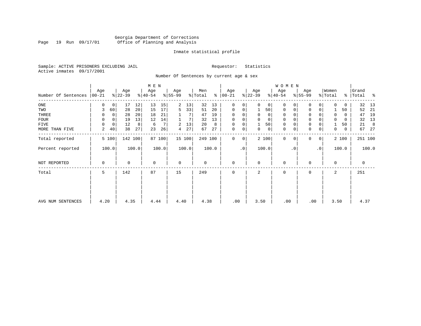#### Georgia Department of Corrections Page 19 Run 09/17/01 Office of Planning and Analysis

#### Inmate statistical profile

Sample: ACTIVE PRISONERS EXCLUDING JAIL **Requestor:** Statistics Active inmates 09/17/2001

Number Of Sentences by current age & sex

|                             |          |       |           |       | M E N       |        |             |        |         |       |               |           |           |             | WOMEN     |           |             |                 |             |       |           |       |
|-----------------------------|----------|-------|-----------|-------|-------------|--------|-------------|--------|---------|-------|---------------|-----------|-----------|-------------|-----------|-----------|-------------|-----------------|-------------|-------|-----------|-------|
|                             | Age      |       | Age       |       | Age         |        | Age         |        | Men     |       | Age           |           | Age       |             | Age       |           | Age         |                 | Women       |       | Grand     |       |
| Number Of Sentences   00-21 |          |       | $ 22-39 $ |       | $ 40-54 $   |        | $8 55-99$   |        | % Total |       | $8   00 - 21$ |           | $ 22-39 $ |             | $ 40-54 $ |           | $ 55-99 $   |                 | % Total     |       | %   Total | ႜ     |
| ONE                         | 0        | 0     | 17        | 12    | 13          | 15     | 2           | 13     | 32      | 13    | 0             | 0         | $\Omega$  | 0           | $\Omega$  | 0         | 0           | 0               | $\Omega$    | 0     | 32        | 13    |
| TWO                         | 3        | 60    | 28        | 20    | 15          | 17     | 5           | 33     | 51      | 20    | $\mathbf 0$   | 0         |           | 50          | 0         |           | $\Omega$    | 0               |             | 50    | 52        | - 21  |
| THREE                       | 0        | 0     | 28        | 20    | 18          | 21     |             |        | 47      | 19    | $\mathbf 0$   | 0         | 0         | 0           | 0         |           | 0           |                 | 0           | 0     | 47        | 19    |
| FOUR                        | 0        |       | 19        | 13    | 12          | 14     |             |        | 32      | 13    | $\mathbf 0$   | 0         |           | $\mathbf 0$ | 0         |           | 0           |                 | 0           | 0     | 32        | 13    |
| FIVE                        | $\Omega$ | 0     | 12        | 8     | 6           |        | 2           | 13     | 20      | 8     | $\mathbf 0$   | 0         |           | 50          | 0         |           | $\mathbf 0$ |                 |             | 50    | 21        | 8     |
| MORE THAN FIVE              | 2        | 40    | 38        | 27    | 23          | 26     | 4           | 27     | 67      | 27    | $\mathbf 0$   | 0         | 0         | 0           | 0         | 0         | $\mathbf 0$ | 0               | 0           | 0     | 67        | - 27  |
| Total reported              |          | 5 100 | 142 100   |       |             | 87 100 |             | 15 100 | 249 100 |       | 0             | 0         |           | 2 100       | $\Omega$  | 0         | $\Omega$    | $\overline{0}$  |             | 2 100 | 251 100   |       |
| Percent reported            |          | 100.0 |           | 100.0 |             | 100.0  |             | 100.0  |         | 100.0 |               | $\cdot$ 0 |           | 100.0       |           | $\cdot$ 0 |             | .0 <sup>1</sup> |             | 100.0 |           | 100.0 |
| NOT REPORTED                | 0        |       | 0         |       | $\mathbf 0$ |        | $\mathbf 0$ |        | 0       |       | $\mathbf 0$   |           | $\Omega$  |             | 0         |           | $\mathbf 0$ |                 | $\mathbf 0$ |       | 0         |       |
| Total                       | 5        |       | 142       |       | 87          |        | 15          |        | 249     |       | $\Omega$      |           | 2         |             | $\Omega$  |           | $\Omega$    |                 | 2           |       | 251       |       |
|                             |          |       |           |       |             |        |             |        |         |       |               |           |           |             |           |           |             |                 |             |       |           |       |
| AVG NUM SENTENCES           | 4.20     |       | 4.35      |       | 4.44        |        | 4.40        |        | 4.38    |       | .00           |           | 3.50      |             | .00       |           |             | .00             | 3.50        |       | 4.37      |       |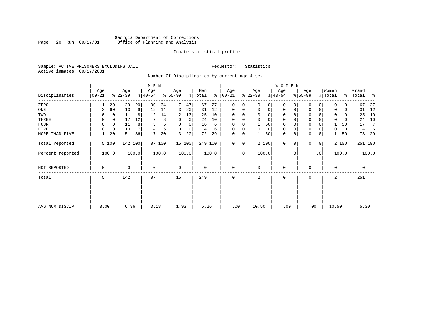### Georgia Department of Corrections Page 20 Run 09/17/01 Office of Planning and Analysis

#### Inmate statistical profile

Sample: ACTIVE PRISONERS EXCLUDING JAIL **Requestor:** Statistics Active inmates 09/17/2001

Number Of Disciplinaries by current age & sex

|                   |    |            |                             | M E N                    |           |               |                    |                         |         |                          |           |          |          | WOMEN                   |           |              |           |             |                                    |                         |                       |
|-------------------|----|------------|-----------------------------|--------------------------|-----------|---------------|--------------------|-------------------------|---------|--------------------------|-----------|----------|----------|-------------------------|-----------|--------------|-----------|-------------|------------------------------------|-------------------------|-----------------------|
| Age<br>$ 00 - 21$ |    | Age        |                             | Age                      |           | Age           |                    | Men                     | နွ      | Age                      |           | Age      |          | Age                     |           | Age          |           |             |                                    | Grand<br>Total          | ႜ                     |
|                   |    | 29         | 20                          | 30                       | 34        |               | 47                 | 67                      | 27      | 0                        | 0         | $\Omega$ | 0        | 0                       |           | 0            | 0         | $\Omega$    | 0                                  | 67                      | 27                    |
| 3                 | 60 | 13         | 9                           | 12                       | 14        | 3             | 20                 | 31                      | 12      | 0                        | 0         | 0        | 0        | 0                       | 0         | $\mathbf 0$  | 0         | 0           | 0                                  | 31                      | 12                    |
| 0                 |    | 11         | 8                           | 12                       | 14        | 2             | 13                 | 25                      | 10      | $\Omega$                 | 0         |          | 0        | 0                       |           | $\Omega$     |           | 0           | 0                                  | 25                      | 10                    |
| 0                 |    | 17         | 12                          |                          | 8         | $\Omega$      | 0                  | 24                      | 10      | $\Omega$                 | 0         |          | $\Omega$ | 0                       |           | $\Omega$     |           | 0           | $\Omega$                           | 24                      | 10                    |
| $\Omega$          |    | 11         | 8                           | 5                        | 6         | $\Omega$      | $\Omega$           | 16                      | 6       | $\Omega$                 | 0         |          | 50       | $\Omega$                |           | $\Omega$     |           |             | 50                                 | 17                      | 7                     |
| $\Omega$          | 0  | 10         |                             |                          | 5         | $\Omega$      | 0                  | 14                      | 6       | $\mathbf 0$              | 0         | $\Omega$ | 0        | 0                       |           | $\mathbf{0}$ | 0         | 0           | 0                                  | 14                      | 6                     |
|                   | 20 | 51         | 36                          | 17                       | 20        | 3             | 20                 | 72                      | 29      | $\mathbf 0$              | 0         |          | 50       | 0                       | 0         | $\mathbf 0$  | 0         |             | 50                                 | 73                      | 29                    |
|                   |    |            |                             |                          |           |               |                    |                         |         | $\mathbf 0$              | 0         |          |          | $\mathbf{0}$            | $\Omega$  | $\Omega$     |           |             |                                    |                         |                       |
|                   |    |            |                             |                          |           |               |                    |                         |         |                          | $\cdot$ 0 |          |          |                         | $\cdot$ 0 |              | $\cdot$ 0 |             |                                    |                         | 100.0                 |
| 0                 |    | 0          |                             | $\mathbf 0$              |           | $\mathbf 0$   |                    | $\mathbf 0$             |         | $\mathbf 0$              |           | $\Omega$ |          | $\mathbf 0$             |           | $\mathbf 0$  |           | $\mathbf 0$ |                                    | 0                       |                       |
| 5                 |    | 142        |                             | 87                       |           | 15            |                    | 249                     |         | $\mathbf 0$              |           | 2        |          | 0                       |           | 0            |           | 2           |                                    | 251                     |                       |
|                   |    |            |                             |                          |           |               |                    |                         |         |                          |           |          |          |                         |           |              |           |             |                                    |                         |                       |
|                   |    |            |                             |                          |           |               |                    |                         |         |                          |           |          |          |                         |           |              |           |             |                                    |                         |                       |
|                   |    | 20<br>3.00 | $ 22-39 $<br>5 100<br>100.0 | 142 100<br>100.0<br>6.96 | $ 40-54 $ | 100.0<br>3.18 | $ 55-99$<br>87 100 | 15 100<br>100.0<br>1.93 | % Total | 249 100<br>100.0<br>5.26 | $ 00-21 $ | .00      | $ 22-39$ | 2 100<br>100.0<br>10.50 | $ 40-54 $ | .00          | $ 55-99 $ | .00         | Women<br>% Total<br>$\overline{0}$ | 2 100<br>100.0<br>10.50 | ွေ<br>251 100<br>5.30 |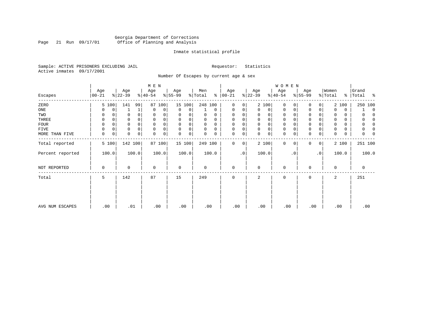#### Georgia Department of Corrections Page 21 Run 09/17/01 Office of Planning and Analysis

#### Inmate statistical profile

Sample: ACTIVE PRISONERS EXCLUDING JAIL **Requestor:** Statistics Active inmates 09/17/2001

Number Of Escapes by current age & sex

|                  |                  |       |                  |          | M E N                       |        |                  |        |                |             |                  |           |                 |             | <b>WOMEN</b>     |           |                  |           |                  |       |                 |             |          |
|------------------|------------------|-------|------------------|----------|-----------------------------|--------|------------------|--------|----------------|-------------|------------------|-----------|-----------------|-------------|------------------|-----------|------------------|-----------|------------------|-------|-----------------|-------------|----------|
| Escapes          | Age<br>$00 - 21$ |       | Age<br>$ 22-39 $ |          | Age<br>$\frac{1}{6}$  40-54 |        | Age<br>$ 55-99 $ |        | Men<br>% Total | ៖           | Age<br>$00 - 21$ |           | Age<br>$ 22-39$ |             | Age<br>$ 40-54 $ |           | Age<br>$ 55-99 $ |           | Women<br>% Total | ွေ    | Grand<br> Total | း - ၁       |          |
| ZERO             |                  | 5 100 | 141              | 99       | 87                          | 100    | 15 100           |        | 248 100        |             | $\mathbf 0$      | 0         |                 | 2 100       | 0                |           | 0                | 0         |                  | 2 100 |                 | 250 100     |          |
| ONE              |                  | 0     |                  | 1        | 0                           | 0      | 0                | 0      |                | $\mathbf 0$ | 0                | 0         | $\Omega$        | 0           | 0                | 0         | $\mathbf 0$      | 0         | $\Omega$         | 0     |                 |             | $\Omega$ |
| TWO              | 0                |       |                  |          | 0                           | 0      | 0                |        | 0              | 0           | 0                |           | 0               | 0           | 0                |           | U                |           | 0                | 0     |                 |             |          |
| THREE            | 0                |       |                  |          | 0                           |        | $\Omega$         | 0      | U              | 0           | 0                |           | 0               | 0           | 0                |           | 0                |           | 0                | 0     |                 |             |          |
| <b>FOUR</b>      | $\Omega$         |       |                  |          | $\Omega$                    | 0      | $\Omega$         | 0      | 0              | $\Omega$    | 0                |           | $\Omega$        | $\mathbf 0$ | $\mathbf 0$      |           | $\Omega$         |           | $\Omega$         | 0     |                 |             |          |
| FIVE             |                  | 0     |                  | $\Omega$ | $\mathbf 0$                 | 0      | $\Omega$         | 0      | U              | $\Omega$    | $\Omega$         | 0         | $\Omega$        | $\mathsf 0$ | 0                |           | $\Omega$         |           | 0                | 0     |                 |             |          |
| MORE THAN FIVE   | 0                | 0     | 0                | 0        | 0                           | 0      | 0                | 0      | 0              | 0           | 0                | 0         | $\Omega$        | $\mathbf 0$ | $\mathbf 0$      |           | $\Omega$         | 0         | 0                | 0     |                 |             |          |
| Total reported   |                  | 5 100 | 142 100          |          |                             | 87 100 |                  | 15 100 | 249 100        |             | 0                | 0         |                 | 2 100       | $\mathbf{0}$     | $\Omega$  | 0                | $\circ$   |                  | 2 100 |                 | 251 100     |          |
| Percent reported |                  | 100.0 |                  | 100.0    |                             | 100.0  |                  | 100.0  |                | 100.0       |                  | $\cdot$ 0 |                 | 100.0       |                  | $\cdot$ 0 |                  | $\cdot$ 0 |                  | 100.0 |                 | 100.0       |          |
| NOT REPORTED     | $\Omega$         |       | 0                |          | $\mathbf 0$                 |        | 0                |        | 0              |             | 0                |           | $\Omega$        |             | 0                |           | 0                |           | $\mathbf 0$      |       |                 | $\mathbf 0$ |          |
| Total            | 5                |       | 142              |          | 87                          |        | 15               |        | 249            |             | 0                |           | 2               |             | 0                |           | $\mathbf 0$      |           | 2                |       |                 | 251         |          |
|                  |                  |       |                  |          |                             |        |                  |        |                |             |                  |           |                 |             |                  |           |                  |           |                  |       |                 |             |          |
| AVG NUM ESCAPES  | .00              |       | .01              |          |                             | .00    | .00              |        | .00            |             | .00              |           | .00             |             | .00              |           | .00              |           |                  | .00   |                 | .00         |          |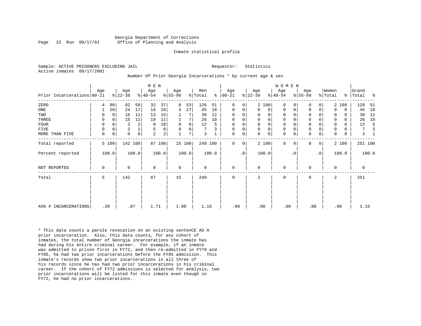#### Georgia Department of Corrections Page 22 Run 09/17/01 Office of Planning and Analysis

#### Inmate statistical profile

Sample: ACTIVE PRISONERS EXCLUDING JAIL **Requestor:** Statistics Active inmates 09/17/2001

#### Number Of Prior Georgia Incarcerations \* by current age & sex

|                            |          |             |                 |                | M E N            |                         |                  |        |                |       |                   |              |                  |              | WOMEN            |           |                  |                |                  |             |                |       |
|----------------------------|----------|-------------|-----------------|----------------|------------------|-------------------------|------------------|--------|----------------|-------|-------------------|--------------|------------------|--------------|------------------|-----------|------------------|----------------|------------------|-------------|----------------|-------|
| Prior Incarcerations 00-21 | Age      |             | Age<br>$ 22-39$ |                | Age<br>$ 40-54 $ |                         | Age<br>$ 55-99 $ |        | Men<br>% Total | ⊱     | Age<br>$ 00 - 21$ |              | Age<br>$ 22-39 $ |              | Age<br>$8 40-54$ |           | Age<br>$ 55-99 $ |                | Women<br>% Total | ႜၟ          | Grand<br>Total | ႜ     |
| ZERO                       | 4        | 80          | 82              | 58             | 32               | 37                      | 8                | 53     | 126            | 51    | 0                 | 0            |                  | 2 100        | $\Omega$         | $\Omega$  | $\Omega$         | 0              |                  | 2 100       | 128            | 51    |
| ONE                        |          | 20          | 24              | 17             | 16               | 18                      | 4                | 27     | 45             | 18    | 0                 | $\mathbf{0}$ | $\Omega$         | 0            | 0                | 0         | $\mathbf 0$      | 0              | $\Omega$         | $\mathbf 0$ | 45             | 18    |
| TWO                        | 0        | $\Omega$    | 16              | 11             | 13               | 15                      |                  |        | 30             | 12    | 0                 | 0            | 0                | 0            | 0                |           | 0                |                | 0                | $\Omega$    | 30             | 12    |
| THREE                      | 0        | $\Omega$    | 15              | 11             | 10               | 11                      |                  | 7      | 26             | 10    | 0                 | 0            | $\mathbf 0$      | $\mathsf{O}$ | $\mathsf 0$      |           | $\mathbf 0$      | 0              | $\Omega$         | $\Omega$    | 26             | 10    |
| <b>FOUR</b>                | 0        | $\Omega$    | 3               | $\overline{a}$ | 9                | 10                      | $\mathbf 0$      | 0      | 12             | 5     | $\mathbf 0$       | 0            | $\mathbf 0$      | $\mathsf{O}$ | 0                |           | $\mathbf 0$      |                | 0                | 0           | 12             |       |
| FIVE                       | 0        | 0           | $\overline{2}$  |                | 5                | 6                       | $\mathbf 0$      | 0      | 7              | 3     | $\mathbf 0$       | 0            | $\mathbf 0$      | $\mathbf 0$  | $\mathbf 0$      |           | $\mathsf 0$      | 0              | 0                | 0           | 7              |       |
| MORE THAN FIVE             | $\Omega$ | $\mathbf 0$ | $\Omega$        | $\overline{0}$ | $\overline{a}$   | $\overline{\mathbf{c}}$ |                  | 7      | 3              |       | 0                 | 0            | $\Omega$         | $\mathsf{O}$ | $\mathbf 0$      | 0         | $\mathbf 0$      | $\mathbf 0$    | $\Omega$         | $\mathbf 0$ | 3              |       |
| Total reported             |          | 5 100       | 142 100         |                |                  | 87 100                  |                  | 15 100 | 249 100        |       | $\Omega$          | 0            |                  | 2 100        | $\Omega$         | $\Omega$  | $\mathbf 0$      | $\overline{0}$ |                  | 2 100       | 251 100        |       |
| Percent reported           |          | 100.0       |                 | 100.0          |                  | 100.0                   |                  | 100.0  |                | 100.0 |                   | $\cdot$ 0    |                  | 100.0        |                  | $\cdot$ 0 |                  | $\cdot$ 0      |                  | 100.0       |                | 100.0 |
| NOT REPORTED               | 0        |             | $\Omega$        |                | 0                |                         | $\mathbf 0$      |        | 0              |       | $\mathbf 0$       |              | $\Omega$         |              | $\mathbf 0$      |           | $\mathbf 0$      |                | $\Omega$         |             | 0              |       |
| Total                      | 5        |             | 142             |                | 87               |                         | 15               |        | 249            |       | 0                 |              | 2                |              | 0                |           | $\mathbf 0$      |                | 2                |             | 251            |       |
|                            |          |             |                 |                |                  |                         |                  |        |                |       |                   |              |                  |              |                  |           |                  |                |                  |             |                |       |
| AVG # INCARCERATIONS       |          | .20         | .87             |                | 1.71             |                         | 1.00             |        | 1.16           |       | .00               |              | .00              |              | .00              |           | .00              |                |                  | .00         | 1.15           |       |

\* This data counts a parole revocation on an existing sentenCE AS A prior incarceration. Also, this data counts, for any cohort of inmates, the total number of Georgia incarcerations the inmate has had during his entire criminal career. For example, if an inmate was admitted to prison first in FY72, and then re-admitted in FY79 and FY85, he had two prior incarcerations before the FY85 admission. This inmate's records show two prior incarcerations in all three of his records since he has had two prior incarcerations in his criminal career. If the cohort of FY72 admissions is selected for analysis, two prior incarcerations will be listed for this inmate even though in FY72, he had no prior incarcerations.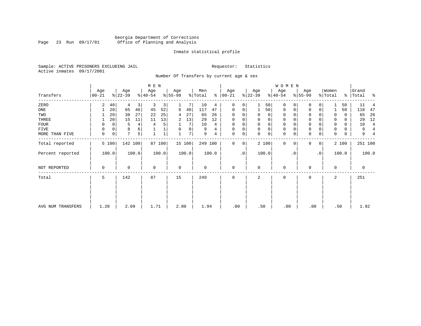### Georgia Department of Corrections Page 23 Run 09/17/01 Office of Planning and Analysis

#### Inmate statistical profile

Sample: ACTIVE PRISONERS EXCLUDING JAIL **Requestor:** Statistics Active inmates 09/17/2001

Number Of Transfers by current age & sex

|                   |                  |             |                  |                | M E N            |             |                 |        |                |       |                 |           |                  |             | W O M E N        |           |                  |             |                  |       |                    |                |
|-------------------|------------------|-------------|------------------|----------------|------------------|-------------|-----------------|--------|----------------|-------|-----------------|-----------|------------------|-------------|------------------|-----------|------------------|-------------|------------------|-------|--------------------|----------------|
| Transfers         | Age<br>$00 - 21$ |             | Age<br>$ 22-39 $ |                | Age<br>$ 40-54 $ |             | Age<br>$ 55-99$ |        | Men<br>% Total | ៖     | Age<br>$ 00-21$ |           | Age<br>$ 22-39 $ |             | Age<br>$ 40-54 $ |           | Age<br>$8 55-99$ |             | Women<br>% Total |       | Grand<br>% Total % |                |
| ZERO              | 2                | 40          | 4                | 3              | 3                | 3           |                 |        | 10             | 4     | $\Omega$        | 0         |                  | 50          | $\mathbf{0}$     | $\Omega$  | 0                |             |                  | 50    | 11                 |                |
| ONE               |                  | 20          | 65               | 46             | 45               | 52          | 6               | 40     | 117            | 47    | 0               | 0         |                  | 50          | 0                | 0         | 0                | 0           |                  | 50    | 118                | 47             |
| TWO               |                  | 20          | 38               | 27             | 22               | 25          | 4               | 27     | 65             | 26    | $\Omega$        |           | 0                | 0           | $\mathbf 0$      | $\Omega$  | $\Omega$         |             | 0                | 0     | 65                 | 26             |
| THREE             |                  | 20          | 15               | 11             | 11               | 13          | 2               | 13     | 29             | 12    | $\Omega$        |           | 0                | 0           | $\mathbf 0$      |           | 0                |             |                  | 0     | 29                 | 12             |
| FOUR              | 0                | $\Omega$    | 5                | $4\vert$       | 4                | 5           |                 | 7      | 10             | 4     | $\Omega$        |           | $\Omega$         | 0           | $\Omega$         |           | $\Omega$         |             |                  | 0     | 10                 | $\overline{4}$ |
| FIVE              | 0                | 0           | 8                | 6              |                  |             | 0               | 0      | 9              | 4     | $\Omega$        | 0         | 0                | 0           | $\mathbf 0$      | $\Omega$  | 0                |             | 0                | 0     | 9                  | 4              |
| MORE THAN FIVE    | $\mathbf 0$      | $\mathbf 0$ | 7                | 5 <sup>1</sup> |                  | $\mathbf 1$ |                 | 7      | 9              | 4     | 0               | 0         | $\Omega$         | $\mathbf 0$ | $\mathbf 0$      | 0         | $\mathbf 0$      | $\mathbf 0$ | 0                | 0     | 9                  |                |
| Total reported    | 5 100            |             | 142 100          |                |                  | 87 100      |                 | 15 100 | 249 100        |       | $\Omega$        | 0         |                  | 2 100       | 0                | 0         | 0                | 0           |                  | 2 100 | 251 100            |                |
| Percent reported  | 100.0            |             |                  | 100.0          |                  | 100.0       |                 | 100.0  |                | 100.0 |                 | $\cdot$ 0 |                  | 100.0       |                  | $\cdot$ 0 |                  | $\cdot$ 0   |                  | 100.0 |                    | 100.0          |
| NOT REPORTED      | 0                |             | $\Omega$         |                | $\mathbf 0$      |             | $\mathbf 0$     |        | 0              |       | $\mathbf 0$     |           | $\mathbf 0$      |             | $\mathbf 0$      |           | 0                |             | 0                |       | $\mathbf 0$        |                |
| Total             | 5                |             | 142              |                | 87               |             | 15              |        | 249            |       | 0               |           | 2                |             | $\mathbf 0$      |           | 0                |             | 2                |       | 251                |                |
|                   |                  |             |                  |                |                  |             |                 |        |                |       |                 |           |                  |             |                  |           |                  |             |                  |       |                    |                |
| AVG NUM TRANSFERS | 1.20             |             | 2.09             |                | 1.71             |             | 2.00            |        | 1.94           |       | .00             |           | .50              |             | .00              |           | .00              |             | .50              |       | 1.92               |                |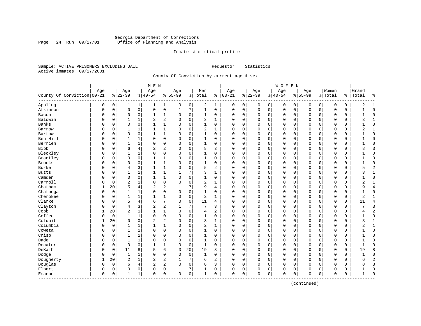#### Georgia Department of Corrections Page 24 Run 09/17/01 Office of Planning and Analysis

#### Inmate statistical profile

Sample: ACTIVE PRISONERS EXCLUDING JAIL **Requestor:** Statistics Active inmates 09/17/2001

County Of Conviction by current age & sex

| Age<br>Age<br>Women<br>Age<br>Age<br>Age<br>Men<br>Age<br>Age<br>Age<br>Grand<br>County Of Conviction   00-21<br>$8   00 - 21$<br>$ 22-39$<br>$8 22-39$<br>$8 40-54$<br>$8 55-99$<br>% Total<br>$8 40-54$<br>$8155 - 99$<br>% Total<br>%  <br>Total<br>နွ<br>Appling<br>$\overline{0}$<br>2<br>$\mathbf 0$<br>0<br>0<br>0<br>$\overline{0}$<br>$\mathbf{1}$<br>1 <br>0<br>1<br>0<br>0<br>0<br>0<br>0<br>0<br>2<br>1<br>1<br>0<br>1<br>Atkinson<br>$\mathbf 0$<br>$\mathsf{O}$<br>0<br>0<br>7<br>$\mathbf 1$<br>$\mathsf 0$<br>$\mathbf 0$<br>$\Omega$<br>0<br>$\mathbf 1$<br>0<br>$\mathbf 0$<br>0<br>$\mathbf 0$<br>0<br>$\mathbf 0$<br>$\mathbf 0$<br>$\mathbf 0$<br>0<br>0<br>$\mathbf{1}$<br>$\mathbf 1$<br>0<br>$\Omega$<br>Bacon<br>0<br>0<br>$\mathbf 0$<br>0<br>$\mathbf{1}$<br>$\Omega$<br>1<br>0<br>$\Omega$<br>0<br>0<br>0<br>0<br>0<br>0<br>0<br>0<br>0<br>Baldwin<br>2<br>2<br>0<br>1<br>0<br>3<br>$\Omega$<br>0<br>$\mathbf 0$<br>0<br>$\mathbf 0$<br>0<br>0<br>0<br>$\Omega$<br>3<br>1<br>O<br>0<br>$\Omega$<br>1<br>$\mathbf{1}$<br>Banks<br>$\mathbf{1}$<br>$\Omega$<br>$\Omega$<br>$\mathbf{1}$<br>$\Omega$<br>$\Omega$<br>$\Omega$<br>$\Omega$<br>$\Omega$<br>$\Omega$<br>$\Omega$<br>$\Omega$<br>$\Omega$<br>$\Omega$<br>$\Omega$<br>$\Omega$<br>$\Omega$<br>O<br>$\Omega$<br>$\Omega$<br>2<br>$\mathbf{1}$<br>$\mathbf 1$<br>$\Omega$<br>0<br>0<br>$\mathbf 0$<br>$\Omega$<br>$\Omega$<br>$\Omega$<br>0<br>2<br>Barrow<br>$\Omega$<br>$\mathbf{1}$<br>$\mathbf{1}$<br>$\Omega$<br>$\mathbf{1}$<br>$\Omega$<br>$\mathbf 0$<br>$\Omega$<br>$\mathbf{1}$<br>0<br>$\mathbf 0$<br>1<br>$\mathsf 0$<br>$\mathbf 0$<br>$\mathbf{1}$<br>$\mathbf{1}$<br>0<br>0<br>$\mathbf{0}$<br>$\mathbf 0$<br>$\Omega$<br>$\mathbf 0$<br>$\Omega$<br>$\mathbf 0$<br>$\mathbf 0$<br>0<br>$\Omega$<br>Bartow<br>O<br>0<br>$\Omega$<br>$\Omega$<br>Ben Hill<br>0<br>0<br>0<br>0<br>$\mathbf 0$<br>O<br>0<br>1<br>1<br>$\Omega$<br>1<br>0<br>0<br>0<br>0<br>0<br>0<br>$\Omega$<br>0<br>0<br>$\Omega$<br>Berrien<br>0<br>$\mathbf{1}$<br>1<br>0<br>$\Omega$<br>0<br>1<br>0<br>$\Omega$<br>0<br>$\mathbf 0$<br>0<br>0<br>$\mathbf 0$<br>$\mathbf 0$<br>$\mathbf 0$<br>0<br>0<br>$\Omega$<br>O<br>0<br>2<br><b>Bibb</b><br>4<br>2<br>3<br>6<br>$\Omega$<br>8<br>3<br>$\Omega$<br>0<br>$\Omega$<br>0<br>$\Omega$<br>$\mathbf 0$<br>$\Omega$<br>$\mathbf 0$<br>8<br>O<br>0<br>$\Omega$<br>$\Omega$<br>$\Omega$<br>Bleckley<br>0<br>0<br>$\mathbf{1}$<br>$\Omega$<br>$\Omega$<br>$\mathbf{1}$<br>$\Omega$<br>$\Omega$<br>0<br>$\Omega$<br>$\mathbf 0$<br>$\Omega$<br>$\mathbf 0$<br>$\Omega$<br>$\Omega$<br>$\mathbf 0$<br>$\Omega$<br>$\Omega$<br>O<br>$\mathbf{1}$<br>$\Omega$<br>Brantley<br>$\mathbf 0$<br>$\mathbf 0$<br>1<br>$\mathbf 0$<br>$\mathbf{1}$<br>0<br>$\mathbf 0$<br>$\mathbf 0$<br>$\mathbf 0$<br>$\Omega$<br>$\Omega$<br>$\mathbf{1}$<br>$\Omega$<br>0<br>$\Omega$<br>$\mathbf 0$<br>$\Omega$<br>$\Omega$<br>$\Omega$<br>0<br>0<br>Brooks<br>1<br>$\mathbf 0$<br>$\mathbf{1}$<br>0<br>0<br>0<br>0<br>$\mathbf 0$<br>0<br>$\mathbf 0$<br>$\mathbf 0$<br>$\mathbf 0$<br>0<br>0<br>$\Omega$<br>1<br>0<br>$\mathbf 0$<br>0<br>0<br>U<br>5<br>$\overline{c}$<br>Burke<br>3<br>$\mathbf{1}$<br>1<br>2<br>0<br>$\overline{4}$<br>$\Omega$<br>0<br>0<br>0<br>$\Omega$<br>0<br>0<br>0<br>0<br>0<br>0<br>0<br>5<br>U<br>3<br><b>Butts</b><br>1<br>$\mathbf{1}$<br>1<br>7<br>$\Omega$<br>0<br>$\mathbf 0$<br>0<br>0<br>0<br>0<br>0<br>0<br>ς<br>1<br>U<br>0<br>1<br>1<br>0<br>Camden<br>1<br>$\mathbf 0$<br>$\Omega$<br>$\mathbf 0$<br>0<br>0<br>$\Omega$<br>$\mathbf 0$<br>$\Omega$<br>O<br>$\Omega$<br>1<br>$\Omega$<br>1<br>0<br>$\Omega$<br>$\mathbf 0$<br>$\Omega$<br>$\mathbf 0$<br>$\Omega$<br>$\Omega$<br>Carroll<br>$\overline{2}$<br>0<br>$\overline{c}$<br>$\Omega$<br>$\Omega$<br>$\Omega$<br>$\Omega$<br>0<br>$\Omega$<br>$\mathbf 0$<br>$\Omega$<br>$\Omega$<br>$\overline{2}$<br>O<br>0<br>1<br>$\Omega$<br>1<br>$\Omega$<br>$\Omega$<br>$\Omega$<br>$\mathbf{1}$<br>Chatham<br>2<br>20<br>5<br>4<br>2<br>7<br>9<br>0<br>0<br>$\mathbf 0$<br>q<br>$\overline{4}$<br>4<br>$\Omega$<br>$\mathbf 0$<br>0<br>$\mathbf 0$<br>$\Omega$<br>$\Omega$<br>0<br>1<br>-1<br>0<br>0<br>$\mathbf 1$<br>$\Omega$<br>0<br>1<br>0<br>$\mathbf 0$<br>$\mathbf 0$<br>0<br>$\mathbf 0$<br>$\mathbf 0$<br>$\mathbf 0$<br>Chatooga<br>0<br>1<br>$\Omega$<br>0<br>0<br>$\mathbf 0$<br>0<br>0<br>Cherokee<br>$\mathbf{1}$<br>$\mathbf{1}$<br>$\mathbf{1}$<br>1<br>0<br>2<br>$\mathbf{1}$<br>$\mathbf 0$<br>$\mathbf{1}$<br>0<br>$\Omega$<br>0<br>0<br>0<br>0<br>0<br>0<br>0<br>0<br>0<br>2<br>U<br>Clarke<br>5<br>4<br>7<br>6<br>$\mathbf 0$<br>0<br>11<br>$\Omega$<br>0<br>$\mathbf 0$<br>0<br>0<br>$\mathbf 0$<br>$\mathbf 0$<br>0<br>$\mathbf 0$<br>$\overline{4}$<br>O<br>0<br>4<br>0<br>11<br>3<br>$\overline{c}$<br>$\overline{\mathbf{c}}$<br>7<br>7<br>$\overline{3}$<br>Clayton<br>$\overline{4}$<br>0<br>0<br>$\Omega$<br>$\mathbf 0$<br>$\Omega$<br>3<br>$\Omega$<br>$\mathbf 0$<br>$\Omega$<br>0<br>$\Omega$<br>0<br>U<br>$\overline{2}$<br>Cobb<br>$\overline{2}$<br>$\mathbf 1$<br>20<br>$\mathbf{1}$<br>$\mathbf{1}$<br>$\Omega$<br>$\Omega$<br>2<br>$\Omega$<br>$\mathbf{0}$<br>$\mathbf 0$<br>$\Omega$<br>$\mathbf 0$<br>$\Omega$<br>$\mathbf 0$<br>4<br>$\Omega$<br>$\Omega$<br>0<br>4<br>Coffee<br>$\mathbf{1}$<br>0<br>0<br>$\mathbf 0$<br>0<br>0<br>$\mathbf 0$<br>$\mathbf 0$<br>0<br>$\mathbf 0$<br>1<br>$\mathbf 0$<br>1<br>0<br>$\Omega$<br>$\mathbf 0$<br>0<br>$\mathbf 0$<br>$\Omega$<br>$\Omega$<br>0<br>-1<br>$\overline{c}$<br>2<br>Colquit<br>20<br>$\mathbf 0$<br>$\mathbf 0$<br>0<br>3<br>0<br>$\mathbf 0$<br>$\mathbf 0$<br>0<br>$\mathbf 0$<br>$\Omega$<br>1<br>0<br>$\mathbf 0$<br>0<br>$\mathbf 0$<br>0<br>3<br>1<br>1<br>Columbia<br>$\mathbf 1$<br>2<br>$\mathbf{1}$<br>$\mathbf{1}$<br>0<br>0<br>1<br>1<br>$\mathbf{1}$<br>0<br>0<br>0<br>$\Omega$<br>0<br>0<br>$\mathbf 0$<br>$\mathbf 0$<br>0<br>0<br>0<br>2<br>$\Omega$<br>Coweta<br>1<br>1<br>0<br>0<br>0<br>1<br>$\Omega$<br>0<br>0<br>0<br>$\mathbf 0$<br>$\mathbf 0$<br>0<br>$\mathbf 0$<br>$\mathbf 0$<br>0<br>0<br>$\Omega$<br>0<br>$\mathbf 0$<br>0<br>Crisp<br>0<br>$\mathbf 0$<br>O<br>0<br>$\mathbf{1}$<br>1<br>$\Omega$<br>$\Omega$<br>1<br>$\Omega$<br>$\Omega$<br>0<br>$\mathbf 0$<br>0<br>0<br>0<br>0<br>0<br>0<br>0<br>$\Omega$<br>Dade<br>0<br>0<br>$\Omega$<br>$\mathbf{1}$<br>$\mathbf 0$<br>0<br>$\Omega$<br>$\Omega$<br>$\mathbf 0$<br>O<br>0<br>$\mathbf{1}$<br>1<br>$\Omega$<br>$\Omega$<br>$\Omega$<br>O<br>$\mathbf 0$<br>$\Omega$<br>0<br>$\Omega$<br>$\mathbf 0$<br>$\mathbf 0$<br>1<br>$\mathbf 0$<br>$\mathbf{1}$<br>Decatur<br>0<br>$\mathbf{1}$<br>$\Omega$<br>0<br>$\Omega$<br>0<br>$\mathbf 0$<br>0<br>0<br>$\mathbf 0$<br>$\Omega$<br>$\Omega$<br>0<br>0<br>$\Omega$<br>0<br>-1<br>DeKalb<br>6<br>8<br>5<br>3<br>20<br>19<br>0<br>$\mathbf 0$<br>0<br>$\mathbf 0$<br>8<br>0<br>11<br>8<br>0<br>$\mathbf 0$<br>0<br>$\mathbf 0$<br>0<br>0<br>19<br>0<br>Dodge<br>$\Omega$<br>0<br>0<br>1<br>1<br>0<br>0<br>$\Omega$<br>0<br>1<br>0<br>0<br>0<br>$\mathbf 0$<br>0<br>0<br>$\mathbf 0$<br>$\mathbf 0$<br>0<br>0<br>0<br>Dougherty<br>$\overline{2}$<br>$\overline{2}$<br>2<br>$\overline{2}$<br>$\overline{2}$<br>20<br>$\mathbf{1}$<br>7<br>6<br>$\Omega$<br>0<br>$\mathbf 0$<br>$\mathbf 0$<br>$\Omega$<br>$\mathbf 0$<br>$\mathbf 0$<br>$\mathbf 0$<br>$\Omega$<br>1<br>0<br>б<br>1<br>$\overline{c}$<br>Douglas<br>$\overline{c}$<br>3<br>6<br>4<br>$\Omega$<br>0<br>3<br>0<br>$\mathbf 0$<br>0<br>$\Omega$<br>0<br>8<br>$\mathbf 0$<br>$\mathbf 0$<br>0<br>0<br>$\mathbf 0$<br>0<br>0<br>Elbert<br>0<br>7<br>0<br>0<br>0<br>0<br>1<br>0<br>0<br>0<br>$\Omega$<br>0<br>0<br>0<br>0<br>0<br>0<br>0<br>$\Omega$<br>0<br>1<br>0<br>0<br>0<br>$\mathbf 0$<br>0<br>$\mathbf{0}$<br>0<br>$\mathbf 0$<br>0<br>1<br>1<br>0<br>0<br>$\mathbf 0$<br>0<br>$\mathbf 0$<br>0<br>$\Omega$<br>Emanuel<br>0<br>1<br>0<br>-------------- |  |  | M E N |  |  |  |  | WOMEN |  |  |  |  |
|-------------------------------------------------------------------------------------------------------------------------------------------------------------------------------------------------------------------------------------------------------------------------------------------------------------------------------------------------------------------------------------------------------------------------------------------------------------------------------------------------------------------------------------------------------------------------------------------------------------------------------------------------------------------------------------------------------------------------------------------------------------------------------------------------------------------------------------------------------------------------------------------------------------------------------------------------------------------------------------------------------------------------------------------------------------------------------------------------------------------------------------------------------------------------------------------------------------------------------------------------------------------------------------------------------------------------------------------------------------------------------------------------------------------------------------------------------------------------------------------------------------------------------------------------------------------------------------------------------------------------------------------------------------------------------------------------------------------------------------------------------------------------------------------------------------------------------------------------------------------------------------------------------------------------------------------------------------------------------------------------------------------------------------------------------------------------------------------------------------------------------------------------------------------------------------------------------------------------------------------------------------------------------------------------------------------------------------------------------------------------------------------------------------------------------------------------------------------------------------------------------------------------------------------------------------------------------------------------------------------------------------------------------------------------------------------------------------------------------------------------------------------------------------------------------------------------------------------------------------------------------------------------------------------------------------------------------------------------------------------------------------------------------------------------------------------------------------------------------------------------------------------------------------------------------------------------------------------------------------------------------------------------------------------------------------------------------------------------------------------------------------------------------------------------------------------------------------------------------------------------------------------------------------------------------------------------------------------------------------------------------------------------------------------------------------------------------------------------------------------------------------------------------------------------------------------------------------------------------------------------------------------------------------------------------------------------------------------------------------------------------------------------------------------------------------------------------------------------------------------------------------------------------------------------------------------------------------------------------------------------------------------------------------------------------------------------------------------------------------------------------------------------------------------------------------------------------------------------------------------------------------------------------------------------------------------------------------------------------------------------------------------------------------------------------------------------------------------------------------------------------------------------------------------------------------------------------------------------------------------------------------------------------------------------------------------------------------------------------------------------------------------------------------------------------------------------------------------------------------------------------------------------------------------------------------------------------------------------------------------------------------------------------------------------------------------------------------------------------------------------------------------------------------------------------------------------------------------------------------------------------------------------------------------------------------------------------------------------------------------------------------------------------------------------------------------------------------------------------------------------------------------------------------------------------------------------------------------------------------------------------------------------------------------------------------------------------------------------------------------------------------------------------------------------------------------------------------------------------------------------------------------------------------------------------------------------------------------------------------------------------------------------------------------------------------------------------------------------------------------------------------------------------------------------------------------------------------------------------------------------------------------------------------------------------------------------------------------------------------------------------------------------------------------------------------------------------------------------------------------------------------------------------------------------------------------------------------------------------------------------------------------------------------------------------------------------------------------------------------------------------------------------------------------------------------------------------------------------------------------------------------------------------------------------------------------------------------------------------------------------------------------------------------------------------------------------------------------------------------------------------------------------------------------------------------------------------------------------------------------------------------------------------------------------------------------------------------------------------------------------------------------------------------------------------------------------------------------------------------------------------------------------------------------------------------------------------------------------------------------------------------------------------------------------------------------|--|--|-------|--|--|--|--|-------|--|--|--|--|
|                                                                                                                                                                                                                                                                                                                                                                                                                                                                                                                                                                                                                                                                                                                                                                                                                                                                                                                                                                                                                                                                                                                                                                                                                                                                                                                                                                                                                                                                                                                                                                                                                                                                                                                                                                                                                                                                                                                                                                                                                                                                                                                                                                                                                                                                                                                                                                                                                                                                                                                                                                                                                                                                                                                                                                                                                                                                                                                                                                                                                                                                                                                                                                                                                                                                                                                                                                                                                                                                                                                                                                                                                                                                                                                                                                                                                                                                                                                                                                                                                                                                                                                                                                                                                                                                                                                                                                                                                                                                                                                                                                                                                                                                                                                                                                                                                                                                                                                                                                                                                                                                                                                                                                                                                                                                                                                                                                                                                                                                                                                                                                                                                                                                                                                                                                                                                                                                                                                                                                                                                                                                                                                                                                                                                                                                                                                                                                                                                                                                                                                                                                                                                                                                                                                                                                                                                                                                                                                                                                                                                                                                                                                                                                                                                                                                                                                                                                                                                                                                                                                                                                                                                                                                                                                                                                                                                                                                                                                                           |  |  |       |  |  |  |  |       |  |  |  |  |
|                                                                                                                                                                                                                                                                                                                                                                                                                                                                                                                                                                                                                                                                                                                                                                                                                                                                                                                                                                                                                                                                                                                                                                                                                                                                                                                                                                                                                                                                                                                                                                                                                                                                                                                                                                                                                                                                                                                                                                                                                                                                                                                                                                                                                                                                                                                                                                                                                                                                                                                                                                                                                                                                                                                                                                                                                                                                                                                                                                                                                                                                                                                                                                                                                                                                                                                                                                                                                                                                                                                                                                                                                                                                                                                                                                                                                                                                                                                                                                                                                                                                                                                                                                                                                                                                                                                                                                                                                                                                                                                                                                                                                                                                                                                                                                                                                                                                                                                                                                                                                                                                                                                                                                                                                                                                                                                                                                                                                                                                                                                                                                                                                                                                                                                                                                                                                                                                                                                                                                                                                                                                                                                                                                                                                                                                                                                                                                                                                                                                                                                                                                                                                                                                                                                                                                                                                                                                                                                                                                                                                                                                                                                                                                                                                                                                                                                                                                                                                                                                                                                                                                                                                                                                                                                                                                                                                                                                                                                                           |  |  |       |  |  |  |  |       |  |  |  |  |
|                                                                                                                                                                                                                                                                                                                                                                                                                                                                                                                                                                                                                                                                                                                                                                                                                                                                                                                                                                                                                                                                                                                                                                                                                                                                                                                                                                                                                                                                                                                                                                                                                                                                                                                                                                                                                                                                                                                                                                                                                                                                                                                                                                                                                                                                                                                                                                                                                                                                                                                                                                                                                                                                                                                                                                                                                                                                                                                                                                                                                                                                                                                                                                                                                                                                                                                                                                                                                                                                                                                                                                                                                                                                                                                                                                                                                                                                                                                                                                                                                                                                                                                                                                                                                                                                                                                                                                                                                                                                                                                                                                                                                                                                                                                                                                                                                                                                                                                                                                                                                                                                                                                                                                                                                                                                                                                                                                                                                                                                                                                                                                                                                                                                                                                                                                                                                                                                                                                                                                                                                                                                                                                                                                                                                                                                                                                                                                                                                                                                                                                                                                                                                                                                                                                                                                                                                                                                                                                                                                                                                                                                                                                                                                                                                                                                                                                                                                                                                                                                                                                                                                                                                                                                                                                                                                                                                                                                                                                                           |  |  |       |  |  |  |  |       |  |  |  |  |
|                                                                                                                                                                                                                                                                                                                                                                                                                                                                                                                                                                                                                                                                                                                                                                                                                                                                                                                                                                                                                                                                                                                                                                                                                                                                                                                                                                                                                                                                                                                                                                                                                                                                                                                                                                                                                                                                                                                                                                                                                                                                                                                                                                                                                                                                                                                                                                                                                                                                                                                                                                                                                                                                                                                                                                                                                                                                                                                                                                                                                                                                                                                                                                                                                                                                                                                                                                                                                                                                                                                                                                                                                                                                                                                                                                                                                                                                                                                                                                                                                                                                                                                                                                                                                                                                                                                                                                                                                                                                                                                                                                                                                                                                                                                                                                                                                                                                                                                                                                                                                                                                                                                                                                                                                                                                                                                                                                                                                                                                                                                                                                                                                                                                                                                                                                                                                                                                                                                                                                                                                                                                                                                                                                                                                                                                                                                                                                                                                                                                                                                                                                                                                                                                                                                                                                                                                                                                                                                                                                                                                                                                                                                                                                                                                                                                                                                                                                                                                                                                                                                                                                                                                                                                                                                                                                                                                                                                                                                                           |  |  |       |  |  |  |  |       |  |  |  |  |
|                                                                                                                                                                                                                                                                                                                                                                                                                                                                                                                                                                                                                                                                                                                                                                                                                                                                                                                                                                                                                                                                                                                                                                                                                                                                                                                                                                                                                                                                                                                                                                                                                                                                                                                                                                                                                                                                                                                                                                                                                                                                                                                                                                                                                                                                                                                                                                                                                                                                                                                                                                                                                                                                                                                                                                                                                                                                                                                                                                                                                                                                                                                                                                                                                                                                                                                                                                                                                                                                                                                                                                                                                                                                                                                                                                                                                                                                                                                                                                                                                                                                                                                                                                                                                                                                                                                                                                                                                                                                                                                                                                                                                                                                                                                                                                                                                                                                                                                                                                                                                                                                                                                                                                                                                                                                                                                                                                                                                                                                                                                                                                                                                                                                                                                                                                                                                                                                                                                                                                                                                                                                                                                                                                                                                                                                                                                                                                                                                                                                                                                                                                                                                                                                                                                                                                                                                                                                                                                                                                                                                                                                                                                                                                                                                                                                                                                                                                                                                                                                                                                                                                                                                                                                                                                                                                                                                                                                                                                                           |  |  |       |  |  |  |  |       |  |  |  |  |
|                                                                                                                                                                                                                                                                                                                                                                                                                                                                                                                                                                                                                                                                                                                                                                                                                                                                                                                                                                                                                                                                                                                                                                                                                                                                                                                                                                                                                                                                                                                                                                                                                                                                                                                                                                                                                                                                                                                                                                                                                                                                                                                                                                                                                                                                                                                                                                                                                                                                                                                                                                                                                                                                                                                                                                                                                                                                                                                                                                                                                                                                                                                                                                                                                                                                                                                                                                                                                                                                                                                                                                                                                                                                                                                                                                                                                                                                                                                                                                                                                                                                                                                                                                                                                                                                                                                                                                                                                                                                                                                                                                                                                                                                                                                                                                                                                                                                                                                                                                                                                                                                                                                                                                                                                                                                                                                                                                                                                                                                                                                                                                                                                                                                                                                                                                                                                                                                                                                                                                                                                                                                                                                                                                                                                                                                                                                                                                                                                                                                                                                                                                                                                                                                                                                                                                                                                                                                                                                                                                                                                                                                                                                                                                                                                                                                                                                                                                                                                                                                                                                                                                                                                                                                                                                                                                                                                                                                                                                                           |  |  |       |  |  |  |  |       |  |  |  |  |
|                                                                                                                                                                                                                                                                                                                                                                                                                                                                                                                                                                                                                                                                                                                                                                                                                                                                                                                                                                                                                                                                                                                                                                                                                                                                                                                                                                                                                                                                                                                                                                                                                                                                                                                                                                                                                                                                                                                                                                                                                                                                                                                                                                                                                                                                                                                                                                                                                                                                                                                                                                                                                                                                                                                                                                                                                                                                                                                                                                                                                                                                                                                                                                                                                                                                                                                                                                                                                                                                                                                                                                                                                                                                                                                                                                                                                                                                                                                                                                                                                                                                                                                                                                                                                                                                                                                                                                                                                                                                                                                                                                                                                                                                                                                                                                                                                                                                                                                                                                                                                                                                                                                                                                                                                                                                                                                                                                                                                                                                                                                                                                                                                                                                                                                                                                                                                                                                                                                                                                                                                                                                                                                                                                                                                                                                                                                                                                                                                                                                                                                                                                                                                                                                                                                                                                                                                                                                                                                                                                                                                                                                                                                                                                                                                                                                                                                                                                                                                                                                                                                                                                                                                                                                                                                                                                                                                                                                                                                                           |  |  |       |  |  |  |  |       |  |  |  |  |
|                                                                                                                                                                                                                                                                                                                                                                                                                                                                                                                                                                                                                                                                                                                                                                                                                                                                                                                                                                                                                                                                                                                                                                                                                                                                                                                                                                                                                                                                                                                                                                                                                                                                                                                                                                                                                                                                                                                                                                                                                                                                                                                                                                                                                                                                                                                                                                                                                                                                                                                                                                                                                                                                                                                                                                                                                                                                                                                                                                                                                                                                                                                                                                                                                                                                                                                                                                                                                                                                                                                                                                                                                                                                                                                                                                                                                                                                                                                                                                                                                                                                                                                                                                                                                                                                                                                                                                                                                                                                                                                                                                                                                                                                                                                                                                                                                                                                                                                                                                                                                                                                                                                                                                                                                                                                                                                                                                                                                                                                                                                                                                                                                                                                                                                                                                                                                                                                                                                                                                                                                                                                                                                                                                                                                                                                                                                                                                                                                                                                                                                                                                                                                                                                                                                                                                                                                                                                                                                                                                                                                                                                                                                                                                                                                                                                                                                                                                                                                                                                                                                                                                                                                                                                                                                                                                                                                                                                                                                                           |  |  |       |  |  |  |  |       |  |  |  |  |
|                                                                                                                                                                                                                                                                                                                                                                                                                                                                                                                                                                                                                                                                                                                                                                                                                                                                                                                                                                                                                                                                                                                                                                                                                                                                                                                                                                                                                                                                                                                                                                                                                                                                                                                                                                                                                                                                                                                                                                                                                                                                                                                                                                                                                                                                                                                                                                                                                                                                                                                                                                                                                                                                                                                                                                                                                                                                                                                                                                                                                                                                                                                                                                                                                                                                                                                                                                                                                                                                                                                                                                                                                                                                                                                                                                                                                                                                                                                                                                                                                                                                                                                                                                                                                                                                                                                                                                                                                                                                                                                                                                                                                                                                                                                                                                                                                                                                                                                                                                                                                                                                                                                                                                                                                                                                                                                                                                                                                                                                                                                                                                                                                                                                                                                                                                                                                                                                                                                                                                                                                                                                                                                                                                                                                                                                                                                                                                                                                                                                                                                                                                                                                                                                                                                                                                                                                                                                                                                                                                                                                                                                                                                                                                                                                                                                                                                                                                                                                                                                                                                                                                                                                                                                                                                                                                                                                                                                                                                                           |  |  |       |  |  |  |  |       |  |  |  |  |
|                                                                                                                                                                                                                                                                                                                                                                                                                                                                                                                                                                                                                                                                                                                                                                                                                                                                                                                                                                                                                                                                                                                                                                                                                                                                                                                                                                                                                                                                                                                                                                                                                                                                                                                                                                                                                                                                                                                                                                                                                                                                                                                                                                                                                                                                                                                                                                                                                                                                                                                                                                                                                                                                                                                                                                                                                                                                                                                                                                                                                                                                                                                                                                                                                                                                                                                                                                                                                                                                                                                                                                                                                                                                                                                                                                                                                                                                                                                                                                                                                                                                                                                                                                                                                                                                                                                                                                                                                                                                                                                                                                                                                                                                                                                                                                                                                                                                                                                                                                                                                                                                                                                                                                                                                                                                                                                                                                                                                                                                                                                                                                                                                                                                                                                                                                                                                                                                                                                                                                                                                                                                                                                                                                                                                                                                                                                                                                                                                                                                                                                                                                                                                                                                                                                                                                                                                                                                                                                                                                                                                                                                                                                                                                                                                                                                                                                                                                                                                                                                                                                                                                                                                                                                                                                                                                                                                                                                                                                                           |  |  |       |  |  |  |  |       |  |  |  |  |
|                                                                                                                                                                                                                                                                                                                                                                                                                                                                                                                                                                                                                                                                                                                                                                                                                                                                                                                                                                                                                                                                                                                                                                                                                                                                                                                                                                                                                                                                                                                                                                                                                                                                                                                                                                                                                                                                                                                                                                                                                                                                                                                                                                                                                                                                                                                                                                                                                                                                                                                                                                                                                                                                                                                                                                                                                                                                                                                                                                                                                                                                                                                                                                                                                                                                                                                                                                                                                                                                                                                                                                                                                                                                                                                                                                                                                                                                                                                                                                                                                                                                                                                                                                                                                                                                                                                                                                                                                                                                                                                                                                                                                                                                                                                                                                                                                                                                                                                                                                                                                                                                                                                                                                                                                                                                                                                                                                                                                                                                                                                                                                                                                                                                                                                                                                                                                                                                                                                                                                                                                                                                                                                                                                                                                                                                                                                                                                                                                                                                                                                                                                                                                                                                                                                                                                                                                                                                                                                                                                                                                                                                                                                                                                                                                                                                                                                                                                                                                                                                                                                                                                                                                                                                                                                                                                                                                                                                                                                                           |  |  |       |  |  |  |  |       |  |  |  |  |
|                                                                                                                                                                                                                                                                                                                                                                                                                                                                                                                                                                                                                                                                                                                                                                                                                                                                                                                                                                                                                                                                                                                                                                                                                                                                                                                                                                                                                                                                                                                                                                                                                                                                                                                                                                                                                                                                                                                                                                                                                                                                                                                                                                                                                                                                                                                                                                                                                                                                                                                                                                                                                                                                                                                                                                                                                                                                                                                                                                                                                                                                                                                                                                                                                                                                                                                                                                                                                                                                                                                                                                                                                                                                                                                                                                                                                                                                                                                                                                                                                                                                                                                                                                                                                                                                                                                                                                                                                                                                                                                                                                                                                                                                                                                                                                                                                                                                                                                                                                                                                                                                                                                                                                                                                                                                                                                                                                                                                                                                                                                                                                                                                                                                                                                                                                                                                                                                                                                                                                                                                                                                                                                                                                                                                                                                                                                                                                                                                                                                                                                                                                                                                                                                                                                                                                                                                                                                                                                                                                                                                                                                                                                                                                                                                                                                                                                                                                                                                                                                                                                                                                                                                                                                                                                                                                                                                                                                                                                                           |  |  |       |  |  |  |  |       |  |  |  |  |
|                                                                                                                                                                                                                                                                                                                                                                                                                                                                                                                                                                                                                                                                                                                                                                                                                                                                                                                                                                                                                                                                                                                                                                                                                                                                                                                                                                                                                                                                                                                                                                                                                                                                                                                                                                                                                                                                                                                                                                                                                                                                                                                                                                                                                                                                                                                                                                                                                                                                                                                                                                                                                                                                                                                                                                                                                                                                                                                                                                                                                                                                                                                                                                                                                                                                                                                                                                                                                                                                                                                                                                                                                                                                                                                                                                                                                                                                                                                                                                                                                                                                                                                                                                                                                                                                                                                                                                                                                                                                                                                                                                                                                                                                                                                                                                                                                                                                                                                                                                                                                                                                                                                                                                                                                                                                                                                                                                                                                                                                                                                                                                                                                                                                                                                                                                                                                                                                                                                                                                                                                                                                                                                                                                                                                                                                                                                                                                                                                                                                                                                                                                                                                                                                                                                                                                                                                                                                                                                                                                                                                                                                                                                                                                                                                                                                                                                                                                                                                                                                                                                                                                                                                                                                                                                                                                                                                                                                                                                                           |  |  |       |  |  |  |  |       |  |  |  |  |
|                                                                                                                                                                                                                                                                                                                                                                                                                                                                                                                                                                                                                                                                                                                                                                                                                                                                                                                                                                                                                                                                                                                                                                                                                                                                                                                                                                                                                                                                                                                                                                                                                                                                                                                                                                                                                                                                                                                                                                                                                                                                                                                                                                                                                                                                                                                                                                                                                                                                                                                                                                                                                                                                                                                                                                                                                                                                                                                                                                                                                                                                                                                                                                                                                                                                                                                                                                                                                                                                                                                                                                                                                                                                                                                                                                                                                                                                                                                                                                                                                                                                                                                                                                                                                                                                                                                                                                                                                                                                                                                                                                                                                                                                                                                                                                                                                                                                                                                                                                                                                                                                                                                                                                                                                                                                                                                                                                                                                                                                                                                                                                                                                                                                                                                                                                                                                                                                                                                                                                                                                                                                                                                                                                                                                                                                                                                                                                                                                                                                                                                                                                                                                                                                                                                                                                                                                                                                                                                                                                                                                                                                                                                                                                                                                                                                                                                                                                                                                                                                                                                                                                                                                                                                                                                                                                                                                                                                                                                                           |  |  |       |  |  |  |  |       |  |  |  |  |
|                                                                                                                                                                                                                                                                                                                                                                                                                                                                                                                                                                                                                                                                                                                                                                                                                                                                                                                                                                                                                                                                                                                                                                                                                                                                                                                                                                                                                                                                                                                                                                                                                                                                                                                                                                                                                                                                                                                                                                                                                                                                                                                                                                                                                                                                                                                                                                                                                                                                                                                                                                                                                                                                                                                                                                                                                                                                                                                                                                                                                                                                                                                                                                                                                                                                                                                                                                                                                                                                                                                                                                                                                                                                                                                                                                                                                                                                                                                                                                                                                                                                                                                                                                                                                                                                                                                                                                                                                                                                                                                                                                                                                                                                                                                                                                                                                                                                                                                                                                                                                                                                                                                                                                                                                                                                                                                                                                                                                                                                                                                                                                                                                                                                                                                                                                                                                                                                                                                                                                                                                                                                                                                                                                                                                                                                                                                                                                                                                                                                                                                                                                                                                                                                                                                                                                                                                                                                                                                                                                                                                                                                                                                                                                                                                                                                                                                                                                                                                                                                                                                                                                                                                                                                                                                                                                                                                                                                                                                                           |  |  |       |  |  |  |  |       |  |  |  |  |
|                                                                                                                                                                                                                                                                                                                                                                                                                                                                                                                                                                                                                                                                                                                                                                                                                                                                                                                                                                                                                                                                                                                                                                                                                                                                                                                                                                                                                                                                                                                                                                                                                                                                                                                                                                                                                                                                                                                                                                                                                                                                                                                                                                                                                                                                                                                                                                                                                                                                                                                                                                                                                                                                                                                                                                                                                                                                                                                                                                                                                                                                                                                                                                                                                                                                                                                                                                                                                                                                                                                                                                                                                                                                                                                                                                                                                                                                                                                                                                                                                                                                                                                                                                                                                                                                                                                                                                                                                                                                                                                                                                                                                                                                                                                                                                                                                                                                                                                                                                                                                                                                                                                                                                                                                                                                                                                                                                                                                                                                                                                                                                                                                                                                                                                                                                                                                                                                                                                                                                                                                                                                                                                                                                                                                                                                                                                                                                                                                                                                                                                                                                                                                                                                                                                                                                                                                                                                                                                                                                                                                                                                                                                                                                                                                                                                                                                                                                                                                                                                                                                                                                                                                                                                                                                                                                                                                                                                                                                                           |  |  |       |  |  |  |  |       |  |  |  |  |
|                                                                                                                                                                                                                                                                                                                                                                                                                                                                                                                                                                                                                                                                                                                                                                                                                                                                                                                                                                                                                                                                                                                                                                                                                                                                                                                                                                                                                                                                                                                                                                                                                                                                                                                                                                                                                                                                                                                                                                                                                                                                                                                                                                                                                                                                                                                                                                                                                                                                                                                                                                                                                                                                                                                                                                                                                                                                                                                                                                                                                                                                                                                                                                                                                                                                                                                                                                                                                                                                                                                                                                                                                                                                                                                                                                                                                                                                                                                                                                                                                                                                                                                                                                                                                                                                                                                                                                                                                                                                                                                                                                                                                                                                                                                                                                                                                                                                                                                                                                                                                                                                                                                                                                                                                                                                                                                                                                                                                                                                                                                                                                                                                                                                                                                                                                                                                                                                                                                                                                                                                                                                                                                                                                                                                                                                                                                                                                                                                                                                                                                                                                                                                                                                                                                                                                                                                                                                                                                                                                                                                                                                                                                                                                                                                                                                                                                                                                                                                                                                                                                                                                                                                                                                                                                                                                                                                                                                                                                                           |  |  |       |  |  |  |  |       |  |  |  |  |
|                                                                                                                                                                                                                                                                                                                                                                                                                                                                                                                                                                                                                                                                                                                                                                                                                                                                                                                                                                                                                                                                                                                                                                                                                                                                                                                                                                                                                                                                                                                                                                                                                                                                                                                                                                                                                                                                                                                                                                                                                                                                                                                                                                                                                                                                                                                                                                                                                                                                                                                                                                                                                                                                                                                                                                                                                                                                                                                                                                                                                                                                                                                                                                                                                                                                                                                                                                                                                                                                                                                                                                                                                                                                                                                                                                                                                                                                                                                                                                                                                                                                                                                                                                                                                                                                                                                                                                                                                                                                                                                                                                                                                                                                                                                                                                                                                                                                                                                                                                                                                                                                                                                                                                                                                                                                                                                                                                                                                                                                                                                                                                                                                                                                                                                                                                                                                                                                                                                                                                                                                                                                                                                                                                                                                                                                                                                                                                                                                                                                                                                                                                                                                                                                                                                                                                                                                                                                                                                                                                                                                                                                                                                                                                                                                                                                                                                                                                                                                                                                                                                                                                                                                                                                                                                                                                                                                                                                                                                                           |  |  |       |  |  |  |  |       |  |  |  |  |
|                                                                                                                                                                                                                                                                                                                                                                                                                                                                                                                                                                                                                                                                                                                                                                                                                                                                                                                                                                                                                                                                                                                                                                                                                                                                                                                                                                                                                                                                                                                                                                                                                                                                                                                                                                                                                                                                                                                                                                                                                                                                                                                                                                                                                                                                                                                                                                                                                                                                                                                                                                                                                                                                                                                                                                                                                                                                                                                                                                                                                                                                                                                                                                                                                                                                                                                                                                                                                                                                                                                                                                                                                                                                                                                                                                                                                                                                                                                                                                                                                                                                                                                                                                                                                                                                                                                                                                                                                                                                                                                                                                                                                                                                                                                                                                                                                                                                                                                                                                                                                                                                                                                                                                                                                                                                                                                                                                                                                                                                                                                                                                                                                                                                                                                                                                                                                                                                                                                                                                                                                                                                                                                                                                                                                                                                                                                                                                                                                                                                                                                                                                                                                                                                                                                                                                                                                                                                                                                                                                                                                                                                                                                                                                                                                                                                                                                                                                                                                                                                                                                                                                                                                                                                                                                                                                                                                                                                                                                                           |  |  |       |  |  |  |  |       |  |  |  |  |
|                                                                                                                                                                                                                                                                                                                                                                                                                                                                                                                                                                                                                                                                                                                                                                                                                                                                                                                                                                                                                                                                                                                                                                                                                                                                                                                                                                                                                                                                                                                                                                                                                                                                                                                                                                                                                                                                                                                                                                                                                                                                                                                                                                                                                                                                                                                                                                                                                                                                                                                                                                                                                                                                                                                                                                                                                                                                                                                                                                                                                                                                                                                                                                                                                                                                                                                                                                                                                                                                                                                                                                                                                                                                                                                                                                                                                                                                                                                                                                                                                                                                                                                                                                                                                                                                                                                                                                                                                                                                                                                                                                                                                                                                                                                                                                                                                                                                                                                                                                                                                                                                                                                                                                                                                                                                                                                                                                                                                                                                                                                                                                                                                                                                                                                                                                                                                                                                                                                                                                                                                                                                                                                                                                                                                                                                                                                                                                                                                                                                                                                                                                                                                                                                                                                                                                                                                                                                                                                                                                                                                                                                                                                                                                                                                                                                                                                                                                                                                                                                                                                                                                                                                                                                                                                                                                                                                                                                                                                                           |  |  |       |  |  |  |  |       |  |  |  |  |
|                                                                                                                                                                                                                                                                                                                                                                                                                                                                                                                                                                                                                                                                                                                                                                                                                                                                                                                                                                                                                                                                                                                                                                                                                                                                                                                                                                                                                                                                                                                                                                                                                                                                                                                                                                                                                                                                                                                                                                                                                                                                                                                                                                                                                                                                                                                                                                                                                                                                                                                                                                                                                                                                                                                                                                                                                                                                                                                                                                                                                                                                                                                                                                                                                                                                                                                                                                                                                                                                                                                                                                                                                                                                                                                                                                                                                                                                                                                                                                                                                                                                                                                                                                                                                                                                                                                                                                                                                                                                                                                                                                                                                                                                                                                                                                                                                                                                                                                                                                                                                                                                                                                                                                                                                                                                                                                                                                                                                                                                                                                                                                                                                                                                                                                                                                                                                                                                                                                                                                                                                                                                                                                                                                                                                                                                                                                                                                                                                                                                                                                                                                                                                                                                                                                                                                                                                                                                                                                                                                                                                                                                                                                                                                                                                                                                                                                                                                                                                                                                                                                                                                                                                                                                                                                                                                                                                                                                                                                                           |  |  |       |  |  |  |  |       |  |  |  |  |
|                                                                                                                                                                                                                                                                                                                                                                                                                                                                                                                                                                                                                                                                                                                                                                                                                                                                                                                                                                                                                                                                                                                                                                                                                                                                                                                                                                                                                                                                                                                                                                                                                                                                                                                                                                                                                                                                                                                                                                                                                                                                                                                                                                                                                                                                                                                                                                                                                                                                                                                                                                                                                                                                                                                                                                                                                                                                                                                                                                                                                                                                                                                                                                                                                                                                                                                                                                                                                                                                                                                                                                                                                                                                                                                                                                                                                                                                                                                                                                                                                                                                                                                                                                                                                                                                                                                                                                                                                                                                                                                                                                                                                                                                                                                                                                                                                                                                                                                                                                                                                                                                                                                                                                                                                                                                                                                                                                                                                                                                                                                                                                                                                                                                                                                                                                                                                                                                                                                                                                                                                                                                                                                                                                                                                                                                                                                                                                                                                                                                                                                                                                                                                                                                                                                                                                                                                                                                                                                                                                                                                                                                                                                                                                                                                                                                                                                                                                                                                                                                                                                                                                                                                                                                                                                                                                                                                                                                                                                                           |  |  |       |  |  |  |  |       |  |  |  |  |
|                                                                                                                                                                                                                                                                                                                                                                                                                                                                                                                                                                                                                                                                                                                                                                                                                                                                                                                                                                                                                                                                                                                                                                                                                                                                                                                                                                                                                                                                                                                                                                                                                                                                                                                                                                                                                                                                                                                                                                                                                                                                                                                                                                                                                                                                                                                                                                                                                                                                                                                                                                                                                                                                                                                                                                                                                                                                                                                                                                                                                                                                                                                                                                                                                                                                                                                                                                                                                                                                                                                                                                                                                                                                                                                                                                                                                                                                                                                                                                                                                                                                                                                                                                                                                                                                                                                                                                                                                                                                                                                                                                                                                                                                                                                                                                                                                                                                                                                                                                                                                                                                                                                                                                                                                                                                                                                                                                                                                                                                                                                                                                                                                                                                                                                                                                                                                                                                                                                                                                                                                                                                                                                                                                                                                                                                                                                                                                                                                                                                                                                                                                                                                                                                                                                                                                                                                                                                                                                                                                                                                                                                                                                                                                                                                                                                                                                                                                                                                                                                                                                                                                                                                                                                                                                                                                                                                                                                                                                                           |  |  |       |  |  |  |  |       |  |  |  |  |
|                                                                                                                                                                                                                                                                                                                                                                                                                                                                                                                                                                                                                                                                                                                                                                                                                                                                                                                                                                                                                                                                                                                                                                                                                                                                                                                                                                                                                                                                                                                                                                                                                                                                                                                                                                                                                                                                                                                                                                                                                                                                                                                                                                                                                                                                                                                                                                                                                                                                                                                                                                                                                                                                                                                                                                                                                                                                                                                                                                                                                                                                                                                                                                                                                                                                                                                                                                                                                                                                                                                                                                                                                                                                                                                                                                                                                                                                                                                                                                                                                                                                                                                                                                                                                                                                                                                                                                                                                                                                                                                                                                                                                                                                                                                                                                                                                                                                                                                                                                                                                                                                                                                                                                                                                                                                                                                                                                                                                                                                                                                                                                                                                                                                                                                                                                                                                                                                                                                                                                                                                                                                                                                                                                                                                                                                                                                                                                                                                                                                                                                                                                                                                                                                                                                                                                                                                                                                                                                                                                                                                                                                                                                                                                                                                                                                                                                                                                                                                                                                                                                                                                                                                                                                                                                                                                                                                                                                                                                                           |  |  |       |  |  |  |  |       |  |  |  |  |
|                                                                                                                                                                                                                                                                                                                                                                                                                                                                                                                                                                                                                                                                                                                                                                                                                                                                                                                                                                                                                                                                                                                                                                                                                                                                                                                                                                                                                                                                                                                                                                                                                                                                                                                                                                                                                                                                                                                                                                                                                                                                                                                                                                                                                                                                                                                                                                                                                                                                                                                                                                                                                                                                                                                                                                                                                                                                                                                                                                                                                                                                                                                                                                                                                                                                                                                                                                                                                                                                                                                                                                                                                                                                                                                                                                                                                                                                                                                                                                                                                                                                                                                                                                                                                                                                                                                                                                                                                                                                                                                                                                                                                                                                                                                                                                                                                                                                                                                                                                                                                                                                                                                                                                                                                                                                                                                                                                                                                                                                                                                                                                                                                                                                                                                                                                                                                                                                                                                                                                                                                                                                                                                                                                                                                                                                                                                                                                                                                                                                                                                                                                                                                                                                                                                                                                                                                                                                                                                                                                                                                                                                                                                                                                                                                                                                                                                                                                                                                                                                                                                                                                                                                                                                                                                                                                                                                                                                                                                                           |  |  |       |  |  |  |  |       |  |  |  |  |
|                                                                                                                                                                                                                                                                                                                                                                                                                                                                                                                                                                                                                                                                                                                                                                                                                                                                                                                                                                                                                                                                                                                                                                                                                                                                                                                                                                                                                                                                                                                                                                                                                                                                                                                                                                                                                                                                                                                                                                                                                                                                                                                                                                                                                                                                                                                                                                                                                                                                                                                                                                                                                                                                                                                                                                                                                                                                                                                                                                                                                                                                                                                                                                                                                                                                                                                                                                                                                                                                                                                                                                                                                                                                                                                                                                                                                                                                                                                                                                                                                                                                                                                                                                                                                                                                                                                                                                                                                                                                                                                                                                                                                                                                                                                                                                                                                                                                                                                                                                                                                                                                                                                                                                                                                                                                                                                                                                                                                                                                                                                                                                                                                                                                                                                                                                                                                                                                                                                                                                                                                                                                                                                                                                                                                                                                                                                                                                                                                                                                                                                                                                                                                                                                                                                                                                                                                                                                                                                                                                                                                                                                                                                                                                                                                                                                                                                                                                                                                                                                                                                                                                                                                                                                                                                                                                                                                                                                                                                                           |  |  |       |  |  |  |  |       |  |  |  |  |
|                                                                                                                                                                                                                                                                                                                                                                                                                                                                                                                                                                                                                                                                                                                                                                                                                                                                                                                                                                                                                                                                                                                                                                                                                                                                                                                                                                                                                                                                                                                                                                                                                                                                                                                                                                                                                                                                                                                                                                                                                                                                                                                                                                                                                                                                                                                                                                                                                                                                                                                                                                                                                                                                                                                                                                                                                                                                                                                                                                                                                                                                                                                                                                                                                                                                                                                                                                                                                                                                                                                                                                                                                                                                                                                                                                                                                                                                                                                                                                                                                                                                                                                                                                                                                                                                                                                                                                                                                                                                                                                                                                                                                                                                                                                                                                                                                                                                                                                                                                                                                                                                                                                                                                                                                                                                                                                                                                                                                                                                                                                                                                                                                                                                                                                                                                                                                                                                                                                                                                                                                                                                                                                                                                                                                                                                                                                                                                                                                                                                                                                                                                                                                                                                                                                                                                                                                                                                                                                                                                                                                                                                                                                                                                                                                                                                                                                                                                                                                                                                                                                                                                                                                                                                                                                                                                                                                                                                                                                                           |  |  |       |  |  |  |  |       |  |  |  |  |
|                                                                                                                                                                                                                                                                                                                                                                                                                                                                                                                                                                                                                                                                                                                                                                                                                                                                                                                                                                                                                                                                                                                                                                                                                                                                                                                                                                                                                                                                                                                                                                                                                                                                                                                                                                                                                                                                                                                                                                                                                                                                                                                                                                                                                                                                                                                                                                                                                                                                                                                                                                                                                                                                                                                                                                                                                                                                                                                                                                                                                                                                                                                                                                                                                                                                                                                                                                                                                                                                                                                                                                                                                                                                                                                                                                                                                                                                                                                                                                                                                                                                                                                                                                                                                                                                                                                                                                                                                                                                                                                                                                                                                                                                                                                                                                                                                                                                                                                                                                                                                                                                                                                                                                                                                                                                                                                                                                                                                                                                                                                                                                                                                                                                                                                                                                                                                                                                                                                                                                                                                                                                                                                                                                                                                                                                                                                                                                                                                                                                                                                                                                                                                                                                                                                                                                                                                                                                                                                                                                                                                                                                                                                                                                                                                                                                                                                                                                                                                                                                                                                                                                                                                                                                                                                                                                                                                                                                                                                                           |  |  |       |  |  |  |  |       |  |  |  |  |
|                                                                                                                                                                                                                                                                                                                                                                                                                                                                                                                                                                                                                                                                                                                                                                                                                                                                                                                                                                                                                                                                                                                                                                                                                                                                                                                                                                                                                                                                                                                                                                                                                                                                                                                                                                                                                                                                                                                                                                                                                                                                                                                                                                                                                                                                                                                                                                                                                                                                                                                                                                                                                                                                                                                                                                                                                                                                                                                                                                                                                                                                                                                                                                                                                                                                                                                                                                                                                                                                                                                                                                                                                                                                                                                                                                                                                                                                                                                                                                                                                                                                                                                                                                                                                                                                                                                                                                                                                                                                                                                                                                                                                                                                                                                                                                                                                                                                                                                                                                                                                                                                                                                                                                                                                                                                                                                                                                                                                                                                                                                                                                                                                                                                                                                                                                                                                                                                                                                                                                                                                                                                                                                                                                                                                                                                                                                                                                                                                                                                                                                                                                                                                                                                                                                                                                                                                                                                                                                                                                                                                                                                                                                                                                                                                                                                                                                                                                                                                                                                                                                                                                                                                                                                                                                                                                                                                                                                                                                                           |  |  |       |  |  |  |  |       |  |  |  |  |
|                                                                                                                                                                                                                                                                                                                                                                                                                                                                                                                                                                                                                                                                                                                                                                                                                                                                                                                                                                                                                                                                                                                                                                                                                                                                                                                                                                                                                                                                                                                                                                                                                                                                                                                                                                                                                                                                                                                                                                                                                                                                                                                                                                                                                                                                                                                                                                                                                                                                                                                                                                                                                                                                                                                                                                                                                                                                                                                                                                                                                                                                                                                                                                                                                                                                                                                                                                                                                                                                                                                                                                                                                                                                                                                                                                                                                                                                                                                                                                                                                                                                                                                                                                                                                                                                                                                                                                                                                                                                                                                                                                                                                                                                                                                                                                                                                                                                                                                                                                                                                                                                                                                                                                                                                                                                                                                                                                                                                                                                                                                                                                                                                                                                                                                                                                                                                                                                                                                                                                                                                                                                                                                                                                                                                                                                                                                                                                                                                                                                                                                                                                                                                                                                                                                                                                                                                                                                                                                                                                                                                                                                                                                                                                                                                                                                                                                                                                                                                                                                                                                                                                                                                                                                                                                                                                                                                                                                                                                                           |  |  |       |  |  |  |  |       |  |  |  |  |
|                                                                                                                                                                                                                                                                                                                                                                                                                                                                                                                                                                                                                                                                                                                                                                                                                                                                                                                                                                                                                                                                                                                                                                                                                                                                                                                                                                                                                                                                                                                                                                                                                                                                                                                                                                                                                                                                                                                                                                                                                                                                                                                                                                                                                                                                                                                                                                                                                                                                                                                                                                                                                                                                                                                                                                                                                                                                                                                                                                                                                                                                                                                                                                                                                                                                                                                                                                                                                                                                                                                                                                                                                                                                                                                                                                                                                                                                                                                                                                                                                                                                                                                                                                                                                                                                                                                                                                                                                                                                                                                                                                                                                                                                                                                                                                                                                                                                                                                                                                                                                                                                                                                                                                                                                                                                                                                                                                                                                                                                                                                                                                                                                                                                                                                                                                                                                                                                                                                                                                                                                                                                                                                                                                                                                                                                                                                                                                                                                                                                                                                                                                                                                                                                                                                                                                                                                                                                                                                                                                                                                                                                                                                                                                                                                                                                                                                                                                                                                                                                                                                                                                                                                                                                                                                                                                                                                                                                                                                                           |  |  |       |  |  |  |  |       |  |  |  |  |
|                                                                                                                                                                                                                                                                                                                                                                                                                                                                                                                                                                                                                                                                                                                                                                                                                                                                                                                                                                                                                                                                                                                                                                                                                                                                                                                                                                                                                                                                                                                                                                                                                                                                                                                                                                                                                                                                                                                                                                                                                                                                                                                                                                                                                                                                                                                                                                                                                                                                                                                                                                                                                                                                                                                                                                                                                                                                                                                                                                                                                                                                                                                                                                                                                                                                                                                                                                                                                                                                                                                                                                                                                                                                                                                                                                                                                                                                                                                                                                                                                                                                                                                                                                                                                                                                                                                                                                                                                                                                                                                                                                                                                                                                                                                                                                                                                                                                                                                                                                                                                                                                                                                                                                                                                                                                                                                                                                                                                                                                                                                                                                                                                                                                                                                                                                                                                                                                                                                                                                                                                                                                                                                                                                                                                                                                                                                                                                                                                                                                                                                                                                                                                                                                                                                                                                                                                                                                                                                                                                                                                                                                                                                                                                                                                                                                                                                                                                                                                                                                                                                                                                                                                                                                                                                                                                                                                                                                                                                                           |  |  |       |  |  |  |  |       |  |  |  |  |
|                                                                                                                                                                                                                                                                                                                                                                                                                                                                                                                                                                                                                                                                                                                                                                                                                                                                                                                                                                                                                                                                                                                                                                                                                                                                                                                                                                                                                                                                                                                                                                                                                                                                                                                                                                                                                                                                                                                                                                                                                                                                                                                                                                                                                                                                                                                                                                                                                                                                                                                                                                                                                                                                                                                                                                                                                                                                                                                                                                                                                                                                                                                                                                                                                                                                                                                                                                                                                                                                                                                                                                                                                                                                                                                                                                                                                                                                                                                                                                                                                                                                                                                                                                                                                                                                                                                                                                                                                                                                                                                                                                                                                                                                                                                                                                                                                                                                                                                                                                                                                                                                                                                                                                                                                                                                                                                                                                                                                                                                                                                                                                                                                                                                                                                                                                                                                                                                                                                                                                                                                                                                                                                                                                                                                                                                                                                                                                                                                                                                                                                                                                                                                                                                                                                                                                                                                                                                                                                                                                                                                                                                                                                                                                                                                                                                                                                                                                                                                                                                                                                                                                                                                                                                                                                                                                                                                                                                                                                                           |  |  |       |  |  |  |  |       |  |  |  |  |
|                                                                                                                                                                                                                                                                                                                                                                                                                                                                                                                                                                                                                                                                                                                                                                                                                                                                                                                                                                                                                                                                                                                                                                                                                                                                                                                                                                                                                                                                                                                                                                                                                                                                                                                                                                                                                                                                                                                                                                                                                                                                                                                                                                                                                                                                                                                                                                                                                                                                                                                                                                                                                                                                                                                                                                                                                                                                                                                                                                                                                                                                                                                                                                                                                                                                                                                                                                                                                                                                                                                                                                                                                                                                                                                                                                                                                                                                                                                                                                                                                                                                                                                                                                                                                                                                                                                                                                                                                                                                                                                                                                                                                                                                                                                                                                                                                                                                                                                                                                                                                                                                                                                                                                                                                                                                                                                                                                                                                                                                                                                                                                                                                                                                                                                                                                                                                                                                                                                                                                                                                                                                                                                                                                                                                                                                                                                                                                                                                                                                                                                                                                                                                                                                                                                                                                                                                                                                                                                                                                                                                                                                                                                                                                                                                                                                                                                                                                                                                                                                                                                                                                                                                                                                                                                                                                                                                                                                                                                                           |  |  |       |  |  |  |  |       |  |  |  |  |
|                                                                                                                                                                                                                                                                                                                                                                                                                                                                                                                                                                                                                                                                                                                                                                                                                                                                                                                                                                                                                                                                                                                                                                                                                                                                                                                                                                                                                                                                                                                                                                                                                                                                                                                                                                                                                                                                                                                                                                                                                                                                                                                                                                                                                                                                                                                                                                                                                                                                                                                                                                                                                                                                                                                                                                                                                                                                                                                                                                                                                                                                                                                                                                                                                                                                                                                                                                                                                                                                                                                                                                                                                                                                                                                                                                                                                                                                                                                                                                                                                                                                                                                                                                                                                                                                                                                                                                                                                                                                                                                                                                                                                                                                                                                                                                                                                                                                                                                                                                                                                                                                                                                                                                                                                                                                                                                                                                                                                                                                                                                                                                                                                                                                                                                                                                                                                                                                                                                                                                                                                                                                                                                                                                                                                                                                                                                                                                                                                                                                                                                                                                                                                                                                                                                                                                                                                                                                                                                                                                                                                                                                                                                                                                                                                                                                                                                                                                                                                                                                                                                                                                                                                                                                                                                                                                                                                                                                                                                                           |  |  |       |  |  |  |  |       |  |  |  |  |
|                                                                                                                                                                                                                                                                                                                                                                                                                                                                                                                                                                                                                                                                                                                                                                                                                                                                                                                                                                                                                                                                                                                                                                                                                                                                                                                                                                                                                                                                                                                                                                                                                                                                                                                                                                                                                                                                                                                                                                                                                                                                                                                                                                                                                                                                                                                                                                                                                                                                                                                                                                                                                                                                                                                                                                                                                                                                                                                                                                                                                                                                                                                                                                                                                                                                                                                                                                                                                                                                                                                                                                                                                                                                                                                                                                                                                                                                                                                                                                                                                                                                                                                                                                                                                                                                                                                                                                                                                                                                                                                                                                                                                                                                                                                                                                                                                                                                                                                                                                                                                                                                                                                                                                                                                                                                                                                                                                                                                                                                                                                                                                                                                                                                                                                                                                                                                                                                                                                                                                                                                                                                                                                                                                                                                                                                                                                                                                                                                                                                                                                                                                                                                                                                                                                                                                                                                                                                                                                                                                                                                                                                                                                                                                                                                                                                                                                                                                                                                                                                                                                                                                                                                                                                                                                                                                                                                                                                                                                                           |  |  |       |  |  |  |  |       |  |  |  |  |
|                                                                                                                                                                                                                                                                                                                                                                                                                                                                                                                                                                                                                                                                                                                                                                                                                                                                                                                                                                                                                                                                                                                                                                                                                                                                                                                                                                                                                                                                                                                                                                                                                                                                                                                                                                                                                                                                                                                                                                                                                                                                                                                                                                                                                                                                                                                                                                                                                                                                                                                                                                                                                                                                                                                                                                                                                                                                                                                                                                                                                                                                                                                                                                                                                                                                                                                                                                                                                                                                                                                                                                                                                                                                                                                                                                                                                                                                                                                                                                                                                                                                                                                                                                                                                                                                                                                                                                                                                                                                                                                                                                                                                                                                                                                                                                                                                                                                                                                                                                                                                                                                                                                                                                                                                                                                                                                                                                                                                                                                                                                                                                                                                                                                                                                                                                                                                                                                                                                                                                                                                                                                                                                                                                                                                                                                                                                                                                                                                                                                                                                                                                                                                                                                                                                                                                                                                                                                                                                                                                                                                                                                                                                                                                                                                                                                                                                                                                                                                                                                                                                                                                                                                                                                                                                                                                                                                                                                                                                                           |  |  |       |  |  |  |  |       |  |  |  |  |
|                                                                                                                                                                                                                                                                                                                                                                                                                                                                                                                                                                                                                                                                                                                                                                                                                                                                                                                                                                                                                                                                                                                                                                                                                                                                                                                                                                                                                                                                                                                                                                                                                                                                                                                                                                                                                                                                                                                                                                                                                                                                                                                                                                                                                                                                                                                                                                                                                                                                                                                                                                                                                                                                                                                                                                                                                                                                                                                                                                                                                                                                                                                                                                                                                                                                                                                                                                                                                                                                                                                                                                                                                                                                                                                                                                                                                                                                                                                                                                                                                                                                                                                                                                                                                                                                                                                                                                                                                                                                                                                                                                                                                                                                                                                                                                                                                                                                                                                                                                                                                                                                                                                                                                                                                                                                                                                                                                                                                                                                                                                                                                                                                                                                                                                                                                                                                                                                                                                                                                                                                                                                                                                                                                                                                                                                                                                                                                                                                                                                                                                                                                                                                                                                                                                                                                                                                                                                                                                                                                                                                                                                                                                                                                                                                                                                                                                                                                                                                                                                                                                                                                                                                                                                                                                                                                                                                                                                                                                                           |  |  |       |  |  |  |  |       |  |  |  |  |

(continued)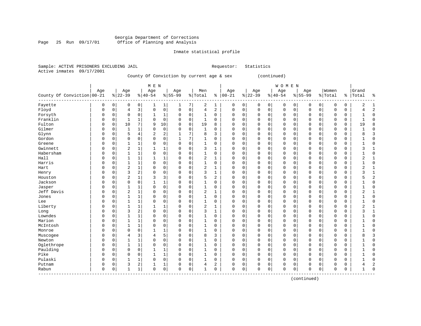#### Georgia Department of Corrections Page 25 Run 09/17/01 Office of Planning and Analysis

#### Inmate statistical profile

| Sample: ACTIVE PRISONERS EXCLUDING JAIL | Requestor: Statistics |  |
|-----------------------------------------|-----------------------|--|
| Active inmates 09/17/2001               |                       |  |

### County Of Conviction by current age & sex (continued)

|                            |             |             |                |              | M E N          |                |             |             |                |             |             |             |           |             | WOMEN       |             |             |             |             |             |                |                |
|----------------------------|-------------|-------------|----------------|--------------|----------------|----------------|-------------|-------------|----------------|-------------|-------------|-------------|-----------|-------------|-------------|-------------|-------------|-------------|-------------|-------------|----------------|----------------|
|                            | Age         |             | Age            |              | Age            |                | Age         |             | Men            |             | Age         |             | Age       |             | Age         |             | Age         |             | Women       |             | Grand          |                |
| County Of Conviction 00-21 |             |             | $8 22-39$      |              | $8 40-54$      |                | $8155 - 99$ |             | % Total        |             | $% 100-21$  |             | $8 22-39$ |             | $8 40-54$   |             | $8155 - 99$ |             | % Total     | ွေ          | Total          | နွ             |
| Fayette                    | $\Omega$    | 0           | 0              | 0            |                | 1              | 1           | 7           | 2              | 1           | 0           | 0           | $\Omega$  | 0           | 0           | 0           | 0           | 0           | $\Omega$    | 0           | 2              | $\mathbf{1}$   |
| Floyd                      | $\Omega$    | $\Omega$    | 4              | 3            | $\Omega$       | $\mathbf 0$    | $\Omega$    | $\Omega$    | $\overline{4}$ | 2           | $\mathbf 0$ | $\mathbf 0$ | $\Omega$  | $\mathbf 0$ | $\mathbf 0$ | $\mathbf 0$ | $\mathbf 0$ | $\mathbf 0$ | $\mathbf 0$ | $\mathbf 0$ | 4              | $\overline{2}$ |
| Forsyth                    | $\Omega$    | $\Omega$    | $\Omega$       | 0            | 1              | 1              | 0           | 0           | 1              | 0           | 0           | $\mathbf 0$ | $\Omega$  | 0           | 0           | 0           | $\mathbf 0$ | $\mathbf 0$ | 0           | 0           | 1              | $\Omega$       |
| Franklin                   | $\Omega$    | $\mathbf 0$ | 1              | 1            | $\Omega$       | $\mathbf 0$    | 0           | $\mathbf 0$ | $\mathbf{1}$   | 0           | 0           | $\mathbf 0$ | $\Omega$  | $\mathbf 0$ | 0           | 0           | $\mathbf 0$ | $\Omega$    | 0           | 0           | $\mathbf{1}$   | $\Omega$       |
| Fulton                     | $\Omega$    | $\mathbf 0$ | 10             | 7            | 9              | 10             | $\Omega$    | $\mathbf 0$ | 19             | 8           | $\Omega$    | 0           | $\Omega$  | 0           | $\Omega$    | $\mathbf 0$ | $\mathbf 0$ | $\mathbf 0$ | $\Omega$    | $\mathbf 0$ | 19             | 8              |
| Gilmer                     | $\Omega$    | $\mathbf 0$ | $\mathbf{1}$   | 1            | $\Omega$       | $\mathbf 0$    | 0           | $\mathbf 0$ | $\mathbf{1}$   | $\Omega$    | $\Omega$    | 0           | $\Omega$  | $\mathbf 0$ | $\Omega$    | 0           | $\mathbf 0$ | 0           | 0           | 0           |                | $\Omega$       |
| Glynn                      | $\Omega$    | $\mathbf 0$ | 5              | 4            | $\overline{2}$ | $\overline{2}$ | 1           | 7           | 8              | 3           | $\Omega$    | 0           | $\Omega$  | $\mathbf 0$ | $\mathbf 0$ | 0           | $\mathbf 0$ | $\mathbf 0$ | $\mathbf 0$ | $\mathbf 0$ | 8              | 3              |
| Gordon                     | $\Omega$    | 0           | $\Omega$       | 0            | $\Omega$       | $\mathbf 0$    | 1           | 7           | 1              | 0           | 0           | $\mathbf 0$ | 0         | $\mathbf 0$ | $\mathbf 0$ | 0           | $\mathbf 0$ | $\mathbf 0$ | $\Omega$    | 0           |                | $\Omega$       |
| Greene                     | $\Omega$    | $\Omega$    | 1              | 1            | $\Omega$       | $\mathbf 0$    | 0           | 0           | $\mathbf{1}$   | $\Omega$    | $\Omega$    | $\mathbf 0$ | $\Omega$  | $\mathbf 0$ | 0           | $\Omega$    | $\mathbf 0$ | $\mathbf 0$ | $\Omega$    | 0           |                | $\Omega$       |
| Gwinnett                   | $\Omega$    | $\Omega$    | $\overline{a}$ | 1            |                | 1              | 0           | $\Omega$    | 3              | 1           | $\Omega$    | $\mathbf 0$ | $\Omega$  | 0           | $\Omega$    | $\Omega$    | $\mathbf 0$ | $\mathbf 0$ | $\Omega$    | $\mathbf 0$ | 3              | $\mathbf{1}$   |
| Habersham                  | $\Omega$    | $\Omega$    | $\mathbf{1}$   | $\mathbf{1}$ | $\Omega$       | $\Omega$       | 0           | $\Omega$    | $\mathbf{1}$   | $\Omega$    | $\Omega$    | $\Omega$    | $\Omega$  | $\Omega$    | $\Omega$    | $\Omega$    | $\Omega$    | $\Omega$    | $\Omega$    | 0           |                | $\Omega$       |
| Hall                       | $\Omega$    | $\Omega$    | 1              | 1            |                | $\mathbf{1}$   | 0           | $\Omega$    | $\overline{2}$ | 1           | $\Omega$    | $\Omega$    | $\Omega$  | $\mathbf 0$ | $\Omega$    | $\Omega$    | $\Omega$    | $\Omega$    | $\Omega$    | 0           | 2              |                |
| Harris                     | $\Omega$    | $\Omega$    | $\mathbf{1}$   | $\mathbf{1}$ | $\Omega$       | $\mathbf 0$    | 0           | 0           | 1              | 0           | 0           | $\mathbf 0$ | $\Omega$  | $\mathbf 0$ | $\Omega$    | $\Omega$    | $\mathbf 0$ | $\Omega$    | 0           | 0           |                | $\Omega$       |
| Hart                       | $\Omega$    | 0           | 2              | $\mathbf 1$  | $\Omega$       | $\mathbf 0$    | 0           | $\mathsf 0$ | $\sqrt{2}$     | 1           | $\Omega$    | 0           | $\Omega$  | 0           | $\Omega$    | 0           | $\mathbf 0$ | $\mathbf 0$ | 0           | $\mathbf 0$ | 2              | $\mathbf{1}$   |
| Henry                      | $\Omega$    | $\Omega$    | 3              | 2            | $\Omega$       | 0              | 0           | $\Omega$    | 3              | 1           | $\Omega$    | 0           | $\Omega$  | 0           | $\Omega$    | 0           | $\mathbf 0$ | 0           | $\Omega$    | 0           | 3              | $\mathbf{1}$   |
| Houston                    | $\Omega$    | $\Omega$    | $\overline{2}$ | 1            | 3              | 3              | 0           | $\mathbf 0$ | 5              | 2           | $\Omega$    | 0           | $\Omega$  | $\mathbf 0$ | $\mathbf 0$ | 0           | $\mathbf 0$ | $\mathbf 0$ | $\Omega$    | $\mathbf 0$ | 5              | $\overline{c}$ |
| Jackson                    | $\Omega$    | 0           | $\Omega$       | $\mathbf 0$  |                | $\mathbf{1}$   | 0           | $\Omega$    | 1              | 0           | $\Omega$    | $\mathbf 0$ | 0         | $\mathbf 0$ | $\mathbf 0$ | 0           | $\mathbf 0$ | $\mathbf 0$ | $\mathbf 0$ | $\mathbf 0$ |                | $\Omega$       |
| Jasper                     | $\Omega$    | $\Omega$    |                | 1            | $\Omega$       | $\mathbf 0$    | 0           | 0           | $\mathbf{1}$   | 0           | 0           | $\mathbf 0$ | 0         | $\mathbf 0$ | $\mathbf 0$ | 0           | $\mathbf 0$ | $\mathbf 0$ | 0           | $\mathbf 0$ |                | $\Omega$       |
| Jeff Davis                 | $\Omega$    | $\Omega$    | $\overline{2}$ | 1            | $\Omega$       | $\mathbf 0$    | 0           | $\mathbf 0$ | $\overline{c}$ |             | 0           | $\mathbf 0$ | 0         | $\mathbf 0$ | $\mathbf 0$ | 0           | $\mathbf 0$ | $\mathbf 0$ | $\Omega$    | $\mathbf 0$ | $\overline{2}$ | $\mathbf{1}$   |
| Jones                      | $\Omega$    | $\Omega$    | 1              | $\mathbf{1}$ | $\Omega$       | $\mathbf 0$    | 0           | $\mathbf 0$ | 1              | 0           | 0           | $\mathbf 0$ | $\Omega$  | 0           | 0           | 0           | $\mathbf 0$ | $\mathbf 0$ | 0           | 0           |                | $\Omega$       |
| Lee                        | $\Omega$    | $\Omega$    | -1             | $\mathbf{1}$ | $\Omega$       | $\Omega$       | 0           | $\Omega$    | 1              | 0           | $\Omega$    | $\Omega$    | $\Omega$  | $\mathbf 0$ | $\Omega$    | $\Omega$    | $\Omega$    | $\Omega$    | $\Omega$    | $\Omega$    | 1              | $\Omega$       |
| Liberty                    | $\Omega$    | $\Omega$    | 1              | 1            |                | 1              | 0           | $\Omega$    | $\overline{2}$ | 1           | 0           | $\mathbf 0$ | $\Omega$  | $\mathbf 0$ | 0           | 0           | $\mathbf 0$ | $\mathbf 0$ | $\Omega$    | 0           | $\overline{2}$ |                |
| Long                       | $\Omega$    | $\Omega$    | 3              | 2            | $\Omega$       | $\mathsf 0$    | 0           | 0           | 3              | 1           | $\Omega$    | $\mathsf 0$ | $\Omega$  | 0           | $\Omega$    | 0           | 0           | $\mathbf 0$ | $\Omega$    | 0           | 3              |                |
| Lowndes                    | $\Omega$    | $\Omega$    | $\mathbf{1}$   | 1            | $\Omega$       | 0              | 0           | 0           | $\mathbf{1}$   | 0           | $\Omega$    | 0           | $\Omega$  | $\mathbf 0$ | 0           | 0           | 0           | 0           | 0           | 0           |                | $\Omega$       |
| Marion                     | $\Omega$    | $\Omega$    | $\mathbf{1}$   | 1            | $\Omega$       | $\mathbf 0$    | 0           | $\mathbf 0$ | $\mathbf{1}$   | $\Omega$    | $\Omega$    | $\mathbf 0$ | $\Omega$  | $\mathbf 0$ | $\Omega$    | 0           | $\mathbf 0$ | $\mathbf 0$ | $\mathbf 0$ | $\mathbf 0$ |                | $\Omega$       |
| McIntosh                   | $\Omega$    | $\Omega$    | -1             | 1            | $\Omega$       | $\mathbf 0$    | 0           | $\mathbf 0$ | 1              | 0           | $\Omega$    | 0           | $\Omega$  | 0           | $\mathbf 0$ | 0           | $\mathbf 0$ | 0           | $\mathbf 0$ | 0           |                | $\Omega$       |
| Monroe                     | $\Omega$    | $\Omega$    | 0              | 0            |                | $\mathbf{1}$   | 0           | $\mathbf 0$ | 1              | 0           | $\mathbf 0$ | 0           | $\Omega$  | $\mathbf 0$ | $\mathbf 0$ | 0           | $\mathbf 0$ | 0           | $\Omega$    | 0           |                | $\Omega$       |
| Muscogee                   | $\Omega$    | $\Omega$    | 4              | 3            | 4              | 5              | 0           | $\Omega$    | 8              | 3           | $\Omega$    | $\mathbf 0$ | $\Omega$  | $\mathbf 0$ | 0           | 0           | $\mathbf 0$ | $\mathbf 0$ | $\Omega$    | $\mathbf 0$ | 8              | 3              |
| Newton                     | $\Omega$    | $\Omega$    |                | 1            | $\Omega$       | $\Omega$       | 0           | $\Omega$    | $\mathbf{1}$   | $\Omega$    | $\Omega$    | $\mathbf 0$ | $\Omega$  | $\mathbf 0$ | $\mathbf 0$ | $\Omega$    | $\mathbf 0$ | $\mathbf 0$ | $\mathbf 0$ | 0           |                | $\Omega$       |
| Oglethrope                 | $\Omega$    | $\Omega$    | $\mathbf{1}$   | 1            | $\Omega$       | $\Omega$       | 0           | $\Omega$    | 1              | $\Omega$    | $\Omega$    | $\Omega$    | $\Omega$  | $\Omega$    | $\Omega$    | $\Omega$    | $\Omega$    | $\Omega$    | $\Omega$    | $\Omega$    |                | <sup>0</sup>   |
| Paulding                   | $\Omega$    | $\Omega$    | $\Omega$       | $\mathbf 0$  |                | $\mathbf{1}$   | 0           | 0           | $\mathbf{1}$   | 0           | $\Omega$    | $\mathbf 0$ | $\Omega$  | $\mathbf 0$ | 0           | $\Omega$    | $\mathbf 0$ | $\Omega$    | 0           | 0           |                | 0              |
| Pike                       | $\Omega$    | $\Omega$    | $\Omega$       | $\mathbf 0$  |                | 1              | 0           | $\mathbf 0$ | 1              | 0           | $\Omega$    | $\mathbf 0$ | $\Omega$  | $\mathbf 0$ | $\mathbf 0$ | 0           | $\mathbf 0$ | $\Omega$    | $\Omega$    | $\mathbf 0$ |                | $\Omega$       |
| Pulaski                    | $\Omega$    | $\Omega$    |                | 1            | $\Omega$       | $\mathsf 0$    | $\Omega$    | $\mathsf 0$ |                | $\mathbf 0$ | $\Omega$    | 0           | $\Omega$  | 0           | $\Omega$    | $\mathbf 0$ | 0           | $\mathbf 0$ | $\Omega$    | $\mathbf 0$ |                | $\Omega$       |
| Putnam                     | $\Omega$    | 0           | 3              | 2            |                | 1              | 0           | $\mathbf 0$ | $\overline{4}$ | 2           | $\Omega$    | 0           | $\Omega$  | $\mathbf 0$ | 0           | 0           | 0           | 0           | 0           | $\mathsf 0$ | 4              | 2              |
| Rabun<br>---------         | $\mathbf 0$ | 0           | $\mathbf{1}$   | 1            | $\Omega$       | $\mathbf 0$    | 0           | $\mathsf 0$ | 1              | 0           | $\Omega$    | 0           | $\Omega$  | 0           | $\mathbf 0$ | 0           | $\mathbf 0$ | 0           | 0           | $\mathbf 0$ | 1              | $\Omega$       |

(continued)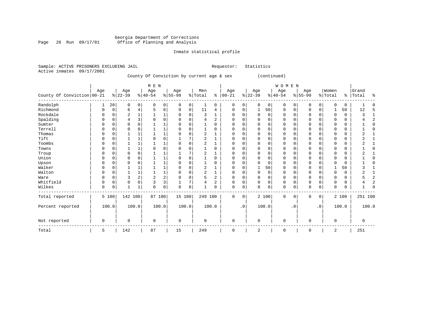#### Georgia Department of Corrections Page 26 Run 09/17/01 Office of Planning and Analysis

## Inmate statistical profile

| Sample: ACTIVE PRISONERS EXCLUDING JAIL |            |                                           |     |     | Requestor:                              | Statistics |              |     |         |             |  |
|-----------------------------------------|------------|-------------------------------------------|-----|-----|-----------------------------------------|------------|--------------|-----|---------|-------------|--|
| Active inmates 09/17/2001               |            |                                           |     |     |                                         |            |              |     |         |             |  |
|                                         |            | County Of Conviction by current age & sex |     |     |                                         |            | (continued)  |     |         |             |  |
|                                         |            |                                           |     |     |                                         |            |              |     |         |             |  |
|                                         |            | MEN                                       |     |     |                                         |            | <b>WOMEN</b> |     |         |             |  |
|                                         | Aqe<br>Age | Age                                       | Age | Men | Aqe                                     | Age        | Aqe          | Aqe | Women   | Grand       |  |
| County Of Conviction 00-21              | % 22-39    | $\frac{1}{6}$  40-54 $\frac{1}{6}$  55-99 |     |     | % Total % 00-21 % 22-39 % 40-54 % 55-99 |            |              |     | % Total | %   Total % |  |
|                                         |            |                                           |     |     |                                         |            |              |     |         |             |  |

| Randolph         |   | 20       | 0              | 0 | 0           | 0            | $\mathbf 0$ | 0           |                | 0        | $\mathbf 0$ | 0           | O        | $\overline{0}$ | 0        | 0               | U           | 0              | $\Omega$ | 0     |          | C |
|------------------|---|----------|----------------|---|-------------|--------------|-------------|-------------|----------------|----------|-------------|-------------|----------|----------------|----------|-----------------|-------------|----------------|----------|-------|----------|---|
| Richmond         | 0 | 0        | 6              | 4 |             | 6            | 0           | 0           | 11             | 4        | 0           | 0           |          | 50             | $\Omega$ | 0               | $\Omega$    | 0              |          | 50    | 12       |   |
| Rockdale         | 0 | $\Omega$ | $\overline{2}$ |   |             | 1            | $\Omega$    | $\mathbf 0$ | 3              |          | 0           | 0           | $\Omega$ | $\Omega$       | 0        | $\Omega$        | O           |                | $\Omega$ | 0     |          |   |
| Spalding         | U |          | 4              | 3 |             | $\mathbf 0$  | 0           | $\Omega$    | 4              | 2        | O           | O           |          |                | U        |                 | O           |                | $\Omega$ | 0     |          |   |
| Sumter           |   |          | $\Omega$       |   |             |              |             | $\Omega$    |                | 0        |             |             |          |                |          |                 |             |                |          | 0     |          |   |
| Terrell          | O |          | $\Omega$       |   |             | $\mathbf{1}$ |             | $\Omega$    |                | $\Omega$ | O           |             |          |                | O        |                 |             |                | U        | 0     |          |   |
| Thomas           | U |          |                |   |             | $\mathbf{1}$ | O           | $\Omega$    |                |          | O           | O           |          |                | U        |                 | U           |                | $\Omega$ | 0     |          |   |
| Tift             | U |          |                |   |             | $\Omega$     |             |             | 2              |          |             |             |          |                | U        |                 |             |                |          | 0     |          |   |
| Toombs           | 0 |          |                |   |             | 1            | 0           | $\mathbf 0$ | $\overline{c}$ |          | 0           | O           |          |                | 0        |                 | O           |                | $\Omega$ | 0     |          |   |
| Towns            | U |          |                |   |             | $\mathbf 0$  |             | C           |                | $\Omega$ | U           |             |          |                | U        |                 | U           |                | $\Omega$ | 0     |          |   |
| Troup            |   |          | $\Omega$       |   |             |              |             |             |                |          |             |             |          |                |          |                 |             |                |          | 0     |          |   |
| Union            | U |          | $\Omega$       |   |             | $\mathbf{1}$ |             | $\Omega$    |                | 0        | U           |             |          |                | O        |                 |             |                |          | 0     |          |   |
| Upson            | U |          | $\Omega$       |   |             | 1            |             | $\Omega$    |                | $\Omega$ | O           | U           |          | n              | U        |                 |             |                | $\Omega$ | 0     |          |   |
| Walker           |   |          |                |   |             | 1            |             | $\Omega$    | $\overline{c}$ |          |             | O           |          | 50             |          |                 |             |                |          | 50    |          |   |
| Walton           | 0 |          |                |   |             | $\mathbf 1$  |             | $\Omega$    | $\overline{c}$ |          | O           | 0           | $\Omega$ | $\Omega$       | O        |                 | $\Omega$    |                | U        | 0     |          |   |
| Ware             | U |          | 3              | 2 |             | 2            | 0           | $\mathbf 0$ | 5              | 2        | 0           | O           | O        |                | 0        |                 | U           | O              | $\Omega$ | 0     |          |   |
| Whitfield        | 0 |          | 0              | 0 |             | 3            |             | 7           | 4              | 2        |             | 0           |          |                | 0        |                 | 0           | 0              | 0        | 0     |          |   |
| Wilkes           | 0 |          | 1              |   | 0           | 0            | $\Omega$    | $\mathbf 0$ | 1              | 0        | $\Omega$    | 0           |          | 0              | 0        | 0               | $\Omega$    | 0              | 0        | 0     |          |   |
| Total reported   |   | 5 100    | 142 100        |   | 87 100      |              | 15 100      |             | 249 100        |          | $\mathbf 0$ | $\mathbf 0$ |          | 2 100          | 0        | $\Omega$        | $\Omega$    | $\overline{0}$ |          | 2 100 | 251 100  |   |
| Percent reported |   | 100.0    | 100.0          |   |             | 100.0        |             | 100.0       |                | 100.0    |             | $\cdot$ 0   |          | 100.0          |          | .0 <sup>1</sup> |             | .0'            |          | 100.0 | 100.0    |   |
| Not reported     | 0 |          | $\mathbf 0$    |   | $\mathbf 0$ |              | $\mathbf 0$ |             | $\mathbf 0$    |          | $\mathbf 0$ |             | $\Omega$ |                | 0        |                 | $\mathbf 0$ |                | $\Omega$ |       | $\Omega$ |   |
| Total            | 5 |          | 142            |   | 87          |              | 15          |             | 249            |          | 0           |             | 2        |                | 0        |                 | $\mathbf 0$ |                | 2        |       | 251      |   |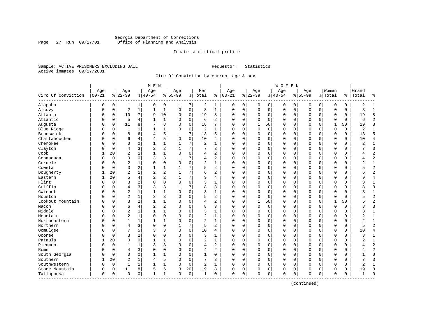#### Georgia Department of Corrections Page 27 Run 09/17/01 Office of Planning and Analysis

#### Inmate statistical profile

Sample: ACTIVE PRISONERS EXCLUDING JAIL **Requestor:** Statistics Active inmates 09/17/2001

Circ Of Conviction by current age & sex

|                            |                   |             |                 |              | M E N            |              |                  |             |                |                |                 |             |                 |             | W O M E N       |             |                  |             |                  |          |                |                |
|----------------------------|-------------------|-------------|-----------------|--------------|------------------|--------------|------------------|-------------|----------------|----------------|-----------------|-------------|-----------------|-------------|-----------------|-------------|------------------|-------------|------------------|----------|----------------|----------------|
| Circ Of Conviction         | Age<br>$ 00 - 21$ |             | Age<br>$ 22-39$ |              | Age<br>$8 40-54$ |              | Age<br>$8 55-99$ |             | Men<br>% Total | ి              | Age<br>$ 00-21$ |             | Age<br>$ 22-39$ |             | Age<br>$ 40-54$ |             | Age<br>$8 55-99$ |             | Women<br>% Total | ి        | Grand<br>Total | ႜ              |
| Alapaha                    | 0                 | 0           | 1               | 1            | 0                | 0            | 1                | 7           | 2              | 1              | 0               | 0           | 0               | 0           | 0               | 0           | 0                | 0           | O                | 0        | 2              | $\mathbf{1}$   |
| Alcovy                     | 0                 | $\mathbf 0$ | $\overline{2}$  | $\mathbf{1}$ | $\mathbf 1$      | $\mathbf{1}$ | $\Omega$         | $\mathbf 0$ | 3              | $\mathbf{1}$   | $\mathbf 0$     | $\mathbf 0$ | $\mathbf{0}$    | $\mathbf 0$ | $\mathbf 0$     | $\mathbf 0$ | $\Omega$         | $\mathbf 0$ | $\Omega$         | 0        | 3              | $\mathbf{1}$   |
| Atlanta                    | 0                 | $\mathbf 0$ | 10              | 7            | 9                | 10           | $\Omega$         | 0           | 19             | 8              | $\Omega$        | 0           | $\mathbf 0$     | 0           | 0               | $\mathbf 0$ | 0                | 0           | O                | 0        | 19             | 8              |
| Atlantic                   | 0                 | $\mathbf 0$ | 5               | 4            | $\mathbf{1}$     | $1\,$        | $\Omega$         | $\mathbf 0$ | 6              | $\overline{a}$ | $\Omega$        | $\Omega$    | $\Omega$        | $\Omega$    | $\Omega$        | $\mathbf 0$ | $\Omega$         | $\Omega$    | $\Omega$         | 0        | 6              | $\overline{2}$ |
| Augusta                    | U                 | $\Omega$    | 11              | 8            | 7                | 8            | $\Omega$         | $\Omega$    | 18             | 7              | $\Omega$        | $\Omega$    | 1               | 50          | O               | $\Omega$    | $\Omega$         | $\Omega$    | $\mathbf{1}$     | 50       | 19             | 8              |
| Blue Ridge                 | U                 | $\mathbf 0$ | $\mathbf{1}$    | 1            | 1                | $\mathbf 1$  | $\Omega$         | $\mathbf 0$ | 2              | $\mathbf{1}$   | $\Omega$        | $\Omega$    | $\Omega$        | $\mathbf 0$ | 0               | $\Omega$    | $\Omega$         | $\Omega$    | $\Omega$         | 0        | 2              | $\mathbf{1}$   |
| Brunswick                  | Ω                 | 0           | 8               | 6            | 4                | 5            |                  | 7           | 13             | 5              | $\Omega$        | 0           | 0               | 0           | 0               | 0           | $\Omega$         | $\mathbf 0$ | O                | 0        | 13             | 5              |
| Chattahoochee              | 0                 | $\Omega$    | 6               | 4            | 4                | 5            | $\Omega$         | $\Omega$    | 10             | 4              | $\Omega$        | $\Omega$    | $\Omega$        | 0           | 0               | $\Omega$    | $\Omega$         | $\Omega$    | $\Omega$         | 0        | 10             | $\overline{4}$ |
| Cherokee                   | O                 | $\mathbf 0$ | $\Omega$        | $\Omega$     | 1                | $\mathbf 1$  |                  | 7           | 2              | $\mathbf{1}$   | $\Omega$        | 0           | $\mathbf 0$     | 0           | 0               | $\mathbf 0$ | $\Omega$         | $\mathbf 0$ | $\Omega$         | 0        | $\overline{2}$ | $\mathbf{1}$   |
| Clayton                    | U                 | $\mathbf 0$ | $\overline{4}$  | 3            | $\overline{a}$   | 2            |                  | 7           | 7              | 3              | $\Omega$        | 0           | $\Omega$        | 0           | 0               | 0           | $\Omega$         | 0           | $\Omega$         | 0        |                | 3              |
| Cobb                       |                   | 20          | $\overline{c}$  | $\mathbf{1}$ | $\mathbf{1}$     | $\mathbf{1}$ | $\Omega$         | $\Omega$    | 4              | $\overline{a}$ | $\Omega$        | $\Omega$    | $\Omega$        | 0           | 0               | $\Omega$    | $\Omega$         | $\Omega$    | $\Omega$         | 0        | 4              | $\overline{c}$ |
| Conasauga                  | 0                 | $\Omega$    | $\mathbf 0$     | $\Omega$     | 3                | 3            | 1                | 7           | 4              | $\overline{a}$ | $\Omega$        | $\Omega$    | $\Omega$        | $\Omega$    | 0               | $\Omega$    | $\Omega$         | $\Omega$    | $\Omega$         | $\Omega$ | 4              | $\overline{a}$ |
| Cordele                    | Λ                 | $\mathbf 0$ | $\overline{c}$  | 1            | $\Omega$         | 0            | $\Omega$         | $\mathbf 0$ | 2              | $\mathbf{1}$   | $\Omega$        | 0           | $\Omega$        | 0           | O               | $\Omega$    | $\Omega$         | $\mathbf 0$ | $\Omega$         | 0        | 2              | $\mathbf{1}$   |
| Coweta                     | Λ                 | $\mathbf 0$ | 3               | 2            | $\mathbf{1}$     | 1            |                  | 7           | 5              | $\overline{2}$ | $\Omega$        | $\Omega$    | $\Omega$        | 0           | 0               | $\Omega$    | $\Omega$         | $\Omega$    | $\Omega$         | 0        | 5              | $\overline{2}$ |
| Dougherty                  |                   | 20          | $\overline{2}$  | 1            | $\overline{2}$   | 2            |                  | 7           | 6              | 2              | $\Omega$        | 0           | $\mathbf 0$     | 0           | 0               | $\mathbf 0$ | $\Omega$         | 0           | $\Omega$         | 0        | б              | $\overline{c}$ |
| Eastern                    |                   | 20          | 5               | 4            | $\overline{2}$   | 2            |                  | 7           | 9              | 4              | $\Omega$        | $\Omega$    | $\Omega$        | $\Omega$    | 0               | $\Omega$    | $\Omega$         | $\Omega$    | $\Omega$         | 0        | 9              | $\overline{4}$ |
| Flint                      | O                 | $\Omega$    | 3               | 2            | $\Omega$         | 0            | $\Omega$         | $\Omega$    | 3              | $\mathbf{1}$   | $\Omega$        | $\Omega$    | $\Omega$        | $\Omega$    | 0               | $\Omega$    | $\Omega$         | $\Omega$    | $\cap$           | 0        | 3              | $\mathbf{1}$   |
| Griffin                    | 0                 | $\Omega$    | $\overline{4}$  | 3            | 3                | 3            |                  | 7           | 8              | 3              | $\Omega$        | $\Omega$    | U               | $\Omega$    | 0               | $\Omega$    | $\Omega$         | $\Omega$    | $\Omega$         | 0        | 8              | 3              |
| Gwinnett                   | U                 | $\mathbf 0$ | $\overline{2}$  | 1            | $\mathbf{1}$     | 1            | $\Omega$         | $\mathbf 0$ | 3              | $\mathbf{1}$   | $\Omega$        | 0           | $\Omega$        | 0           | 0               | 0           | $\Omega$         | $\mathbf 0$ | $\Omega$         | 0        | 3              | $\mathbf{1}$   |
| Houston                    | U                 | $\mathbf 0$ | $\overline{2}$  | $\mathbf{1}$ | 3                | 3            |                  | $\mathbf 0$ | 5              | $\overline{2}$ | $\Omega$        | 0           | $\Omega$        | 0           | 0               | 0           | $\Omega$         | 0           | O                | 0        |                | $\overline{c}$ |
| Lookout Mountain           | O                 | $\Omega$    | 3               | 2            | $\mathbf{1}$     | $\mathbf{1}$ | $\Omega$         | $\mathbf 0$ | 4              | $\overline{a}$ | $\Omega$        | 0           | $\mathbf{1}$    | 50          | $\Omega$        | $\mathbf 0$ | $\Omega$         | $\Omega$    | $\mathbf{1}$     | 50       |                | $\overline{2}$ |
| Macon                      | U                 | $\mathbf 0$ | 6               | 4            | 2                | 2            | $\Omega$         | 0           | 8              | 3              | $\Omega$        | 0           | $\mathbf 0$     | 0           | 0               | 0           | $\Omega$         | $\Omega$    | O                | 0        | 8              | $\overline{3}$ |
| Middle                     | U                 | $\Omega$    | $\overline{2}$  | $\mathbf{1}$ | $\mathbf{1}$     | $\mathbf 1$  | ∩                | $\Omega$    | 3              | 1              | $\Omega$        | 0           | $\Omega$        | $\Omega$    | $\Omega$        | $\Omega$    | $\Omega$         | $\Omega$    | $\Omega$         | 0        | 3              | $\mathbf{1}$   |
| Mountain                   | 0                 | $\mathbf 0$ | $\overline{2}$  | 1            | $\mathbf 0$      | 0            | $\Omega$         | $\mathbf 0$ | $\overline{a}$ | 1              | $\Omega$        | 0           | $\Omega$        | 0           | 0               | $\Omega$    | $\Omega$         | 0           | $\Omega$         | 0        | $\overline{2}$ | 1              |
| Northeastern               | 0                 | $\mathbf 0$ | $\mathbf{1}$    |              | $\mathbf{1}$     | $\mathbf{1}$ | $\Omega$         | $\mathbf 0$ | $\overline{2}$ | $\mathbf{1}$   | $\Omega$        | $\Omega$    | $\Omega$        | 0           | 0               | $\Omega$    | $\Omega$         | $\Omega$    | $\Omega$         | 0        | 2              | $\mathbf{1}$   |
| Northern                   | U                 | $\Omega$    | $\overline{4}$  | 3            | $\Omega$         | 0            |                  | 7           | 5              | $\overline{2}$ | $\Omega$        | $\Omega$    | $\Omega$        | $\Omega$    | 0               | $\Omega$    | $\Omega$         | $\Omega$    | $\Omega$         | 0        | 5              | $\overline{2}$ |
| Ocmulgee                   | U                 | $\mathbf 0$ | 7               | 5            | 3                | 3            | $\Omega$         | $\mathbf 0$ | 10             | 4              | $\Omega$        | 0           | $\mathbf 0$     | 0           | 0               | $\mathbf 0$ | $\Omega$         | 0           | $\Omega$         | 0        | 10             | $\overline{4}$ |
| Oconee                     | 0                 | $\Omega$    | 3               | 2            | $\Omega$         | 0            | $\Omega$         | 0           | 3              | $\mathbf{1}$   | $\Omega$        | $\Omega$    | $\Omega$        | $\Omega$    | 0               | $\Omega$    | $\Omega$         | $\Omega$    | $\Omega$         | 0        | 3              | 1              |
| Pataula                    |                   | 20          | $\Omega$        | $\Omega$     | $\mathbf{1}$     | 1            | $\Omega$         | $\Omega$    | $\overline{2}$ | $\mathbf{1}$   | $\Omega$        | $\Omega$    | $\Omega$        | $\Omega$    | 0               | $\Omega$    | $\Omega$         | $\Omega$    | $\Omega$         | O        |                | $\mathbf{1}$   |
| Piedmont                   | U                 | $\mathbf 0$ | 1               | 1            | 3                | 3            | $\Omega$         | $\Omega$    | 4              | $\overline{2}$ | $\Omega$        | $\Omega$    | $\Omega$        | $\Omega$    | $\Omega$        | $\Omega$    | $\Omega$         | $\Omega$    | $\Omega$         | 0        | 4              | $\overline{2}$ |
| Rome                       | 0                 | $\mathbf 0$ | $\overline{4}$  | 3            | $\Omega$         | 0            | $\Omega$         | $\mathbf 0$ | 4              | $\overline{c}$ | $\Omega$        | $\Omega$    | $\mathbf 0$     | 0           | 0               | $\Omega$    | $\Omega$         | 0           | $\Omega$         | 0        | 4              | $\overline{2}$ |
| South Georgia              | U                 | $\mathbf 0$ | $\Omega$        | 0            | 1                | 1            |                  | $\mathbf 0$ | 1              | 0              | $\Omega$        | 0           | $\Omega$        | 0           | 0               | $\mathbf 0$ | $\Omega$         | 0           | $\Omega$         | 0        | 1              | $\mathbf 0$    |
| Southern                   |                   | 20          | $\overline{c}$  | 1            | 4                | 5            | $\Omega$         | $\mathbf 0$ | 7              | 3              | $\Omega$        | $\Omega$    | $\Omega$        | 0           | 0               | $\mathbf 0$ | $\Omega$         | $\Omega$    | $\Omega$         | $\Omega$ | 7              | 3              |
| Southwestern               | 0                 | 0           | $\mathbf{1}$    | 1            | $\mathbf{1}$     | 1            | $\Omega$         | $\mathbf 0$ | 2              | 1              | $\Omega$        | 0           | $\mathbf 0$     | 0           | 0               | 0           | $\Omega$         | 0           | $\Omega$         | 0        | $\overline{2}$ | 1              |
| Stone Mountain             | 0                 | 0           | 11              | 8            | 5                | 6            | 3                | 20          | 19             | 8              | 0               | 0           | 0               | 0           | 0               | 0           | $\Omega$         | 0           | $\Omega$         | 0        | 19             | 8              |
| Tallapoosa<br>------------ | 0                 | $\mathbf 0$ | $\mathbf 0$     | 0            | $\mathbf{1}$     | 1            | $\Omega$         | 0           | 1              | $\Omega$       | $\mathbf 0$     | 0           | $\Omega$        | $\mathbf 0$ | 0               | $\mathbf 0$ | $\Omega$         | 0           | $\mathbf 0$      | 0        | 1              | $\cap$         |

(continued)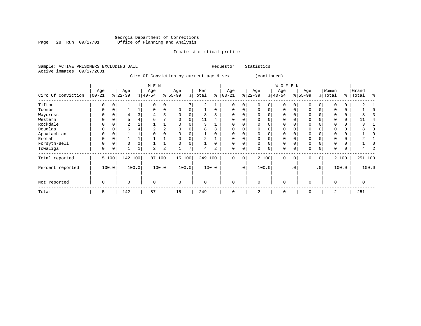### Georgia Department of Corrections Page 28 Run 09/17/01 Office of Planning and Analysis

#### Inmate statistical profile

Sample: ACTIVE PRISONERS EXCLUDING JAIL **Requestor:** Statistics Active inmates 09/17/2001

Circ Of Conviction by current age & sex (continued)

|                    |                   |          |                 |       | M E N            |                |                 |       |                |       |                   |             |                 |             | W O M E N        |           |                 |                 |                  |       |                |       |
|--------------------|-------------------|----------|-----------------|-------|------------------|----------------|-----------------|-------|----------------|-------|-------------------|-------------|-----------------|-------------|------------------|-----------|-----------------|-----------------|------------------|-------|----------------|-------|
| Circ Of Conviction | Age<br>$ 00 - 21$ |          | Age<br>$ 22-39$ |       | Age<br>$ 40-54 $ |                | Age<br>$ 55-99$ |       | Men<br>% Total | နွ    | Age<br>$ 00 - 21$ |             | Age<br>$ 22-39$ |             | Age<br>$ 40-54 $ |           | Age<br>$ 55-99$ |                 | Women<br>% Total | နွ    | Grand<br>Total | ႜ     |
| Tifton             | 0                 | $\Omega$ |                 |       | $\Omega$         | 0              |                 |       | 2              |       | $\Omega$          | 0           | $\Omega$        | $\Omega$    | $\Omega$         |           | O               | $\Omega$        |                  |       |                |       |
| Toombs             | 0                 | $\Omega$ |                 |       | $\Omega$         | 0              | $\Omega$        |       |                |       | $\Omega$          | 0           | $\Omega$        | $\Omega$    | $\Omega$         |           | $\Omega$        | $\Omega$        |                  | 0     |                |       |
| Waycross           |                   |          |                 |       |                  | 5              |                 |       | 8              |       |                   |             |                 |             | O                |           |                 |                 |                  |       |                |       |
| Western            | U                 |          |                 |       |                  |                |                 |       | 11             |       |                   |             |                 |             | 0                |           |                 |                 |                  | 0     |                |       |
| Rockdale           | 0                 |          | 2               |       |                  |                |                 |       |                |       |                   |             |                 |             | $\Omega$         |           |                 |                 |                  | 0     |                |       |
| Douglas            |                   | 0        | 6               |       |                  | $\overline{a}$ |                 |       | 8              |       |                   |             |                 |             | 0                |           |                 |                 |                  |       |                |       |
| Appalachian        | 0                 | 0        |                 |       |                  | 0              |                 |       |                |       | $\Omega$          | U           |                 | $\Omega$    | 0                |           | $\Omega$        |                 |                  |       |                |       |
| Enotah             | U                 |          |                 |       |                  |                |                 |       |                |       | O                 | U           | <sup>0</sup>    |             | 0                |           |                 |                 |                  |       |                |       |
| Forsyth-Bell       | 0                 | C        | $\Omega$        |       |                  |                |                 |       |                |       | $\Omega$          |             | $\Omega$        | $\Omega$    | $\Omega$         |           | $\mathbf 0$     |                 |                  |       |                |       |
| Towaliga           | 0                 | 0        |                 |       | $\overline{a}$   | 2              |                 |       | 4              | 2     | $\mathbf 0$       | 0           | $\Omega$        | $\mathbf 0$ | 0                |           | $\Omega$        |                 |                  | 0     |                |       |
| Total reported     |                   | 5 100    | 142             | 100   | 87 100           |                | 15 100          |       | 249 100        |       | $\mathbf 0$       | $\mathbf 0$ |                 | 2 100       | $\mathbf 0$      | 0         | $\mathbf 0$     | 0 <sup>1</sup>  |                  | 2 100 | 251 100        |       |
| Percent reported   |                   | 100.0    |                 | 100.0 |                  | 100.0          |                 | 100.0 |                | 100.0 |                   | $\cdot$ 0   |                 | 100.0       |                  | $\cdot$ 0 |                 | .0 <sup>1</sup> |                  | 100.0 |                | 100.0 |
| Not reported       | $\mathbf 0$       |          | $\Omega$        |       | $\Omega$         |                | $\mathbf 0$     |       | 0              |       | $\mathbf 0$       |             | $\Omega$        |             | $\mathbf 0$      |           | $\Omega$        |                 | $\Omega$         |       | 0              |       |
| Total              | 5                 |          | 142             |       | 87               |                | 15              |       | 249            |       | $\mathbf 0$       |             | 2               |             | 0                |           | $\Omega$        |                 | 2                |       | 251            |       |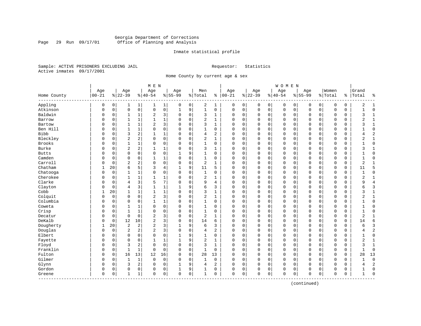#### Georgia Department of Corrections Page 29 Run 09/17/01 Office of Planning and Analysis

#### Inmate statistical profile

Sample: ACTIVE PRISONERS EXCLUDING JAIL **Requestor:** Statistics Active inmates 09/17/2001

Home County by current age & sex

| Age<br>Age<br>Women<br>Grand<br>Age<br>Age<br>Age<br>Men<br>Age<br>Age<br>Age<br>$00 - 21$<br>$ 22-39$<br>$ 00-21$<br>$ 22-39$<br>$8155 - 99$<br>$8 40-54$<br>$8155 - 99$<br>% Total<br>$8 40-54$<br>% Total<br>Total<br>Home County<br>ႜ<br>$\frac{1}{6}$<br>៖<br>Appling<br>$\mathbf 0$<br>$\mathbf 0$<br>$\mathbf 1$<br>$\mathbf 0$<br>2<br>$\mathbf{1}$<br>$\mathbf 0$<br>0<br>$\mathbf 0$<br>0<br>$\mathbf 0$<br>$\mathbf 0$<br>0<br>$\mathbf 0$<br>0<br>2<br>$\mathbf{1}$<br>1<br>0<br>0<br>1<br>1<br>$\mathbf 0$<br>Atkinson<br>$\mathbf 0$<br>$\mathbf 0$<br>$\mathbf 0$<br>$\mathbf 0$<br>9<br>$\mathbf{1}$<br>$\mathbf 0$<br>$\mathbf 0$<br>$\mathbf 0$<br>$\mathbf 0$<br>$\mathbf 0$<br>$\mathbf 0$<br>$\mathbf 0$<br>$\mathbf 0$<br>$\mathbf 0$<br>$\mathbf 0$<br>0<br>$\mathbf 0$<br>0<br>$\mathbf{1}$<br>$\mathbf{1}$<br>Baldwin<br>$\overline{a}$<br>3<br>$\mathbf 0$<br>3<br>0<br>$\mathbf 0$<br>$\mathbf{1}$<br>0<br>$\Omega$<br>0<br>0<br>0<br>0<br>0<br>0<br>0<br>0<br>ς<br>0<br>1<br>1<br>1<br>$\mathbf{1}$<br>$\mathbf 1$<br>$\mathbf 0$<br>2<br>$\mathbf 0$<br>$\mathbf{0}$<br>$\mathbf 0$<br>$\overline{2}$<br>$\mathbf 1$<br>Barrow<br>0<br>1<br>$\mathbf{1}$<br>$\Omega$<br>$\mathbf{1}$<br>$\Omega$<br>0<br>0<br>0<br>0<br>0<br>0<br>0<br>$\overline{2}$<br>3<br>Bartow<br>$\mathbf 0$<br>3<br>$\Omega$<br>$\mathbf 0$<br>$\mathbf 0$<br>$\mathbf{0}$<br>$\mathbf 0$<br>$\mathbf{1}$<br>$\mathbf 0$<br>1<br>$\mathbf{1}$<br>$\Omega$<br>0<br>$\mathbf 0$<br>$\Omega$<br>$\Omega$<br>ζ<br>$\Omega$<br>1<br>$\Omega$<br>0<br>$\mathbf 0$<br>Ben Hill<br>$\mathbf 0$<br>$\mathbf 0$<br>$\mathbf 0$<br>$\mathbf{0}$<br>$\mathbf 0$<br>$\mathbf 0$<br>0<br>1<br>$\Omega$<br>1<br>0<br>0<br>0<br>0<br>0<br>$\mathbf 0$<br>0<br>0<br>1<br>$\overline{2}$<br>Bibb<br>3<br>2<br>$\mathbf{1}$<br>$\mathbf 0$<br>2<br>$\mathbf 0$<br>$\mathbf 0$<br>$\mathbf 1$<br>4<br>$\mathbf 0$<br>$\mathbf 0$<br>$\mathbf 0$<br>$\mathbf 0$<br>$\Omega$<br>$\mathbf 0$<br>$\mathbf{0}$<br>$\mathbf 0$<br>0<br>$\Omega$<br>$\Omega$<br>4<br>Bleckley<br>$\sqrt{2}$<br>2<br>$\mathbf 1$<br>$\mathbf 0$<br>0<br>$\mathbf 0$<br>2<br>$\mathbf{1}$<br>$\mathbf 0$<br>$\mathbf 0$<br>$\mathbf 0$<br>$\mathbf 0$<br>$\mathbf 0$<br>2<br>$\mathbf 0$<br>$\Omega$<br>$\Omega$<br>0<br>0<br>$\mathbf 0$<br>0<br>0<br><b>Brooks</b><br>$\mathbf 0$<br>0<br>$\mathbf 0$<br>$\mathbf{0}$<br>$\Omega$<br>0<br>1<br>1<br>0<br>0<br>$\Omega$<br>0<br>1<br>0<br>0<br>0<br>0<br>0<br>0<br>0<br>0<br>$\overline{2}$<br>Burke<br>2<br>$\mathbf 0$<br>$\mathbf 0$<br>$\mathbf 0$<br>$\mathbf 0$<br>$\mathbf 0$<br>$\mathbf{1}$<br>1<br>$\Omega$<br>3<br>1<br>0<br>0<br>0<br>0<br>$\mathbf 0$<br>0<br>0<br>3<br>1<br>$\Omega$<br>$\mathbf 0$<br>$\mathbf 0$<br>$\mathbf 0$<br>9<br>$\mathbf{1}$<br>$\mathbf 0$<br>$\mathbf 0$<br>$\mathbf 0$<br>$\mathbf 0$<br>$\mathbf 0$<br><b>Butts</b><br>$\mathbf 0$<br>0<br>0<br>$\mathbf 0$<br>$\Omega$<br>0<br>$\mathbf 0$<br>$\Omega$<br>0<br>$\Omega$<br>1<br>1<br>Camden<br>$\Omega$<br>$\mathbf{1}$<br>$\mathbf 0$<br>$\mathbf 0$<br>$\mathbf 0$<br>$\mathbf 0$<br>$\mathbf 0$<br>$\mathbf{1}$<br>$\mathbf 0$<br>$\mathbf{1}$<br>0<br>$\Omega$<br>$\Omega$<br>$\Omega$<br>$\Omega$<br>$\mathbf 0$<br>$\mathbf{0}$<br>$\Omega$<br>0<br>$\Omega$<br>$\Omega$<br>1<br>Carroll<br>$\overline{2}$<br>$\overline{2}$<br>$\Omega$<br>0<br>$\mathbf 0$<br>$\overline{c}$<br>$\mathbf{1}$<br>$\mathbf 0$<br>$\overline{2}$<br>$\mathbf 0$<br>$\Omega$<br>$\Omega$<br>0<br>$\mathbf 0$<br>$\mathbf 0$<br>$\Omega$<br>$\mathbf 0$<br>$\mathbf{0}$<br>$\mathbf 0$<br>0<br>$\mathbf{1}$<br>$\Omega$<br>Chatham<br>6<br>5<br>3<br>9<br>5<br>5<br>20<br>4<br>11<br>$\mathbf 0$<br>$\mathbf 0$<br>$\mathbf 0$<br>$\mathbf 0$<br>$\Omega$<br>$\mathbf 0$<br>$\mathbf{0}$<br>$\mathbf 0$<br>$\mathbf 0$<br>11<br>1<br>1<br>0<br>Chatooga<br>0<br>$\mathsf 0$<br>0<br>$\mathbf 0$<br>$\mathbf 0$<br>$\Omega$<br>0<br>1<br>$\Omega$<br>$\Omega$<br>1<br>0<br>0<br>0<br>0<br>0<br>0<br>0<br>0<br>0<br>Cherokee<br>$\mathbf 0$<br>$\overline{2}$<br>$\mathbf 0$<br>$\overline{2}$<br>$\mathbf 0$<br>1<br>$\mathbf{1}$<br>1<br>$\Omega$<br>$\Omega$<br>0<br>0<br>0<br>$\mathbf 0$<br>$\mathbf 0$<br>0<br>$\mathbf 0$<br>0<br>1<br>$\Omega$<br>$\mathbf{1}$<br>Clarke<br>5<br>7<br>$\overline{4}$<br>3<br>$\Omega$<br>$\Omega$<br>$\Omega$<br>$\Omega$<br>$\overline{4}$<br>$\Omega$<br>9<br>4<br>$\Omega$<br>$\Omega$<br>$\Omega$<br>$\Omega$<br>$\Omega$<br>$\Omega$<br>9<br>$\Omega$<br>$\Omega$<br>$\Omega$<br>3<br>$\overline{4}$<br>3<br>$\mathbf{1}$<br>9<br>6<br>3<br>$\mathbf 0$<br>$\mathbf 0$<br>Clayton<br>$\mathbf 0$<br>$\mathbf{1}$<br>$\Omega$<br>$\Omega$<br>$\mathbf 0$<br>$\Omega$<br>$\mathbf 0$<br>$\mathbf 0$<br>$\Omega$<br>0<br>6<br>$\Omega$<br>1<br>Cobb<br>$\mathbf{1}$<br>$\mathbf 1$<br>$\mathbf 0$<br>3<br>$\mathbf{1}$<br>$\mathbf 0$<br>$\mathbf{1}$<br>20<br>$\mathbf{1}$<br>$\mathbf{1}$<br>$\Omega$<br>$\mathbf 0$<br>0<br>$\mathbf 0$<br>$\mathbf 0$<br>$\Omega$<br>$\mathbf 0$<br>$\mathbf{0}$<br>$\mathbf 0$<br>0<br>3<br>1<br>$\mathbf 0$<br>$\overline{\mathbf{c}}$<br>3<br>$\overline{c}$<br>Colquit<br>$\Omega$<br>$\mathbf 0$<br>$\mathbf 0$<br>$\Omega$<br>$\mathbf 0$<br>$\mathbf{1}$<br>$\mathbf 0$<br>$\mathbf 0$<br>$\mathbf 0$<br>$\mathbf 0$<br>$\mathbf 0$<br>$\mathbf 0$<br>$\mathbf{0}$<br>$\mathbf 0$<br>$\mathbf 0$<br>$\overline{c}$<br>$\mathbf 1$<br>0<br>Columbia<br>$\mathbf 1$<br>0<br>$\mathbf 0$<br>$\mathbf{0}$<br>0<br>0<br>0<br>1<br>$\Omega$<br>0<br>1<br>0<br>0<br>0<br>0<br>0<br>0<br>0<br>0<br>0<br>0<br>Coweta<br>0<br>$\mathbf 0$<br>$\mathbf 0$<br>$\mathbf 0$<br>$\mathbf 0$<br>$\mathbf{1}$<br>$\Omega$<br>$\Omega$<br>$\Omega$<br>$\Omega$<br>0<br>$\mathbf 0$<br>$\mathbf 0$<br>$\mathbf 0$<br>$\mathbf{0}$<br>$\Omega$<br>$\Omega$<br>$\Omega$<br>$\Omega$<br>1<br>1<br>Crisp<br>$\mathbf{1}$<br>$\Omega$<br>$\Omega$<br>$\mathbf 0$<br>$\mathbf{1}$<br>$\Omega$<br>$\mathbf 0$<br>$\Omega$<br>$\Omega$<br>$\Omega$<br>$\Omega$<br>$\Omega$<br>$\mathbf 0$<br>$\Omega$<br>$\Omega$<br>$\Omega$<br>$\Omega$<br>$\Omega$<br>$\mathbf{1}$<br>$\Omega$<br>$\Omega$<br>$\mathbf{1}$<br>$\mathbf 0$<br>$\mathbf 0$<br>$\overline{2}$<br>3<br>$\mathbf 0$<br>$\overline{c}$<br>$\mathbf 0$<br>$\mathbf 0$<br>$\overline{2}$<br>$\mathbf 0$<br>$\Omega$<br>$\Omega$<br>$\Omega$<br>$\mathbf 0$<br>$\Omega$<br>$\mathbf 0$<br>$\mathbf{0}$<br>$\Omega$<br>0<br>$\mathbf{1}$<br>Decatur<br>$\Omega$<br>1<br>DeKalb<br>$\overline{2}$<br>3<br>$\mathbf 0$<br>6<br>$\mathbf 0$<br>6<br>$\overline{0}$<br>12<br>10<br>$\Omega$<br>14<br>$\Omega$<br>0<br>$\mathbf 0$<br>0<br>0<br>$\mathbf 0$<br>$\mathbf 0$<br>$\mathbf 0$<br>0<br>14<br>$\Omega$<br>Dougherty<br>$\overline{2}$<br>$\overline{2}$<br>2<br>3<br>9<br>3<br>20<br>6<br>3<br>$\mathbf 0$<br>$\mathbf 0$<br>$\mathbf 0$<br>$\mathbf 0$<br>$\mathbf 0$<br>$\mathbf 0$<br>$\mathbf 0$<br>$\mathbf 0$<br>6<br>1<br>1<br>0<br>0<br>Douglas<br>$\overline{2}$<br>$\overline{2}$<br>2<br>$\overline{2}$<br>3<br>0<br>0<br>0<br>$\Omega$<br>0<br>4<br>2<br>0<br>0<br>0<br>0<br>0<br>0<br>0<br>0<br>0<br>4<br>Elbert<br>$\Omega$<br>0<br>9<br>$\mathbf 0$<br>$\Omega$<br>$\Omega$<br>$\Omega$<br>$\Omega$<br>$\Omega$<br>$\mathbf 0$<br>$\mathbf 0$<br>$\mathbf 0$<br>$\mathbf 0$<br>$\Omega$<br>$\mathbf 0$<br>0<br>$\Omega$<br>$\mathbf 0$<br>1<br>1<br>$\Omega$<br>$\Omega$<br>9<br>$\overline{2}$<br>$\Omega$<br>$\overline{2}$<br>Fayette<br>$\mathbf{1}$<br>$\mathbf 1$<br>$\mathbf{1}$<br>$\Omega$<br>$\Omega$<br>$\Omega$<br>$\mathbf 0$<br>$\mathbf 0$<br>$\Omega$<br>$\Omega$<br>$\Omega$<br>$\mathbf 1$<br>$\Omega$<br>$\Omega$<br>1<br>$\Omega$<br>O<br>3<br>$\overline{2}$<br>$\mathbf 0$<br>$\mathbf 0$<br>3<br>Floyd<br>$\mathbf 0$<br>$\mathbf 0$<br>$\mathbf 0$<br>$\mathbf{1}$<br>$\Omega$<br>$\Omega$<br>$\mathbf 0$<br>$\mathbf 0$<br>$\mathbf 0$<br>$\mathbf 0$<br>$\mathbf 0$<br>$\Omega$<br>$\mathbf 0$<br>0<br>3<br>$\mathbf{1}$<br>$\Omega$<br>Franklin<br>$\mathbf 1$<br>$\mathsf 0$<br>$\mathbf{1}$<br>$\mathbf 0$<br>$\mathbf{1}$<br>$\mathbf 0$<br>$\mathbf 0$<br>$\Omega$<br>$\mathbf 0$<br>$\mathbf 0$<br>0<br>$\mathsf 0$<br>0<br>0<br>$\mathbf 0$<br>$\mathbf 0$<br>$\mathbf 0$<br>$\mathbf 0$<br>0<br>$\Omega$<br>$\Omega$<br>16<br>13<br>13<br>Fulton<br>$\mathbf 0$<br>12<br>16<br>$\mathbf 0$<br>28<br>13<br>$\mathbf 0$<br>$\mathbf 0$<br>$\mathsf 0$<br>0<br>$\mathbf 0$<br>$\mathbf 0$<br>$\mathbf 0$<br>$\mathbf 0$<br>$\mathbf 0$<br>28<br>$\Omega$<br>$\Omega$<br>0<br>Gilmer<br>$\mathbf 0$<br>$\mathbf 0$<br>$\mathbf{1}$<br>$\mathbf 0$<br>$\mathbf 0$<br>$\mathbf 0$<br>$\mathbf 0$<br>$\mathbf 0$<br>$\mathbf 0$<br>$\mathbf 0$<br>$\mathbf 0$<br>$\mathbf 0$<br>$\mathbf 0$<br>$\mathbf{0}$<br>$\Omega$<br>$\mathbf 0$<br>$\Omega$<br>$\mathbf{1}$<br>$\Omega$<br>1<br>0<br>$\overline{2}$<br>2<br>9<br>$\mathbf 0$<br>$\mathbf 0$<br>Glynn<br>$\mathbf 0$<br>3<br>0<br>$\overline{a}$<br>$\Omega$<br>$\mathbf 0$<br>$\mathbf 0$<br>$\mathbf 0$<br>$\mathbf 0$<br>$\mathbf 0$<br>0<br>$\Omega$<br>$\Omega$<br>1<br>4<br>0<br>4<br>Gordon<br>9<br>$\mathbf 0$<br>$\mathbf 0$<br>$\Omega$<br>0<br>$\Omega$<br>0<br>0<br>0<br>1<br>0<br>0<br>0<br>0<br>$\Omega$<br>0<br>$\mathbf 0$<br>0<br>0<br>0<br>1<br>1<br>0<br>$\mathbf 0$<br>0<br>$\mathbf 0$<br>$\mathbf 0$<br>$\mathbf 0$<br>0<br>0<br>$\mathbf 0$<br>$\mathbf 0$<br>$\mathbf{0}$<br>0<br>$\mathbf 0$<br>$\Omega$<br>0<br>1<br>1<br>0<br>0<br>0<br>Greene<br>1<br>1<br>---------- |  |  | M E N |  |  |  |  | WOMEN |  |  |  |  |
|------------------------------------------------------------------------------------------------------------------------------------------------------------------------------------------------------------------------------------------------------------------------------------------------------------------------------------------------------------------------------------------------------------------------------------------------------------------------------------------------------------------------------------------------------------------------------------------------------------------------------------------------------------------------------------------------------------------------------------------------------------------------------------------------------------------------------------------------------------------------------------------------------------------------------------------------------------------------------------------------------------------------------------------------------------------------------------------------------------------------------------------------------------------------------------------------------------------------------------------------------------------------------------------------------------------------------------------------------------------------------------------------------------------------------------------------------------------------------------------------------------------------------------------------------------------------------------------------------------------------------------------------------------------------------------------------------------------------------------------------------------------------------------------------------------------------------------------------------------------------------------------------------------------------------------------------------------------------------------------------------------------------------------------------------------------------------------------------------------------------------------------------------------------------------------------------------------------------------------------------------------------------------------------------------------------------------------------------------------------------------------------------------------------------------------------------------------------------------------------------------------------------------------------------------------------------------------------------------------------------------------------------------------------------------------------------------------------------------------------------------------------------------------------------------------------------------------------------------------------------------------------------------------------------------------------------------------------------------------------------------------------------------------------------------------------------------------------------------------------------------------------------------------------------------------------------------------------------------------------------------------------------------------------------------------------------------------------------------------------------------------------------------------------------------------------------------------------------------------------------------------------------------------------------------------------------------------------------------------------------------------------------------------------------------------------------------------------------------------------------------------------------------------------------------------------------------------------------------------------------------------------------------------------------------------------------------------------------------------------------------------------------------------------------------------------------------------------------------------------------------------------------------------------------------------------------------------------------------------------------------------------------------------------------------------------------------------------------------------------------------------------------------------------------------------------------------------------------------------------------------------------------------------------------------------------------------------------------------------------------------------------------------------------------------------------------------------------------------------------------------------------------------------------------------------------------------------------------------------------------------------------------------------------------------------------------------------------------------------------------------------------------------------------------------------------------------------------------------------------------------------------------------------------------------------------------------------------------------------------------------------------------------------------------------------------------------------------------------------------------------------------------------------------------------------------------------------------------------------------------------------------------------------------------------------------------------------------------------------------------------------------------------------------------------------------------------------------------------------------------------------------------------------------------------------------------------------------------------------------------------------------------------------------------------------------------------------------------------------------------------------------------------------------------------------------------------------------------------------------------------------------------------------------------------------------------------------------------------------------------------------------------------------------------------------------------------------------------------------------------------------------------------------------------------------------------------------------------------------------------------------------------------------------------------------------------------------------------------------------------------------------------------------------------------------------------------------------------------------------------------------------------------------------------------------------------------------------------------------------------------------------------------------------------------------------------------------------------------------------------------------------------------------------------------------------------------------------------------------------------------------------------------------------------------------------------------------------------------------------------------------------------------------------------------------------------------------------------------------------------------------------------------------------------------------------------------------------------------------------------------------------------------------------------------------------------------------------------------------------------------------------------------------------------------------------------------------------------------------------------------------------------------------------------------------------------------------------------------------------------------------------------------------------------------------------------------------------------------------------------------------------------------------------------------------------------------------------------------------------------------------------------------------------------------------------------------------------------------------------------------------------------------------------------------------------------------------------------------------------------------------------------------------------------------------------------------------------------------------------------------------------------------------------------------------------------------------------------------------------------------------------------------------------------------------------------------------------------------------------------------------------------------------------------------------------------------------------------------------------------------------------------------------------------------------------------------------------------------------------------------------------------------------------------------------------------------------------------------------------------------------------------------------------------------------------------------------------------------------------------------------------------------------------------------------------------------------------------------------------------------------------------------------------------------------------------------------------------------------------------------------------|--|--|-------|--|--|--|--|-------|--|--|--|--|
|                                                                                                                                                                                                                                                                                                                                                                                                                                                                                                                                                                                                                                                                                                                                                                                                                                                                                                                                                                                                                                                                                                                                                                                                                                                                                                                                                                                                                                                                                                                                                                                                                                                                                                                                                                                                                                                                                                                                                                                                                                                                                                                                                                                                                                                                                                                                                                                                                                                                                                                                                                                                                                                                                                                                                                                                                                                                                                                                                                                                                                                                                                                                                                                                                                                                                                                                                                                                                                                                                                                                                                                                                                                                                                                                                                                                                                                                                                                                                                                                                                                                                                                                                                                                                                                                                                                                                                                                                                                                                                                                                                                                                                                                                                                                                                                                                                                                                                                                                                                                                                                                                                                                                                                                                                                                                                                                                                                                                                                                                                                                                                                                                                                                                                                                                                                                                                                                                                                                                                                                                                                                                                                                                                                                                                                                                                                                                                                                                                                                                                                                                                                                                                                                                                                                                                                                                                                                                                                                                                                                                                                                                                                                                                                                                                                                                                                                                                                                                                                                                                                                                                                                                                                                                                                                                                                                                                                                                                                                                                                                                                                                                                                                                                                                                                                                                                                                                                                                                                                                                                                                                                                                                                                                                                                                                                                                                                                                                                                                                                                                                                                                                                                                                                                                                                                                                                                                                                                                                                                                                                                  |  |  |       |  |  |  |  |       |  |  |  |  |
|                                                                                                                                                                                                                                                                                                                                                                                                                                                                                                                                                                                                                                                                                                                                                                                                                                                                                                                                                                                                                                                                                                                                                                                                                                                                                                                                                                                                                                                                                                                                                                                                                                                                                                                                                                                                                                                                                                                                                                                                                                                                                                                                                                                                                                                                                                                                                                                                                                                                                                                                                                                                                                                                                                                                                                                                                                                                                                                                                                                                                                                                                                                                                                                                                                                                                                                                                                                                                                                                                                                                                                                                                                                                                                                                                                                                                                                                                                                                                                                                                                                                                                                                                                                                                                                                                                                                                                                                                                                                                                                                                                                                                                                                                                                                                                                                                                                                                                                                                                                                                                                                                                                                                                                                                                                                                                                                                                                                                                                                                                                                                                                                                                                                                                                                                                                                                                                                                                                                                                                                                                                                                                                                                                                                                                                                                                                                                                                                                                                                                                                                                                                                                                                                                                                                                                                                                                                                                                                                                                                                                                                                                                                                                                                                                                                                                                                                                                                                                                                                                                                                                                                                                                                                                                                                                                                                                                                                                                                                                                                                                                                                                                                                                                                                                                                                                                                                                                                                                                                                                                                                                                                                                                                                                                                                                                                                                                                                                                                                                                                                                                                                                                                                                                                                                                                                                                                                                                                                                                                                                                                  |  |  |       |  |  |  |  |       |  |  |  |  |
|                                                                                                                                                                                                                                                                                                                                                                                                                                                                                                                                                                                                                                                                                                                                                                                                                                                                                                                                                                                                                                                                                                                                                                                                                                                                                                                                                                                                                                                                                                                                                                                                                                                                                                                                                                                                                                                                                                                                                                                                                                                                                                                                                                                                                                                                                                                                                                                                                                                                                                                                                                                                                                                                                                                                                                                                                                                                                                                                                                                                                                                                                                                                                                                                                                                                                                                                                                                                                                                                                                                                                                                                                                                                                                                                                                                                                                                                                                                                                                                                                                                                                                                                                                                                                                                                                                                                                                                                                                                                                                                                                                                                                                                                                                                                                                                                                                                                                                                                                                                                                                                                                                                                                                                                                                                                                                                                                                                                                                                                                                                                                                                                                                                                                                                                                                                                                                                                                                                                                                                                                                                                                                                                                                                                                                                                                                                                                                                                                                                                                                                                                                                                                                                                                                                                                                                                                                                                                                                                                                                                                                                                                                                                                                                                                                                                                                                                                                                                                                                                                                                                                                                                                                                                                                                                                                                                                                                                                                                                                                                                                                                                                                                                                                                                                                                                                                                                                                                                                                                                                                                                                                                                                                                                                                                                                                                                                                                                                                                                                                                                                                                                                                                                                                                                                                                                                                                                                                                                                                                                                                                  |  |  |       |  |  |  |  |       |  |  |  |  |
|                                                                                                                                                                                                                                                                                                                                                                                                                                                                                                                                                                                                                                                                                                                                                                                                                                                                                                                                                                                                                                                                                                                                                                                                                                                                                                                                                                                                                                                                                                                                                                                                                                                                                                                                                                                                                                                                                                                                                                                                                                                                                                                                                                                                                                                                                                                                                                                                                                                                                                                                                                                                                                                                                                                                                                                                                                                                                                                                                                                                                                                                                                                                                                                                                                                                                                                                                                                                                                                                                                                                                                                                                                                                                                                                                                                                                                                                                                                                                                                                                                                                                                                                                                                                                                                                                                                                                                                                                                                                                                                                                                                                                                                                                                                                                                                                                                                                                                                                                                                                                                                                                                                                                                                                                                                                                                                                                                                                                                                                                                                                                                                                                                                                                                                                                                                                                                                                                                                                                                                                                                                                                                                                                                                                                                                                                                                                                                                                                                                                                                                                                                                                                                                                                                                                                                                                                                                                                                                                                                                                                                                                                                                                                                                                                                                                                                                                                                                                                                                                                                                                                                                                                                                                                                                                                                                                                                                                                                                                                                                                                                                                                                                                                                                                                                                                                                                                                                                                                                                                                                                                                                                                                                                                                                                                                                                                                                                                                                                                                                                                                                                                                                                                                                                                                                                                                                                                                                                                                                                                                                                  |  |  |       |  |  |  |  |       |  |  |  |  |
|                                                                                                                                                                                                                                                                                                                                                                                                                                                                                                                                                                                                                                                                                                                                                                                                                                                                                                                                                                                                                                                                                                                                                                                                                                                                                                                                                                                                                                                                                                                                                                                                                                                                                                                                                                                                                                                                                                                                                                                                                                                                                                                                                                                                                                                                                                                                                                                                                                                                                                                                                                                                                                                                                                                                                                                                                                                                                                                                                                                                                                                                                                                                                                                                                                                                                                                                                                                                                                                                                                                                                                                                                                                                                                                                                                                                                                                                                                                                                                                                                                                                                                                                                                                                                                                                                                                                                                                                                                                                                                                                                                                                                                                                                                                                                                                                                                                                                                                                                                                                                                                                                                                                                                                                                                                                                                                                                                                                                                                                                                                                                                                                                                                                                                                                                                                                                                                                                                                                                                                                                                                                                                                                                                                                                                                                                                                                                                                                                                                                                                                                                                                                                                                                                                                                                                                                                                                                                                                                                                                                                                                                                                                                                                                                                                                                                                                                                                                                                                                                                                                                                                                                                                                                                                                                                                                                                                                                                                                                                                                                                                                                                                                                                                                                                                                                                                                                                                                                                                                                                                                                                                                                                                                                                                                                                                                                                                                                                                                                                                                                                                                                                                                                                                                                                                                                                                                                                                                                                                                                                                                  |  |  |       |  |  |  |  |       |  |  |  |  |
|                                                                                                                                                                                                                                                                                                                                                                                                                                                                                                                                                                                                                                                                                                                                                                                                                                                                                                                                                                                                                                                                                                                                                                                                                                                                                                                                                                                                                                                                                                                                                                                                                                                                                                                                                                                                                                                                                                                                                                                                                                                                                                                                                                                                                                                                                                                                                                                                                                                                                                                                                                                                                                                                                                                                                                                                                                                                                                                                                                                                                                                                                                                                                                                                                                                                                                                                                                                                                                                                                                                                                                                                                                                                                                                                                                                                                                                                                                                                                                                                                                                                                                                                                                                                                                                                                                                                                                                                                                                                                                                                                                                                                                                                                                                                                                                                                                                                                                                                                                                                                                                                                                                                                                                                                                                                                                                                                                                                                                                                                                                                                                                                                                                                                                                                                                                                                                                                                                                                                                                                                                                                                                                                                                                                                                                                                                                                                                                                                                                                                                                                                                                                                                                                                                                                                                                                                                                                                                                                                                                                                                                                                                                                                                                                                                                                                                                                                                                                                                                                                                                                                                                                                                                                                                                                                                                                                                                                                                                                                                                                                                                                                                                                                                                                                                                                                                                                                                                                                                                                                                                                                                                                                                                                                                                                                                                                                                                                                                                                                                                                                                                                                                                                                                                                                                                                                                                                                                                                                                                                                                                  |  |  |       |  |  |  |  |       |  |  |  |  |
|                                                                                                                                                                                                                                                                                                                                                                                                                                                                                                                                                                                                                                                                                                                                                                                                                                                                                                                                                                                                                                                                                                                                                                                                                                                                                                                                                                                                                                                                                                                                                                                                                                                                                                                                                                                                                                                                                                                                                                                                                                                                                                                                                                                                                                                                                                                                                                                                                                                                                                                                                                                                                                                                                                                                                                                                                                                                                                                                                                                                                                                                                                                                                                                                                                                                                                                                                                                                                                                                                                                                                                                                                                                                                                                                                                                                                                                                                                                                                                                                                                                                                                                                                                                                                                                                                                                                                                                                                                                                                                                                                                                                                                                                                                                                                                                                                                                                                                                                                                                                                                                                                                                                                                                                                                                                                                                                                                                                                                                                                                                                                                                                                                                                                                                                                                                                                                                                                                                                                                                                                                                                                                                                                                                                                                                                                                                                                                                                                                                                                                                                                                                                                                                                                                                                                                                                                                                                                                                                                                                                                                                                                                                                                                                                                                                                                                                                                                                                                                                                                                                                                                                                                                                                                                                                                                                                                                                                                                                                                                                                                                                                                                                                                                                                                                                                                                                                                                                                                                                                                                                                                                                                                                                                                                                                                                                                                                                                                                                                                                                                                                                                                                                                                                                                                                                                                                                                                                                                                                                                                                                  |  |  |       |  |  |  |  |       |  |  |  |  |
|                                                                                                                                                                                                                                                                                                                                                                                                                                                                                                                                                                                                                                                                                                                                                                                                                                                                                                                                                                                                                                                                                                                                                                                                                                                                                                                                                                                                                                                                                                                                                                                                                                                                                                                                                                                                                                                                                                                                                                                                                                                                                                                                                                                                                                                                                                                                                                                                                                                                                                                                                                                                                                                                                                                                                                                                                                                                                                                                                                                                                                                                                                                                                                                                                                                                                                                                                                                                                                                                                                                                                                                                                                                                                                                                                                                                                                                                                                                                                                                                                                                                                                                                                                                                                                                                                                                                                                                                                                                                                                                                                                                                                                                                                                                                                                                                                                                                                                                                                                                                                                                                                                                                                                                                                                                                                                                                                                                                                                                                                                                                                                                                                                                                                                                                                                                                                                                                                                                                                                                                                                                                                                                                                                                                                                                                                                                                                                                                                                                                                                                                                                                                                                                                                                                                                                                                                                                                                                                                                                                                                                                                                                                                                                                                                                                                                                                                                                                                                                                                                                                                                                                                                                                                                                                                                                                                                                                                                                                                                                                                                                                                                                                                                                                                                                                                                                                                                                                                                                                                                                                                                                                                                                                                                                                                                                                                                                                                                                                                                                                                                                                                                                                                                                                                                                                                                                                                                                                                                                                                                                                  |  |  |       |  |  |  |  |       |  |  |  |  |
|                                                                                                                                                                                                                                                                                                                                                                                                                                                                                                                                                                                                                                                                                                                                                                                                                                                                                                                                                                                                                                                                                                                                                                                                                                                                                                                                                                                                                                                                                                                                                                                                                                                                                                                                                                                                                                                                                                                                                                                                                                                                                                                                                                                                                                                                                                                                                                                                                                                                                                                                                                                                                                                                                                                                                                                                                                                                                                                                                                                                                                                                                                                                                                                                                                                                                                                                                                                                                                                                                                                                                                                                                                                                                                                                                                                                                                                                                                                                                                                                                                                                                                                                                                                                                                                                                                                                                                                                                                                                                                                                                                                                                                                                                                                                                                                                                                                                                                                                                                                                                                                                                                                                                                                                                                                                                                                                                                                                                                                                                                                                                                                                                                                                                                                                                                                                                                                                                                                                                                                                                                                                                                                                                                                                                                                                                                                                                                                                                                                                                                                                                                                                                                                                                                                                                                                                                                                                                                                                                                                                                                                                                                                                                                                                                                                                                                                                                                                                                                                                                                                                                                                                                                                                                                                                                                                                                                                                                                                                                                                                                                                                                                                                                                                                                                                                                                                                                                                                                                                                                                                                                                                                                                                                                                                                                                                                                                                                                                                                                                                                                                                                                                                                                                                                                                                                                                                                                                                                                                                                                                                  |  |  |       |  |  |  |  |       |  |  |  |  |
|                                                                                                                                                                                                                                                                                                                                                                                                                                                                                                                                                                                                                                                                                                                                                                                                                                                                                                                                                                                                                                                                                                                                                                                                                                                                                                                                                                                                                                                                                                                                                                                                                                                                                                                                                                                                                                                                                                                                                                                                                                                                                                                                                                                                                                                                                                                                                                                                                                                                                                                                                                                                                                                                                                                                                                                                                                                                                                                                                                                                                                                                                                                                                                                                                                                                                                                                                                                                                                                                                                                                                                                                                                                                                                                                                                                                                                                                                                                                                                                                                                                                                                                                                                                                                                                                                                                                                                                                                                                                                                                                                                                                                                                                                                                                                                                                                                                                                                                                                                                                                                                                                                                                                                                                                                                                                                                                                                                                                                                                                                                                                                                                                                                                                                                                                                                                                                                                                                                                                                                                                                                                                                                                                                                                                                                                                                                                                                                                                                                                                                                                                                                                                                                                                                                                                                                                                                                                                                                                                                                                                                                                                                                                                                                                                                                                                                                                                                                                                                                                                                                                                                                                                                                                                                                                                                                                                                                                                                                                                                                                                                                                                                                                                                                                                                                                                                                                                                                                                                                                                                                                                                                                                                                                                                                                                                                                                                                                                                                                                                                                                                                                                                                                                                                                                                                                                                                                                                                                                                                                                                                  |  |  |       |  |  |  |  |       |  |  |  |  |
|                                                                                                                                                                                                                                                                                                                                                                                                                                                                                                                                                                                                                                                                                                                                                                                                                                                                                                                                                                                                                                                                                                                                                                                                                                                                                                                                                                                                                                                                                                                                                                                                                                                                                                                                                                                                                                                                                                                                                                                                                                                                                                                                                                                                                                                                                                                                                                                                                                                                                                                                                                                                                                                                                                                                                                                                                                                                                                                                                                                                                                                                                                                                                                                                                                                                                                                                                                                                                                                                                                                                                                                                                                                                                                                                                                                                                                                                                                                                                                                                                                                                                                                                                                                                                                                                                                                                                                                                                                                                                                                                                                                                                                                                                                                                                                                                                                                                                                                                                                                                                                                                                                                                                                                                                                                                                                                                                                                                                                                                                                                                                                                                                                                                                                                                                                                                                                                                                                                                                                                                                                                                                                                                                                                                                                                                                                                                                                                                                                                                                                                                                                                                                                                                                                                                                                                                                                                                                                                                                                                                                                                                                                                                                                                                                                                                                                                                                                                                                                                                                                                                                                                                                                                                                                                                                                                                                                                                                                                                                                                                                                                                                                                                                                                                                                                                                                                                                                                                                                                                                                                                                                                                                                                                                                                                                                                                                                                                                                                                                                                                                                                                                                                                                                                                                                                                                                                                                                                                                                                                                                                  |  |  |       |  |  |  |  |       |  |  |  |  |
|                                                                                                                                                                                                                                                                                                                                                                                                                                                                                                                                                                                                                                                                                                                                                                                                                                                                                                                                                                                                                                                                                                                                                                                                                                                                                                                                                                                                                                                                                                                                                                                                                                                                                                                                                                                                                                                                                                                                                                                                                                                                                                                                                                                                                                                                                                                                                                                                                                                                                                                                                                                                                                                                                                                                                                                                                                                                                                                                                                                                                                                                                                                                                                                                                                                                                                                                                                                                                                                                                                                                                                                                                                                                                                                                                                                                                                                                                                                                                                                                                                                                                                                                                                                                                                                                                                                                                                                                                                                                                                                                                                                                                                                                                                                                                                                                                                                                                                                                                                                                                                                                                                                                                                                                                                                                                                                                                                                                                                                                                                                                                                                                                                                                                                                                                                                                                                                                                                                                                                                                                                                                                                                                                                                                                                                                                                                                                                                                                                                                                                                                                                                                                                                                                                                                                                                                                                                                                                                                                                                                                                                                                                                                                                                                                                                                                                                                                                                                                                                                                                                                                                                                                                                                                                                                                                                                                                                                                                                                                                                                                                                                                                                                                                                                                                                                                                                                                                                                                                                                                                                                                                                                                                                                                                                                                                                                                                                                                                                                                                                                                                                                                                                                                                                                                                                                                                                                                                                                                                                                                                                  |  |  |       |  |  |  |  |       |  |  |  |  |
|                                                                                                                                                                                                                                                                                                                                                                                                                                                                                                                                                                                                                                                                                                                                                                                                                                                                                                                                                                                                                                                                                                                                                                                                                                                                                                                                                                                                                                                                                                                                                                                                                                                                                                                                                                                                                                                                                                                                                                                                                                                                                                                                                                                                                                                                                                                                                                                                                                                                                                                                                                                                                                                                                                                                                                                                                                                                                                                                                                                                                                                                                                                                                                                                                                                                                                                                                                                                                                                                                                                                                                                                                                                                                                                                                                                                                                                                                                                                                                                                                                                                                                                                                                                                                                                                                                                                                                                                                                                                                                                                                                                                                                                                                                                                                                                                                                                                                                                                                                                                                                                                                                                                                                                                                                                                                                                                                                                                                                                                                                                                                                                                                                                                                                                                                                                                                                                                                                                                                                                                                                                                                                                                                                                                                                                                                                                                                                                                                                                                                                                                                                                                                                                                                                                                                                                                                                                                                                                                                                                                                                                                                                                                                                                                                                                                                                                                                                                                                                                                                                                                                                                                                                                                                                                                                                                                                                                                                                                                                                                                                                                                                                                                                                                                                                                                                                                                                                                                                                                                                                                                                                                                                                                                                                                                                                                                                                                                                                                                                                                                                                                                                                                                                                                                                                                                                                                                                                                                                                                                                                                  |  |  |       |  |  |  |  |       |  |  |  |  |
|                                                                                                                                                                                                                                                                                                                                                                                                                                                                                                                                                                                                                                                                                                                                                                                                                                                                                                                                                                                                                                                                                                                                                                                                                                                                                                                                                                                                                                                                                                                                                                                                                                                                                                                                                                                                                                                                                                                                                                                                                                                                                                                                                                                                                                                                                                                                                                                                                                                                                                                                                                                                                                                                                                                                                                                                                                                                                                                                                                                                                                                                                                                                                                                                                                                                                                                                                                                                                                                                                                                                                                                                                                                                                                                                                                                                                                                                                                                                                                                                                                                                                                                                                                                                                                                                                                                                                                                                                                                                                                                                                                                                                                                                                                                                                                                                                                                                                                                                                                                                                                                                                                                                                                                                                                                                                                                                                                                                                                                                                                                                                                                                                                                                                                                                                                                                                                                                                                                                                                                                                                                                                                                                                                                                                                                                                                                                                                                                                                                                                                                                                                                                                                                                                                                                                                                                                                                                                                                                                                                                                                                                                                                                                                                                                                                                                                                                                                                                                                                                                                                                                                                                                                                                                                                                                                                                                                                                                                                                                                                                                                                                                                                                                                                                                                                                                                                                                                                                                                                                                                                                                                                                                                                                                                                                                                                                                                                                                                                                                                                                                                                                                                                                                                                                                                                                                                                                                                                                                                                                                                                  |  |  |       |  |  |  |  |       |  |  |  |  |
|                                                                                                                                                                                                                                                                                                                                                                                                                                                                                                                                                                                                                                                                                                                                                                                                                                                                                                                                                                                                                                                                                                                                                                                                                                                                                                                                                                                                                                                                                                                                                                                                                                                                                                                                                                                                                                                                                                                                                                                                                                                                                                                                                                                                                                                                                                                                                                                                                                                                                                                                                                                                                                                                                                                                                                                                                                                                                                                                                                                                                                                                                                                                                                                                                                                                                                                                                                                                                                                                                                                                                                                                                                                                                                                                                                                                                                                                                                                                                                                                                                                                                                                                                                                                                                                                                                                                                                                                                                                                                                                                                                                                                                                                                                                                                                                                                                                                                                                                                                                                                                                                                                                                                                                                                                                                                                                                                                                                                                                                                                                                                                                                                                                                                                                                                                                                                                                                                                                                                                                                                                                                                                                                                                                                                                                                                                                                                                                                                                                                                                                                                                                                                                                                                                                                                                                                                                                                                                                                                                                                                                                                                                                                                                                                                                                                                                                                                                                                                                                                                                                                                                                                                                                                                                                                                                                                                                                                                                                                                                                                                                                                                                                                                                                                                                                                                                                                                                                                                                                                                                                                                                                                                                                                                                                                                                                                                                                                                                                                                                                                                                                                                                                                                                                                                                                                                                                                                                                                                                                                                                                  |  |  |       |  |  |  |  |       |  |  |  |  |
|                                                                                                                                                                                                                                                                                                                                                                                                                                                                                                                                                                                                                                                                                                                                                                                                                                                                                                                                                                                                                                                                                                                                                                                                                                                                                                                                                                                                                                                                                                                                                                                                                                                                                                                                                                                                                                                                                                                                                                                                                                                                                                                                                                                                                                                                                                                                                                                                                                                                                                                                                                                                                                                                                                                                                                                                                                                                                                                                                                                                                                                                                                                                                                                                                                                                                                                                                                                                                                                                                                                                                                                                                                                                                                                                                                                                                                                                                                                                                                                                                                                                                                                                                                                                                                                                                                                                                                                                                                                                                                                                                                                                                                                                                                                                                                                                                                                                                                                                                                                                                                                                                                                                                                                                                                                                                                                                                                                                                                                                                                                                                                                                                                                                                                                                                                                                                                                                                                                                                                                                                                                                                                                                                                                                                                                                                                                                                                                                                                                                                                                                                                                                                                                                                                                                                                                                                                                                                                                                                                                                                                                                                                                                                                                                                                                                                                                                                                                                                                                                                                                                                                                                                                                                                                                                                                                                                                                                                                                                                                                                                                                                                                                                                                                                                                                                                                                                                                                                                                                                                                                                                                                                                                                                                                                                                                                                                                                                                                                                                                                                                                                                                                                                                                                                                                                                                                                                                                                                                                                                                                                  |  |  |       |  |  |  |  |       |  |  |  |  |
|                                                                                                                                                                                                                                                                                                                                                                                                                                                                                                                                                                                                                                                                                                                                                                                                                                                                                                                                                                                                                                                                                                                                                                                                                                                                                                                                                                                                                                                                                                                                                                                                                                                                                                                                                                                                                                                                                                                                                                                                                                                                                                                                                                                                                                                                                                                                                                                                                                                                                                                                                                                                                                                                                                                                                                                                                                                                                                                                                                                                                                                                                                                                                                                                                                                                                                                                                                                                                                                                                                                                                                                                                                                                                                                                                                                                                                                                                                                                                                                                                                                                                                                                                                                                                                                                                                                                                                                                                                                                                                                                                                                                                                                                                                                                                                                                                                                                                                                                                                                                                                                                                                                                                                                                                                                                                                                                                                                                                                                                                                                                                                                                                                                                                                                                                                                                                                                                                                                                                                                                                                                                                                                                                                                                                                                                                                                                                                                                                                                                                                                                                                                                                                                                                                                                                                                                                                                                                                                                                                                                                                                                                                                                                                                                                                                                                                                                                                                                                                                                                                                                                                                                                                                                                                                                                                                                                                                                                                                                                                                                                                                                                                                                                                                                                                                                                                                                                                                                                                                                                                                                                                                                                                                                                                                                                                                                                                                                                                                                                                                                                                                                                                                                                                                                                                                                                                                                                                                                                                                                                                                  |  |  |       |  |  |  |  |       |  |  |  |  |
|                                                                                                                                                                                                                                                                                                                                                                                                                                                                                                                                                                                                                                                                                                                                                                                                                                                                                                                                                                                                                                                                                                                                                                                                                                                                                                                                                                                                                                                                                                                                                                                                                                                                                                                                                                                                                                                                                                                                                                                                                                                                                                                                                                                                                                                                                                                                                                                                                                                                                                                                                                                                                                                                                                                                                                                                                                                                                                                                                                                                                                                                                                                                                                                                                                                                                                                                                                                                                                                                                                                                                                                                                                                                                                                                                                                                                                                                                                                                                                                                                                                                                                                                                                                                                                                                                                                                                                                                                                                                                                                                                                                                                                                                                                                                                                                                                                                                                                                                                                                                                                                                                                                                                                                                                                                                                                                                                                                                                                                                                                                                                                                                                                                                                                                                                                                                                                                                                                                                                                                                                                                                                                                                                                                                                                                                                                                                                                                                                                                                                                                                                                                                                                                                                                                                                                                                                                                                                                                                                                                                                                                                                                                                                                                                                                                                                                                                                                                                                                                                                                                                                                                                                                                                                                                                                                                                                                                                                                                                                                                                                                                                                                                                                                                                                                                                                                                                                                                                                                                                                                                                                                                                                                                                                                                                                                                                                                                                                                                                                                                                                                                                                                                                                                                                                                                                                                                                                                                                                                                                                                                  |  |  |       |  |  |  |  |       |  |  |  |  |
|                                                                                                                                                                                                                                                                                                                                                                                                                                                                                                                                                                                                                                                                                                                                                                                                                                                                                                                                                                                                                                                                                                                                                                                                                                                                                                                                                                                                                                                                                                                                                                                                                                                                                                                                                                                                                                                                                                                                                                                                                                                                                                                                                                                                                                                                                                                                                                                                                                                                                                                                                                                                                                                                                                                                                                                                                                                                                                                                                                                                                                                                                                                                                                                                                                                                                                                                                                                                                                                                                                                                                                                                                                                                                                                                                                                                                                                                                                                                                                                                                                                                                                                                                                                                                                                                                                                                                                                                                                                                                                                                                                                                                                                                                                                                                                                                                                                                                                                                                                                                                                                                                                                                                                                                                                                                                                                                                                                                                                                                                                                                                                                                                                                                                                                                                                                                                                                                                                                                                                                                                                                                                                                                                                                                                                                                                                                                                                                                                                                                                                                                                                                                                                                                                                                                                                                                                                                                                                                                                                                                                                                                                                                                                                                                                                                                                                                                                                                                                                                                                                                                                                                                                                                                                                                                                                                                                                                                                                                                                                                                                                                                                                                                                                                                                                                                                                                                                                                                                                                                                                                                                                                                                                                                                                                                                                                                                                                                                                                                                                                                                                                                                                                                                                                                                                                                                                                                                                                                                                                                                                                  |  |  |       |  |  |  |  |       |  |  |  |  |
|                                                                                                                                                                                                                                                                                                                                                                                                                                                                                                                                                                                                                                                                                                                                                                                                                                                                                                                                                                                                                                                                                                                                                                                                                                                                                                                                                                                                                                                                                                                                                                                                                                                                                                                                                                                                                                                                                                                                                                                                                                                                                                                                                                                                                                                                                                                                                                                                                                                                                                                                                                                                                                                                                                                                                                                                                                                                                                                                                                                                                                                                                                                                                                                                                                                                                                                                                                                                                                                                                                                                                                                                                                                                                                                                                                                                                                                                                                                                                                                                                                                                                                                                                                                                                                                                                                                                                                                                                                                                                                                                                                                                                                                                                                                                                                                                                                                                                                                                                                                                                                                                                                                                                                                                                                                                                                                                                                                                                                                                                                                                                                                                                                                                                                                                                                                                                                                                                                                                                                                                                                                                                                                                                                                                                                                                                                                                                                                                                                                                                                                                                                                                                                                                                                                                                                                                                                                                                                                                                                                                                                                                                                                                                                                                                                                                                                                                                                                                                                                                                                                                                                                                                                                                                                                                                                                                                                                                                                                                                                                                                                                                                                                                                                                                                                                                                                                                                                                                                                                                                                                                                                                                                                                                                                                                                                                                                                                                                                                                                                                                                                                                                                                                                                                                                                                                                                                                                                                                                                                                                                                  |  |  |       |  |  |  |  |       |  |  |  |  |
|                                                                                                                                                                                                                                                                                                                                                                                                                                                                                                                                                                                                                                                                                                                                                                                                                                                                                                                                                                                                                                                                                                                                                                                                                                                                                                                                                                                                                                                                                                                                                                                                                                                                                                                                                                                                                                                                                                                                                                                                                                                                                                                                                                                                                                                                                                                                                                                                                                                                                                                                                                                                                                                                                                                                                                                                                                                                                                                                                                                                                                                                                                                                                                                                                                                                                                                                                                                                                                                                                                                                                                                                                                                                                                                                                                                                                                                                                                                                                                                                                                                                                                                                                                                                                                                                                                                                                                                                                                                                                                                                                                                                                                                                                                                                                                                                                                                                                                                                                                                                                                                                                                                                                                                                                                                                                                                                                                                                                                                                                                                                                                                                                                                                                                                                                                                                                                                                                                                                                                                                                                                                                                                                                                                                                                                                                                                                                                                                                                                                                                                                                                                                                                                                                                                                                                                                                                                                                                                                                                                                                                                                                                                                                                                                                                                                                                                                                                                                                                                                                                                                                                                                                                                                                                                                                                                                                                                                                                                                                                                                                                                                                                                                                                                                                                                                                                                                                                                                                                                                                                                                                                                                                                                                                                                                                                                                                                                                                                                                                                                                                                                                                                                                                                                                                                                                                                                                                                                                                                                                                                                  |  |  |       |  |  |  |  |       |  |  |  |  |
|                                                                                                                                                                                                                                                                                                                                                                                                                                                                                                                                                                                                                                                                                                                                                                                                                                                                                                                                                                                                                                                                                                                                                                                                                                                                                                                                                                                                                                                                                                                                                                                                                                                                                                                                                                                                                                                                                                                                                                                                                                                                                                                                                                                                                                                                                                                                                                                                                                                                                                                                                                                                                                                                                                                                                                                                                                                                                                                                                                                                                                                                                                                                                                                                                                                                                                                                                                                                                                                                                                                                                                                                                                                                                                                                                                                                                                                                                                                                                                                                                                                                                                                                                                                                                                                                                                                                                                                                                                                                                                                                                                                                                                                                                                                                                                                                                                                                                                                                                                                                                                                                                                                                                                                                                                                                                                                                                                                                                                                                                                                                                                                                                                                                                                                                                                                                                                                                                                                                                                                                                                                                                                                                                                                                                                                                                                                                                                                                                                                                                                                                                                                                                                                                                                                                                                                                                                                                                                                                                                                                                                                                                                                                                                                                                                                                                                                                                                                                                                                                                                                                                                                                                                                                                                                                                                                                                                                                                                                                                                                                                                                                                                                                                                                                                                                                                                                                                                                                                                                                                                                                                                                                                                                                                                                                                                                                                                                                                                                                                                                                                                                                                                                                                                                                                                                                                                                                                                                                                                                                                                                  |  |  |       |  |  |  |  |       |  |  |  |  |
|                                                                                                                                                                                                                                                                                                                                                                                                                                                                                                                                                                                                                                                                                                                                                                                                                                                                                                                                                                                                                                                                                                                                                                                                                                                                                                                                                                                                                                                                                                                                                                                                                                                                                                                                                                                                                                                                                                                                                                                                                                                                                                                                                                                                                                                                                                                                                                                                                                                                                                                                                                                                                                                                                                                                                                                                                                                                                                                                                                                                                                                                                                                                                                                                                                                                                                                                                                                                                                                                                                                                                                                                                                                                                                                                                                                                                                                                                                                                                                                                                                                                                                                                                                                                                                                                                                                                                                                                                                                                                                                                                                                                                                                                                                                                                                                                                                                                                                                                                                                                                                                                                                                                                                                                                                                                                                                                                                                                                                                                                                                                                                                                                                                                                                                                                                                                                                                                                                                                                                                                                                                                                                                                                                                                                                                                                                                                                                                                                                                                                                                                                                                                                                                                                                                                                                                                                                                                                                                                                                                                                                                                                                                                                                                                                                                                                                                                                                                                                                                                                                                                                                                                                                                                                                                                                                                                                                                                                                                                                                                                                                                                                                                                                                                                                                                                                                                                                                                                                                                                                                                                                                                                                                                                                                                                                                                                                                                                                                                                                                                                                                                                                                                                                                                                                                                                                                                                                                                                                                                                                                                  |  |  |       |  |  |  |  |       |  |  |  |  |
|                                                                                                                                                                                                                                                                                                                                                                                                                                                                                                                                                                                                                                                                                                                                                                                                                                                                                                                                                                                                                                                                                                                                                                                                                                                                                                                                                                                                                                                                                                                                                                                                                                                                                                                                                                                                                                                                                                                                                                                                                                                                                                                                                                                                                                                                                                                                                                                                                                                                                                                                                                                                                                                                                                                                                                                                                                                                                                                                                                                                                                                                                                                                                                                                                                                                                                                                                                                                                                                                                                                                                                                                                                                                                                                                                                                                                                                                                                                                                                                                                                                                                                                                                                                                                                                                                                                                                                                                                                                                                                                                                                                                                                                                                                                                                                                                                                                                                                                                                                                                                                                                                                                                                                                                                                                                                                                                                                                                                                                                                                                                                                                                                                                                                                                                                                                                                                                                                                                                                                                                                                                                                                                                                                                                                                                                                                                                                                                                                                                                                                                                                                                                                                                                                                                                                                                                                                                                                                                                                                                                                                                                                                                                                                                                                                                                                                                                                                                                                                                                                                                                                                                                                                                                                                                                                                                                                                                                                                                                                                                                                                                                                                                                                                                                                                                                                                                                                                                                                                                                                                                                                                                                                                                                                                                                                                                                                                                                                                                                                                                                                                                                                                                                                                                                                                                                                                                                                                                                                                                                                                                  |  |  |       |  |  |  |  |       |  |  |  |  |
|                                                                                                                                                                                                                                                                                                                                                                                                                                                                                                                                                                                                                                                                                                                                                                                                                                                                                                                                                                                                                                                                                                                                                                                                                                                                                                                                                                                                                                                                                                                                                                                                                                                                                                                                                                                                                                                                                                                                                                                                                                                                                                                                                                                                                                                                                                                                                                                                                                                                                                                                                                                                                                                                                                                                                                                                                                                                                                                                                                                                                                                                                                                                                                                                                                                                                                                                                                                                                                                                                                                                                                                                                                                                                                                                                                                                                                                                                                                                                                                                                                                                                                                                                                                                                                                                                                                                                                                                                                                                                                                                                                                                                                                                                                                                                                                                                                                                                                                                                                                                                                                                                                                                                                                                                                                                                                                                                                                                                                                                                                                                                                                                                                                                                                                                                                                                                                                                                                                                                                                                                                                                                                                                                                                                                                                                                                                                                                                                                                                                                                                                                                                                                                                                                                                                                                                                                                                                                                                                                                                                                                                                                                                                                                                                                                                                                                                                                                                                                                                                                                                                                                                                                                                                                                                                                                                                                                                                                                                                                                                                                                                                                                                                                                                                                                                                                                                                                                                                                                                                                                                                                                                                                                                                                                                                                                                                                                                                                                                                                                                                                                                                                                                                                                                                                                                                                                                                                                                                                                                                                                                  |  |  |       |  |  |  |  |       |  |  |  |  |
|                                                                                                                                                                                                                                                                                                                                                                                                                                                                                                                                                                                                                                                                                                                                                                                                                                                                                                                                                                                                                                                                                                                                                                                                                                                                                                                                                                                                                                                                                                                                                                                                                                                                                                                                                                                                                                                                                                                                                                                                                                                                                                                                                                                                                                                                                                                                                                                                                                                                                                                                                                                                                                                                                                                                                                                                                                                                                                                                                                                                                                                                                                                                                                                                                                                                                                                                                                                                                                                                                                                                                                                                                                                                                                                                                                                                                                                                                                                                                                                                                                                                                                                                                                                                                                                                                                                                                                                                                                                                                                                                                                                                                                                                                                                                                                                                                                                                                                                                                                                                                                                                                                                                                                                                                                                                                                                                                                                                                                                                                                                                                                                                                                                                                                                                                                                                                                                                                                                                                                                                                                                                                                                                                                                                                                                                                                                                                                                                                                                                                                                                                                                                                                                                                                                                                                                                                                                                                                                                                                                                                                                                                                                                                                                                                                                                                                                                                                                                                                                                                                                                                                                                                                                                                                                                                                                                                                                                                                                                                                                                                                                                                                                                                                                                                                                                                                                                                                                                                                                                                                                                                                                                                                                                                                                                                                                                                                                                                                                                                                                                                                                                                                                                                                                                                                                                                                                                                                                                                                                                                                                  |  |  |       |  |  |  |  |       |  |  |  |  |
|                                                                                                                                                                                                                                                                                                                                                                                                                                                                                                                                                                                                                                                                                                                                                                                                                                                                                                                                                                                                                                                                                                                                                                                                                                                                                                                                                                                                                                                                                                                                                                                                                                                                                                                                                                                                                                                                                                                                                                                                                                                                                                                                                                                                                                                                                                                                                                                                                                                                                                                                                                                                                                                                                                                                                                                                                                                                                                                                                                                                                                                                                                                                                                                                                                                                                                                                                                                                                                                                                                                                                                                                                                                                                                                                                                                                                                                                                                                                                                                                                                                                                                                                                                                                                                                                                                                                                                                                                                                                                                                                                                                                                                                                                                                                                                                                                                                                                                                                                                                                                                                                                                                                                                                                                                                                                                                                                                                                                                                                                                                                                                                                                                                                                                                                                                                                                                                                                                                                                                                                                                                                                                                                                                                                                                                                                                                                                                                                                                                                                                                                                                                                                                                                                                                                                                                                                                                                                                                                                                                                                                                                                                                                                                                                                                                                                                                                                                                                                                                                                                                                                                                                                                                                                                                                                                                                                                                                                                                                                                                                                                                                                                                                                                                                                                                                                                                                                                                                                                                                                                                                                                                                                                                                                                                                                                                                                                                                                                                                                                                                                                                                                                                                                                                                                                                                                                                                                                                                                                                                                                                  |  |  |       |  |  |  |  |       |  |  |  |  |
|                                                                                                                                                                                                                                                                                                                                                                                                                                                                                                                                                                                                                                                                                                                                                                                                                                                                                                                                                                                                                                                                                                                                                                                                                                                                                                                                                                                                                                                                                                                                                                                                                                                                                                                                                                                                                                                                                                                                                                                                                                                                                                                                                                                                                                                                                                                                                                                                                                                                                                                                                                                                                                                                                                                                                                                                                                                                                                                                                                                                                                                                                                                                                                                                                                                                                                                                                                                                                                                                                                                                                                                                                                                                                                                                                                                                                                                                                                                                                                                                                                                                                                                                                                                                                                                                                                                                                                                                                                                                                                                                                                                                                                                                                                                                                                                                                                                                                                                                                                                                                                                                                                                                                                                                                                                                                                                                                                                                                                                                                                                                                                                                                                                                                                                                                                                                                                                                                                                                                                                                                                                                                                                                                                                                                                                                                                                                                                                                                                                                                                                                                                                                                                                                                                                                                                                                                                                                                                                                                                                                                                                                                                                                                                                                                                                                                                                                                                                                                                                                                                                                                                                                                                                                                                                                                                                                                                                                                                                                                                                                                                                                                                                                                                                                                                                                                                                                                                                                                                                                                                                                                                                                                                                                                                                                                                                                                                                                                                                                                                                                                                                                                                                                                                                                                                                                                                                                                                                                                                                                                                                  |  |  |       |  |  |  |  |       |  |  |  |  |
|                                                                                                                                                                                                                                                                                                                                                                                                                                                                                                                                                                                                                                                                                                                                                                                                                                                                                                                                                                                                                                                                                                                                                                                                                                                                                                                                                                                                                                                                                                                                                                                                                                                                                                                                                                                                                                                                                                                                                                                                                                                                                                                                                                                                                                                                                                                                                                                                                                                                                                                                                                                                                                                                                                                                                                                                                                                                                                                                                                                                                                                                                                                                                                                                                                                                                                                                                                                                                                                                                                                                                                                                                                                                                                                                                                                                                                                                                                                                                                                                                                                                                                                                                                                                                                                                                                                                                                                                                                                                                                                                                                                                                                                                                                                                                                                                                                                                                                                                                                                                                                                                                                                                                                                                                                                                                                                                                                                                                                                                                                                                                                                                                                                                                                                                                                                                                                                                                                                                                                                                                                                                                                                                                                                                                                                                                                                                                                                                                                                                                                                                                                                                                                                                                                                                                                                                                                                                                                                                                                                                                                                                                                                                                                                                                                                                                                                                                                                                                                                                                                                                                                                                                                                                                                                                                                                                                                                                                                                                                                                                                                                                                                                                                                                                                                                                                                                                                                                                                                                                                                                                                                                                                                                                                                                                                                                                                                                                                                                                                                                                                                                                                                                                                                                                                                                                                                                                                                                                                                                                                                                  |  |  |       |  |  |  |  |       |  |  |  |  |
|                                                                                                                                                                                                                                                                                                                                                                                                                                                                                                                                                                                                                                                                                                                                                                                                                                                                                                                                                                                                                                                                                                                                                                                                                                                                                                                                                                                                                                                                                                                                                                                                                                                                                                                                                                                                                                                                                                                                                                                                                                                                                                                                                                                                                                                                                                                                                                                                                                                                                                                                                                                                                                                                                                                                                                                                                                                                                                                                                                                                                                                                                                                                                                                                                                                                                                                                                                                                                                                                                                                                                                                                                                                                                                                                                                                                                                                                                                                                                                                                                                                                                                                                                                                                                                                                                                                                                                                                                                                                                                                                                                                                                                                                                                                                                                                                                                                                                                                                                                                                                                                                                                                                                                                                                                                                                                                                                                                                                                                                                                                                                                                                                                                                                                                                                                                                                                                                                                                                                                                                                                                                                                                                                                                                                                                                                                                                                                                                                                                                                                                                                                                                                                                                                                                                                                                                                                                                                                                                                                                                                                                                                                                                                                                                                                                                                                                                                                                                                                                                                                                                                                                                                                                                                                                                                                                                                                                                                                                                                                                                                                                                                                                                                                                                                                                                                                                                                                                                                                                                                                                                                                                                                                                                                                                                                                                                                                                                                                                                                                                                                                                                                                                                                                                                                                                                                                                                                                                                                                                                                                                  |  |  |       |  |  |  |  |       |  |  |  |  |
|                                                                                                                                                                                                                                                                                                                                                                                                                                                                                                                                                                                                                                                                                                                                                                                                                                                                                                                                                                                                                                                                                                                                                                                                                                                                                                                                                                                                                                                                                                                                                                                                                                                                                                                                                                                                                                                                                                                                                                                                                                                                                                                                                                                                                                                                                                                                                                                                                                                                                                                                                                                                                                                                                                                                                                                                                                                                                                                                                                                                                                                                                                                                                                                                                                                                                                                                                                                                                                                                                                                                                                                                                                                                                                                                                                                                                                                                                                                                                                                                                                                                                                                                                                                                                                                                                                                                                                                                                                                                                                                                                                                                                                                                                                                                                                                                                                                                                                                                                                                                                                                                                                                                                                                                                                                                                                                                                                                                                                                                                                                                                                                                                                                                                                                                                                                                                                                                                                                                                                                                                                                                                                                                                                                                                                                                                                                                                                                                                                                                                                                                                                                                                                                                                                                                                                                                                                                                                                                                                                                                                                                                                                                                                                                                                                                                                                                                                                                                                                                                                                                                                                                                                                                                                                                                                                                                                                                                                                                                                                                                                                                                                                                                                                                                                                                                                                                                                                                                                                                                                                                                                                                                                                                                                                                                                                                                                                                                                                                                                                                                                                                                                                                                                                                                                                                                                                                                                                                                                                                                                                                  |  |  |       |  |  |  |  |       |  |  |  |  |
|                                                                                                                                                                                                                                                                                                                                                                                                                                                                                                                                                                                                                                                                                                                                                                                                                                                                                                                                                                                                                                                                                                                                                                                                                                                                                                                                                                                                                                                                                                                                                                                                                                                                                                                                                                                                                                                                                                                                                                                                                                                                                                                                                                                                                                                                                                                                                                                                                                                                                                                                                                                                                                                                                                                                                                                                                                                                                                                                                                                                                                                                                                                                                                                                                                                                                                                                                                                                                                                                                                                                                                                                                                                                                                                                                                                                                                                                                                                                                                                                                                                                                                                                                                                                                                                                                                                                                                                                                                                                                                                                                                                                                                                                                                                                                                                                                                                                                                                                                                                                                                                                                                                                                                                                                                                                                                                                                                                                                                                                                                                                                                                                                                                                                                                                                                                                                                                                                                                                                                                                                                                                                                                                                                                                                                                                                                                                                                                                                                                                                                                                                                                                                                                                                                                                                                                                                                                                                                                                                                                                                                                                                                                                                                                                                                                                                                                                                                                                                                                                                                                                                                                                                                                                                                                                                                                                                                                                                                                                                                                                                                                                                                                                                                                                                                                                                                                                                                                                                                                                                                                                                                                                                                                                                                                                                                                                                                                                                                                                                                                                                                                                                                                                                                                                                                                                                                                                                                                                                                                                                                                  |  |  |       |  |  |  |  |       |  |  |  |  |
|                                                                                                                                                                                                                                                                                                                                                                                                                                                                                                                                                                                                                                                                                                                                                                                                                                                                                                                                                                                                                                                                                                                                                                                                                                                                                                                                                                                                                                                                                                                                                                                                                                                                                                                                                                                                                                                                                                                                                                                                                                                                                                                                                                                                                                                                                                                                                                                                                                                                                                                                                                                                                                                                                                                                                                                                                                                                                                                                                                                                                                                                                                                                                                                                                                                                                                                                                                                                                                                                                                                                                                                                                                                                                                                                                                                                                                                                                                                                                                                                                                                                                                                                                                                                                                                                                                                                                                                                                                                                                                                                                                                                                                                                                                                                                                                                                                                                                                                                                                                                                                                                                                                                                                                                                                                                                                                                                                                                                                                                                                                                                                                                                                                                                                                                                                                                                                                                                                                                                                                                                                                                                                                                                                                                                                                                                                                                                                                                                                                                                                                                                                                                                                                                                                                                                                                                                                                                                                                                                                                                                                                                                                                                                                                                                                                                                                                                                                                                                                                                                                                                                                                                                                                                                                                                                                                                                                                                                                                                                                                                                                                                                                                                                                                                                                                                                                                                                                                                                                                                                                                                                                                                                                                                                                                                                                                                                                                                                                                                                                                                                                                                                                                                                                                                                                                                                                                                                                                                                                                                                                                  |  |  |       |  |  |  |  |       |  |  |  |  |
|                                                                                                                                                                                                                                                                                                                                                                                                                                                                                                                                                                                                                                                                                                                                                                                                                                                                                                                                                                                                                                                                                                                                                                                                                                                                                                                                                                                                                                                                                                                                                                                                                                                                                                                                                                                                                                                                                                                                                                                                                                                                                                                                                                                                                                                                                                                                                                                                                                                                                                                                                                                                                                                                                                                                                                                                                                                                                                                                                                                                                                                                                                                                                                                                                                                                                                                                                                                                                                                                                                                                                                                                                                                                                                                                                                                                                                                                                                                                                                                                                                                                                                                                                                                                                                                                                                                                                                                                                                                                                                                                                                                                                                                                                                                                                                                                                                                                                                                                                                                                                                                                                                                                                                                                                                                                                                                                                                                                                                                                                                                                                                                                                                                                                                                                                                                                                                                                                                                                                                                                                                                                                                                                                                                                                                                                                                                                                                                                                                                                                                                                                                                                                                                                                                                                                                                                                                                                                                                                                                                                                                                                                                                                                                                                                                                                                                                                                                                                                                                                                                                                                                                                                                                                                                                                                                                                                                                                                                                                                                                                                                                                                                                                                                                                                                                                                                                                                                                                                                                                                                                                                                                                                                                                                                                                                                                                                                                                                                                                                                                                                                                                                                                                                                                                                                                                                                                                                                                                                                                                                                                  |  |  |       |  |  |  |  |       |  |  |  |  |
|                                                                                                                                                                                                                                                                                                                                                                                                                                                                                                                                                                                                                                                                                                                                                                                                                                                                                                                                                                                                                                                                                                                                                                                                                                                                                                                                                                                                                                                                                                                                                                                                                                                                                                                                                                                                                                                                                                                                                                                                                                                                                                                                                                                                                                                                                                                                                                                                                                                                                                                                                                                                                                                                                                                                                                                                                                                                                                                                                                                                                                                                                                                                                                                                                                                                                                                                                                                                                                                                                                                                                                                                                                                                                                                                                                                                                                                                                                                                                                                                                                                                                                                                                                                                                                                                                                                                                                                                                                                                                                                                                                                                                                                                                                                                                                                                                                                                                                                                                                                                                                                                                                                                                                                                                                                                                                                                                                                                                                                                                                                                                                                                                                                                                                                                                                                                                                                                                                                                                                                                                                                                                                                                                                                                                                                                                                                                                                                                                                                                                                                                                                                                                                                                                                                                                                                                                                                                                                                                                                                                                                                                                                                                                                                                                                                                                                                                                                                                                                                                                                                                                                                                                                                                                                                                                                                                                                                                                                                                                                                                                                                                                                                                                                                                                                                                                                                                                                                                                                                                                                                                                                                                                                                                                                                                                                                                                                                                                                                                                                                                                                                                                                                                                                                                                                                                                                                                                                                                                                                                                                                  |  |  |       |  |  |  |  |       |  |  |  |  |
|                                                                                                                                                                                                                                                                                                                                                                                                                                                                                                                                                                                                                                                                                                                                                                                                                                                                                                                                                                                                                                                                                                                                                                                                                                                                                                                                                                                                                                                                                                                                                                                                                                                                                                                                                                                                                                                                                                                                                                                                                                                                                                                                                                                                                                                                                                                                                                                                                                                                                                                                                                                                                                                                                                                                                                                                                                                                                                                                                                                                                                                                                                                                                                                                                                                                                                                                                                                                                                                                                                                                                                                                                                                                                                                                                                                                                                                                                                                                                                                                                                                                                                                                                                                                                                                                                                                                                                                                                                                                                                                                                                                                                                                                                                                                                                                                                                                                                                                                                                                                                                                                                                                                                                                                                                                                                                                                                                                                                                                                                                                                                                                                                                                                                                                                                                                                                                                                                                                                                                                                                                                                                                                                                                                                                                                                                                                                                                                                                                                                                                                                                                                                                                                                                                                                                                                                                                                                                                                                                                                                                                                                                                                                                                                                                                                                                                                                                                                                                                                                                                                                                                                                                                                                                                                                                                                                                                                                                                                                                                                                                                                                                                                                                                                                                                                                                                                                                                                                                                                                                                                                                                                                                                                                                                                                                                                                                                                                                                                                                                                                                                                                                                                                                                                                                                                                                                                                                                                                                                                                                                                  |  |  |       |  |  |  |  |       |  |  |  |  |
|                                                                                                                                                                                                                                                                                                                                                                                                                                                                                                                                                                                                                                                                                                                                                                                                                                                                                                                                                                                                                                                                                                                                                                                                                                                                                                                                                                                                                                                                                                                                                                                                                                                                                                                                                                                                                                                                                                                                                                                                                                                                                                                                                                                                                                                                                                                                                                                                                                                                                                                                                                                                                                                                                                                                                                                                                                                                                                                                                                                                                                                                                                                                                                                                                                                                                                                                                                                                                                                                                                                                                                                                                                                                                                                                                                                                                                                                                                                                                                                                                                                                                                                                                                                                                                                                                                                                                                                                                                                                                                                                                                                                                                                                                                                                                                                                                                                                                                                                                                                                                                                                                                                                                                                                                                                                                                                                                                                                                                                                                                                                                                                                                                                                                                                                                                                                                                                                                                                                                                                                                                                                                                                                                                                                                                                                                                                                                                                                                                                                                                                                                                                                                                                                                                                                                                                                                                                                                                                                                                                                                                                                                                                                                                                                                                                                                                                                                                                                                                                                                                                                                                                                                                                                                                                                                                                                                                                                                                                                                                                                                                                                                                                                                                                                                                                                                                                                                                                                                                                                                                                                                                                                                                                                                                                                                                                                                                                                                                                                                                                                                                                                                                                                                                                                                                                                                                                                                                                                                                                                                                                  |  |  |       |  |  |  |  |       |  |  |  |  |

(continued)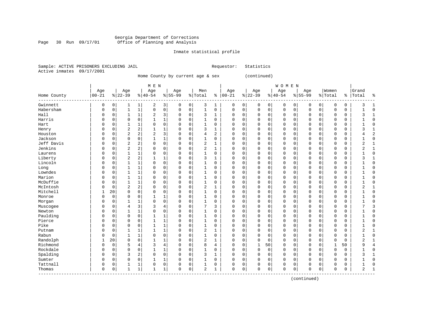#### Georgia Department of Corrections Page 30 Run 09/17/01 Office of Planning and Analysis

#### Inmate statistical profile

|  | Sample: ACTIVE PRISONERS EXCLUDING JAIL |  | Requestor: Statistics |  |
|--|-----------------------------------------|--|-----------------------|--|
|  | Active inmates 09/17/2001               |  |                       |  |

------------------------------------------------------------------------------------------------------------------------------------

Home County by current age & sex (continued)

| M E N | W O M E N | Age | Age | Age | Age | Men | Age | Age | Age | Age |Women |Grand Home County |00-21 %|22-39 %|40-54 %|55-99 %|Total % |00-21 %|22-39 %|40-54 %|55-99 %|Total % |Total % ------------------------------------------------------------------------------------------------------------------------------------Gwinnett | 0 0| 1 1| 2 3| 0 0| 3 1 | 0 0| 0 0| 0 0| 0 0| 0 0 | 3 1 Habersham | 0 0| 1 1| 0 0| 0 0| 1 0 | 0 0| 0 0| 0 0| 0 0| 0 0 | 1 0 Hall | 0 0| 1 1| 2 3| 0 0| 3 1 | 0 0| 0 0| 0 0| 0 0| 0 0 | 3 1 Harris | 0 0| 0 0| 1 1| 0 0| 1 0 | 0 0| 0 0| 0 0| 0 0| 0 0 | 1 0 Hart | 0 0| 1 1| 0 0| 0 0| 1 0 | 0 0| 0 0| 0 0| 0 0| 0 0 | 1 0 Henry | 0 0| 2 2| 1 1| 0 0| 3 1 | 0 0| 0 0| 0 0| 0 0| 0 0 | 3 1 Houston | 0 0| 2 2| 2 3| 0 0| 4 2 | 0 0| 0 0| 0 0| 0 0| 0 0 | 4 2 Jackson | 0 0| 0 0| 1 1| 0 0| 1 0 | 0 0| 0 0| 0 0| 0 0| 0 0 | 1 0 Jeff Davis | 0 0| 2 2| 0 0| 0 0| 2 1 | 0 0| 0 0| 0 0| 0 0| 0 0 | 2 1 Jenkins | 0 0| 2 2| 0 0| 0 0| 2 1 | 0 0| 0 0| 0 0| 0 0| 0 0 | 2 1 Laurens | 0 0| 1 1| 0 0| 0 0| 1 0 | 0 0| 0 0| 0 0| 0 0| 0 0 | 1 0 Liberty | 0 0| 2 2| 1 1| 0 0| 3 1 | 0 0| 0 0| 0 0| 0 0| 0 0 | 3 1 Lincoln | 0 0| 1 1| 0 0| 0 0| 1 0 | 0 0| 0 0| 0 0| 0 0| 0 0 | 1 0 Long | 0 0| 1 1| 0 0| 0 0| 1 0 | 0 0| 0 0| 0 0| 0 0| 0 0 | 1 0 Lowndes | 0 0| 1 1| 0 0| 0 0| 1 0 | 0 0| 0 0| 0 0| 0 0| 0 0 | 1 0 Marion | 0 0| 1 1| 0 0| 0 0| 1 0 | 0 0| 0 0| 0 0| 0 0| 0 0 | 1 0 McDuffie | 0 0| 1 1| 0 0| 0 0| 1 0 | 0 0| 0 0| 0 0| 0 0| 0 0 | 1 0 McIntosh | 0 0| 2 2| 0 0| 0 0| 2 1 | 0 0| 0 0| 0 0| 0 0| 0 0 | 2 1 Mitchell | 1 20| 0 0| 0 0| 0 0| 1 0 | 0 0| 0 0| 0 0| 0 0| 0 0 | 1 0 Monroe | 0 0| 0 0| 1 1| 0 0| 1 0 | 0 0| 0 0| 0 0| 0 0| 0 0 | 1 0 Morgan | 0 0| 1 1| 0 0| 0 0| 1 0 | 0 0| 0 0| 0 0| 0 0| 0 0 | 1 0 Muscogee | 0 0| 4 3| 3 4| 0 0| 7 3 | 0 0| 0 0| 0 0| 0 0| 0 0 | 7 3 Newton | 0 0| 1 1| 0 0| 0 0| 1 0 | 0 0| 0 0| 0 0| 0 0| 0 0 | 1 0 Paulding | 0 0| 0 0| 1 1| 0 0| 1 0 | 0 0| 0 0| 0 0| 0 0| 0 0 | 1 0 Pierce | 0 0| 0 0| 1 1| 0 0| 1 0 | 0 0| 0 0| 0 0| 0 0| 0 0 | 1 0 Pike | 0 0| 0 0| 1 1| 0 0| 1 0 | 0 0| 0 0| 0 0| 0 0| 0 0 | 1 0 Putnam | 0 0| 1 1| 1 1| 0 0| 2 1 | 0 0| 0 0| 0 0| 0 0| 0 0 | 2 1 Rabun | 0 0| 1 1| 0 0| 0 0| 1 0 | 0 0| 0 0| 0 0| 0 0| 0 0 | 1 0 Randolph | 1 20| 0 0| 1 1| 0 0| 2 1 | 0 0| 0 0| 0 0| 0 0| 0 0 | 2 1 Richmond | 0 0| 5 4| 3 4| 0 0| 8 4 | 0 0| 1 50| 0 0| 0 0| 1 50 | 9 4 Rockdale | 0 0| 0 0| 1 1| 0 0| 1 0 | 0 0| 0 0| 0 0| 0 0| 0 0 | 1 0 Spalding | 0 0| 3 2| 0 0| 0 0| 3 1 | 0 0| 0 0| 0 0| 0 0| 0 0 | 3 1 Sumter | 0 0| 0 0| 1 1| 0 0| 1 0 | 0 0| 0 0| 0 0| 0 0| 0 0 | 1 0 Tattnall | 0 0| 1 1| 0 0| 0 0| 1 0 | 0 0| 0 0| 0 0| 0 0| 0 0 | 1 0 Thomas | 0 0| 1 1| 1 1| 0 0| 2 1 | 0 0| 0 0| 0 0| 0 0| 0 0 | 2 1

(continued)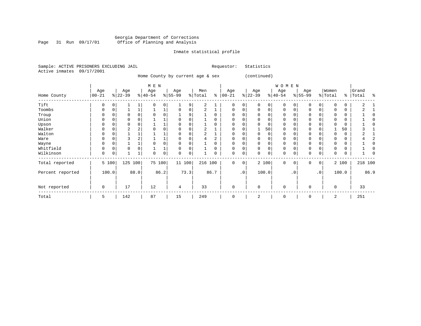### Georgia Department of Corrections Page 31 Run 09/17/01 Office of Planning and Analysis

#### Inmate statistical profile

Sample: ACTIVE PRISONERS EXCLUDING JAIL **Requestor:** Statistics Active inmates 09/17/2001

Home County by current age & sex (continued)

|                  |                   |          |                 |      | M E N            |      |                  |          |                |      |                   |             |                 |          | WOMEN            |     |                  |                 |                  |       |                    |      |
|------------------|-------------------|----------|-----------------|------|------------------|------|------------------|----------|----------------|------|-------------------|-------------|-----------------|----------|------------------|-----|------------------|-----------------|------------------|-------|--------------------|------|
| Home County      | Age<br>$ 00 - 21$ |          | Age<br>$ 22-39$ |      | Age<br>$ 40-54 $ |      | Age<br>$8 55-99$ |          | Men<br>% Total | နွ   | Age<br>$ 00 - 21$ |             | Age<br>$ 22-39$ |          | Age<br>$ 40-54 $ |     | Age<br>$ 55-99 $ |                 | Women<br>% Total |       | Grand<br>%   Total | ႜ    |
| Tift             | U                 |          |                 |      |                  | 0    |                  | 9        | 2              |      | $\Omega$          | 0           |                 |          | $\Omega$         |     |                  |                 |                  |       | 2                  |      |
| Toombs           | U                 |          |                 |      |                  |      |                  |          | $\overline{2}$ |      | $\Omega$          | 0           | $\Omega$        | $\Omega$ | $\Omega$         |     | O                | 0               |                  |       |                    |      |
| Troup            | U                 |          |                 |      |                  |      |                  |          |                |      |                   |             |                 |          | 0                |     |                  |                 |                  |       |                    |      |
| Union            | 0                 |          |                 |      |                  |      |                  |          |                |      | 0                 |             |                 | 0        | 0                |     | 0                |                 |                  | 0     |                    |      |
| Upson            |                   | 0        |                 |      |                  |      |                  |          |                |      |                   |             |                 | $\Omega$ | $\Omega$         |     |                  |                 |                  | 0     |                    |      |
| Walker           | 0                 | 0        | 2               |      |                  |      |                  | $\Omega$ | $\overline{2}$ |      | 0                 | 0           |                 | 50       | 0                |     | $\Omega$         |                 |                  | 50    |                    |      |
| Walton           |                   | 0        |                 |      |                  |      |                  |          | $\overline{2}$ |      | <sup>0</sup>      | 0           | 0               | $\Omega$ | $\Omega$         |     | $\Omega$         |                 |                  | 0     |                    |      |
| Ware             | U                 | $\Omega$ |                 |      |                  |      |                  |          |                | 2    | 0                 | 0           | <sup>0</sup>    | $\Omega$ | 0                |     | $\Omega$         |                 |                  | 0     |                    |      |
| Wayne            | 0                 |          |                 |      |                  | 0    |                  |          |                |      | $\Omega$          | 0           | $\Omega$        | $\Omega$ | $\Omega$         |     | $\Omega$         |                 |                  | 0     |                    |      |
| Whitfield        | 0                 | $\Omega$ | $\Omega$        |      |                  |      |                  |          |                |      | $\Omega$          | 0           |                 | $\Omega$ | 0                |     | $\Omega$         |                 |                  | 0     |                    |      |
| Wilkinson        | 0                 | 0        |                 |      | O                | 0    | $\cap$           | 0        |                |      | 0                 | 0           | $\Omega$        | 0        | 0                |     | $\Omega$         | 0               |                  |       |                    |      |
| Total reported   |                   | 5 100    | 125             | 100  | 75 100           |      | 11 100           |          | 216 100        |      | $\mathbf 0$       | $\mathbf 0$ |                 | 2 100    | $\mathbf 0$      | 0   | $\Omega$         | $\overline{0}$  |                  | 2 100 | 218 100            |      |
| Percent reported |                   | 100.0    |                 | 88.0 |                  | 86.2 |                  | 73.3     |                | 86.7 |                   | $\cdot$ 0   |                 | 100.0    |                  | .0' |                  | .0 <sup>1</sup> |                  | 100.0 |                    | 86.9 |
| Not reported     | 0                 |          | 17              |      | 12               |      | 4                |          | 33             |      | $\mathbf 0$       |             | $\Omega$        |          | 0                |     | $\Omega$         |                 | 0                |       | 33                 |      |
| Total            | 5                 |          | 142             |      | 87               |      | 15               |          | 249            |      | $\Omega$          |             | 2               |          | 0                |     | 0                |                 | 2                |       | 251                |      |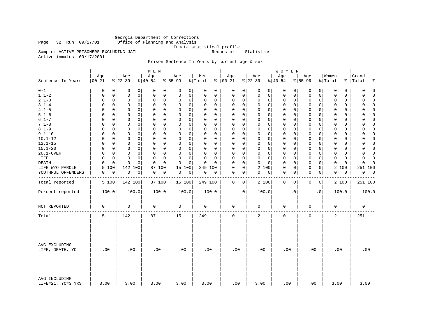Georgia Department of Corrections Office of Planning and Analysis

Inmate statistical profile<br>Requestor: Statistics

Sample: ACTIVE PRISONERS EXCLUDING JAIL Active inmates 09/17/2001

### Prison Sentence In Years by current age & sex

|                                    |                   |                                     | M E N                        |                         |                            |                      |                                     | WOMEN            |                             |                            |                          |
|------------------------------------|-------------------|-------------------------------------|------------------------------|-------------------------|----------------------------|----------------------|-------------------------------------|------------------|-----------------------------|----------------------------|--------------------------|
| Sentence In Years                  | Age<br>$ 00 - 21$ | Age<br>$ 22-39$                     | Age<br>$\frac{1}{6}$   40-54 | Age<br>$8 55-99$        | Men<br>% Total             | Age<br>$8   00 - 21$ | Age<br>$ 22-39$                     | Age<br>$ 40-54$  | Age<br>$8 55-99$            | Women<br>% Total           | Grand<br>%   Total<br>နွ |
| $0 - 1$                            | 0                 | 0<br>0<br>0                         | 0<br>0                       | 0<br>0                  | 0<br>$\mathbf 0$           | 0                    | 0<br>0<br>$\circ$                   | 0<br>0           | 0<br>0                      | 0<br>0                     | $\mathbf 0$<br>0         |
| $1.1 - 2$                          | $\mathbf 0$       | 0<br>0<br>0                         | $\mathbf 0$<br>0             | 0<br>0                  | $\mathbf 0$<br>$\mathbf 0$ | 0                    | 0<br>$\mathbf{0}$<br>$\mathbf 0$    | 0<br>0           | $\mathsf{O}$<br>0           | $\mathbf 0$<br>0           | 0<br>$\Omega$            |
| $2.1 - 3$                          | 0                 | $\mathbf 0$<br>0<br>0               | 0<br>0                       | 0<br>$\mathbf 0$        | $\mathbf 0$<br>$\mathbf 0$ | $\mathbf 0$          | 0<br>$\mathbf 0$<br>0               | 0<br>0           | $\mathbf 0$<br>0            | 0<br>$\mathbf 0$           | 0<br>$\mathbf 0$         |
| $3.1 - 4$                          | 0                 | $\Omega$<br>$\mathbf 0$<br>0        | $\mathbf 0$<br>$\mathbf 0$   | 0<br>$\mathbf 0$        | $\Omega$<br>$\Omega$       | 0                    | 0<br>$\mathbf 0$<br>$\Omega$        | 0<br>0           | $\mathbf 0$<br>0            | 0<br>$\Omega$              | $\Omega$<br>$\Omega$     |
| $4.1 - 5$                          | $\Omega$          | $\mathbf 0$<br>0<br>0               | $\mathsf 0$<br>$\mathbf 0$   | $\Omega$<br>0           | $\Omega$<br>$\Omega$       | 0                    | 0<br>$\mathsf{O}$<br>$\mathbf 0$    | 0<br>0           | $\mathbf 0$<br>$\mathbf 0$  | 0<br>$\mathbf 0$           | $\Omega$<br>$\Omega$     |
| $5.1 - 6$                          | $\Omega$          | $\mathbf 0$<br>0<br>$\Omega$        | 0<br>$\Omega$                | $\Omega$<br>$\mathbf 0$ | O<br>0                     | $\Omega$             | 0<br>$\mathbf 0$<br>0               | 0<br>0           | $\mathbf 0$<br>$\mathbf{0}$ | 0<br>0                     | $\Omega$<br>0            |
| $6.1 - 7$                          | $\Omega$          | $\mathbf 0$<br>0<br>0               | $\mathbf 0$<br>$\mathbf 0$   | $\mathbf 0$<br>$\Omega$ | $\Omega$<br>0              | 0                    | 0<br>$\mathbf 0$<br>$\mathbf 0$     | $\mathbf 0$<br>0 | $\mathbf 0$<br>$\mathbf 0$  | $\mathbf 0$<br>$\mathbf 0$ | $\Omega$<br>$\Omega$     |
| $7.1 - 8$                          | $\Omega$          | $\mathbf 0$<br>0<br>$\mathbf 0$     | $\mathbf 0$<br>$\mathbf 0$   | $\Omega$<br>$\mathbf 0$ | $\Omega$<br>$\Omega$       | 0                    | 0<br>$\mathbf{0}$<br>$\mathbf 0$    | $\mathbf 0$<br>0 | $\mathbf 0$<br>$\mathbf 0$  | $\Omega$<br>0              | $\Omega$<br>$\Omega$     |
| $8.1 - 9$                          | $\Omega$          | $\mathbf 0$<br>$\mathbf 0$<br>0     | $\mathbf 0$<br>0             | $\Omega$<br>0           | $\Omega$<br>$\Omega$       | $\Omega$             | 0<br>$\mathbf{0}$<br>$\mathbf 0$    | $\mathbf 0$<br>0 | $\mathbf 0$<br>$\mathbf 0$  | $\mathbf 0$<br>$\mathbf 0$ | $\mathbf 0$<br>0         |
| $9.1 - 10$                         | $\mathbf 0$       | $\Omega$<br>$\mathbf 0$<br>$\Omega$ | $\mathbf 0$<br>$\Omega$      | $\Omega$<br>$\mathbf 0$ | $\Omega$<br>$\Omega$       | $\Omega$             | $\Omega$<br>$\Omega$<br>$\mathbf 0$ | 0<br>0           | $\mathbf 0$<br>$\Omega$     | $\Omega$<br>$\Omega$       | $\Omega$<br>$\Omega$     |
| $10.1 - 12$                        | $\Omega$          | $\mathbf 0$<br>$\mathbf 0$<br>0     | 0<br>$\mathbf 0$             | $\Omega$<br>0           | $\Omega$<br>$\Omega$       | $\mathbf 0$          | 0<br>0<br>$\mathbf 0$               | 0<br>0           | $\mathbf 0$<br>$\mathbf 0$  | $\mathbf 0$<br>$\mathbf 0$ | $\Omega$<br>$\Omega$     |
| $12.1 - 15$                        | $\Omega$          | $\Omega$<br>$\mathbf 0$<br>0        | $\mathbf 0$<br>$\Omega$      | 0<br>0                  | $\mathbf 0$<br>0           | $\Omega$             | 0<br>$\mathbf 0$<br>0               | 0<br>0           | $\mathbf 0$<br>$\mathbf{0}$ | $\Omega$<br>0              | 0<br>$\Omega$            |
| $15.1 - 20$                        | $\Omega$          | $\mathbf 0$<br>$\mathbf 0$<br>0     | $\mathbf 0$<br>$\mathbf 0$   | $\mathbf 0$<br>0        | $\mathbf 0$<br>$\Omega$    | $\mathbf 0$          | 0<br>$\mathbf 0$<br>$\mathbf 0$     | $\mathbf 0$<br>0 | $\mathbf 0$<br>$\mathbf 0$  | $\mathbf 0$<br>$\mathbf 0$ | $\Omega$<br>0            |
| 20.1-OVER                          | $\Omega$          | $\mathbf 0$<br>0<br>$\mathbf 0$     | $\mathbf 0$<br>$\Omega$      | $\Omega$<br>$\mathbf 0$ | $\Omega$<br>$\Omega$       | $\Omega$             | 0<br>$\mathbf 0$<br>$\mathbf 0$     | $\mathbf 0$<br>0 | $\mathbf 0$<br>$\Omega$     | $\mathbf 0$<br>$\Omega$    | $\Omega$<br>$\Omega$     |
| LIFE                               | $\Omega$          | $\mathbf 0$<br>$\mathbf 0$<br>0     | $\mathbf 0$<br>$\Omega$      | $\Omega$<br>$\mathbf 0$ | $\mathbf 0$<br>$\Omega$    | $\Omega$             | 0<br>$\mathbf 0$<br>$\mathbf 0$     | $\mathbf 0$<br>0 | $\mathbf 0$<br>$\mathbf 0$  | $\mathbf 0$<br>$\mathbf 0$ | $\Omega$<br>$\Omega$     |
| <b>DEATH</b>                       | $\Omega$          | 0<br>$\mathbf 0$<br>0               | $\mathbf 0$<br>$\mathbf 0$   | 0<br>$\mathbf 0$        | $\mathbf 0$<br>$\Omega$    | 0                    | 0<br>$\mathbf 0$<br>$\Omega$        | 0<br>0           | $\mathbf 0$<br>0            | $\mathbf 0$<br>0           | 0<br>$\Omega$            |
| LIFE W/O PAROLE                    | 5<br>100          | 142 100                             | 100<br>87                    | 15<br>100               | 249<br>100                 | $\mathbf 0$          | 0<br>$\overline{a}$<br>100          | 0<br>0           | $\mathbf 0$<br>$\mathbf 0$  | 2<br>100                   | 251 100                  |
| YOUTHFUL OFFENDERS                 | 0                 | 0<br>0<br>0                         | 0<br>0                       | 0<br>0                  | 0<br>0                     | 0                    | $\overline{0}$<br>0<br> 0           | 0<br>0           | $\mathbf 0$<br>0            | 0<br>0                     | 0<br>0                   |
| Total reported                     | 5 100             | 142 100                             | 87 100                       | 15 100                  | 249 100                    | $\mathbf 0$          | $\overline{0}$<br>2 100             | $\mathbf 0$<br>0 | $\mathbf 0$<br>$\mathbf{0}$ | 2 100                      | 251 100                  |
| Percent reported                   | 100.0             | 100.0                               | 100.0                        | 100.0                   | 100.0                      | $\cdot$ 0            | 100.0                               | $\cdot$ 0        | $\cdot$ 0                   | 100.0                      | 100.0                    |
| NOT REPORTED                       | 0                 | 0                                   | 0                            | 0                       | 0                          | 0                    | 0                                   | 0                | 0                           | 0                          | $\mathbf 0$              |
| Total                              | 5                 | 142                                 | 87                           | 15                      | 249                        | $\mathbf 0$          | 2                                   | $\mathbf 0$      | $\mathbf 0$                 | 2                          | 251                      |
| AVG EXCLUDING<br>LIFE, DEATH, YO   | .00               | .00                                 | .00                          | .00                     | .00                        | .00                  | .00                                 | .00              | .00                         | .00                        | .00                      |
| AVG INCLUDING<br>LIFE=21, YO=3 YRS | 3.00              | 3.00                                | 3.00                         | 3.00                    | 3.00                       | .00                  | 3.00                                | .00              | .00                         | 3.00                       | 3.00                     |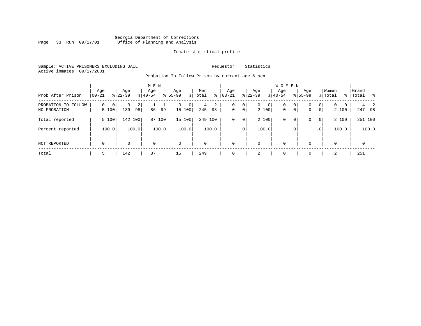#### Georgia Department of Corrections Page 33 Run 09/17/01 Office of Planning and Analysis

#### Inmate statistical profile

Sample: ACTIVE PRISONERS EXCLUDING JAIL **Requestor:** Statistics Active inmates 09/17/2001

Probation To Follow Prison by current age & sex

|                                        |                                     |                             | M E N            |                             |                     |                  |                                                  | <b>WOMEN</b>      |                               |                                    |                    |
|----------------------------------------|-------------------------------------|-----------------------------|------------------|-----------------------------|---------------------|------------------|--------------------------------------------------|-------------------|-------------------------------|------------------------------------|--------------------|
| Prob After Prison                      | Age<br>$00 - 21$                    | Age<br>$8 22-39$            | Age<br>$8 40-54$ | Age<br>$8155 - 99$          | Men<br>ႜ<br>% Total | Aqe<br>$00 - 21$ | Age<br>န္  <br>$22 - 39$                         | Aqe<br>$8 40-54$  | Age<br>$8155 - 99$            | Women<br>% Total                   | Grand<br>% Total % |
| PROBATION TO<br>FOLLOW<br>NO PROBATION | $\mathbf 0$<br>$\mathbf 0$<br>5 100 | $\overline{2}$<br>139<br>98 | ∸.<br>86<br>99   | $\mathbf{0}$<br>0<br>15 100 | 2<br>4<br>245<br>98 | 0<br>$\mathbf 0$ | 0<br>0<br>$\mathbf 0$<br>0 <sup>1</sup><br>2 100 | 0<br>$\mathbf{0}$ | 0<br>0<br>0 <sup>1</sup><br>0 | 0<br>$\Omega$<br>0<br> 0 <br>2 100 | -2<br>247 98       |
| Total reported                         | 5 100                               | 142 100                     | 87 100           | 15 100                      | 249<br>100          | 0                | 2 100<br>$\mathbf 0$                             | $\mathbf 0$       | 0<br>0                        | 2 100<br>$\overline{0}$            | 251 100            |
| Percent reported                       | 100.0                               | 100.0                       | 100.0            | 100.0                       | 100.0               | .0 <sup>1</sup>  | 100.0                                            |                   | . 0                           | 100.0<br>.0 <sup>1</sup>           | 100.0              |
| NOT REPORTED                           | $\mathbf 0$                         | $\Omega$                    | $\Omega$         | $\mathbf 0$                 | $\mathbf 0$         | $\Omega$         | 0                                                | $\mathbf 0$       | $\Omega$                      | $\Omega$                           | 0                  |
| Total                                  | 5                                   | 142                         | 87               | 15                          | 249                 | $\Omega$         | 2                                                | $\mathbf 0$       | $\Omega$                      | $\mathfrak{D}$                     | 251                |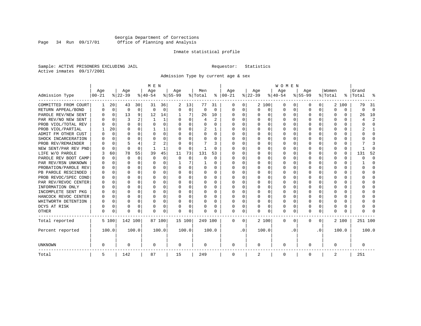### Georgia Department of Corrections Page 34 Run 09/17/01 Office of Planning and Analysis

#### Inmate statistical profile

Sample: ACTIVE PRISONERS EXCLUDING JAIL **Requestor:** Statistics Active inmates 09/17/2001

Admission Type by current age & sex

|                      |           |             |          |          | M E N       |             |           |             |         |          |              |             |          |              | <b>WOMEN</b> |          |           |           |          |          |         |                         |
|----------------------|-----------|-------------|----------|----------|-------------|-------------|-----------|-------------|---------|----------|--------------|-------------|----------|--------------|--------------|----------|-----------|-----------|----------|----------|---------|-------------------------|
|                      | Age       |             | Age      |          | Age         |             | Aqe       |             | Men     |          | Age          |             | Age      |              | Age          |          | Aqe       |           | Women    |          | Grand   |                         |
| Admission Type       | $00 - 21$ |             | $ 22-39$ |          | $ 40-54$    |             | $8 55-99$ |             | % Total | ွေ       | $ 00-21 $    |             | $ 22-39$ |              | $ 40-54$     |          | $8 55-99$ |           | % Total  | ွေ       | Total   | ू                       |
| COMMITTED FROM COURT | 1         | 20          | 43       | 30       | 31          | 36          | 2         | 13          | 77      | 31       | 0            | 0           |          | 2 100        | 0            | U        | 0         | 0         |          | 2 100    | 79      | -31                     |
| RETURN APPEAL/BOND   | 0         | $\mathbf 0$ | 0        | 0        | $\Omega$    | 0           | O         | $\mathbf 0$ | 0       | $\Omega$ | 0            | 0           | $\Omega$ | 0            | 0            | $\Omega$ | $\Omega$  | 0         | $\Omega$ | $\Omega$ | 0       | $\Omega$                |
| PAROLE REV/NEW SENT  | U         | $\Omega$    | 13       | 9        | 12          | 14          |           | 7           | 26      | 10       | <sup>0</sup> | $\Omega$    | ∩        | O            | $\Omega$     | $\Omega$ | $\Omega$  | $\Omega$  | U        | U        | 26      | 10                      |
| PAR REV/NO NEW SENT  |           | $\Omega$    | 3        |          | 1           | 1           | ∩         | $\Omega$    | 4       | 2        | <sup>0</sup> | $\Omega$    | U        | $\Omega$     | U            | n        | $\Omega$  | 0         | U        | U        |         | $\overline{\mathbf{c}}$ |
| PROB VIOL/TOTAL REV  |           | $\Omega$    | O        | 0        | $\Omega$    | 0           | O         | $\Omega$    | U       | U        | <sup>0</sup> | 0           | U        | O            | U            | $\Omega$ | $\Omega$  | 0         |          | U        |         | <sup>0</sup>            |
| PROB VIOL/PARTIAL    |           | 20          | U        | 0        |             | $\mathbf 1$ |           | $\Omega$    | 2       |          | <sup>0</sup> | 0           |          | O            | 0            | $\Omega$ | $\Omega$  |           |          | U        |         |                         |
| ADMIT FM OTHER CUST  |           | $\Omega$    | U        | 0        | $\Omega$    | 0           | U         | $\Omega$    | 0       | 0        | <sup>0</sup> | 0           | U        | <sup>0</sup> | U            | $\Omega$ | $\Omega$  | 0         | n        | 0        |         | $\Omega$                |
| SHOCK INCARCERATION  |           | $\Omega$    | U        | 0        | $\Omega$    | $\Omega$    | U         | $\Omega$    | 0       | $\Omega$ | 0            | $\Omega$    | O        | O            | U            | $\Omega$ | O         | $\Omega$  | n        | 0        |         | ∩                       |
| PROB REV/REMAINDER   |           | $\Omega$    |          | 4        | 2           | 2           |           | $\Omega$    |         | 3        | <sup>0</sup> | $\Omega$    | U        | O            | U            | $\Omega$ | $\Omega$  | $\Omega$  |          | 0        |         |                         |
| NEW SENT/PAR REV PND |           | 0           | $\Omega$ | $\Omega$ |             | 1           | O         | 0           |         | U        | <sup>0</sup> | $\Omega$    | U        | $\Omega$     | U            | n        | $\Omega$  | $\Omega$  | O        | 0        |         | ſ                       |
| LIFE W/O PAROLE      |           | 60          | 78       | 55       | 39          | 45          | 11        | 73          | 131     | 53       |              | 0           |          | $\Omega$     | Ω            | $\Omega$ | $\Omega$  | $\Omega$  |          | 0        | 131     | 52                      |
| PAROLE REV BOOT CAMP |           | $\Omega$    | U        | $\Omega$ | $\mathbf 0$ | 0           | O         | $\mathbf 0$ | U       | $\Omega$ | 0            | 0           |          | 0            | U            | $\Omega$ | $\Omega$  | O         | O        | 0        |         | $\Omega$                |
| PAR REV/RSN UNKNOWN  |           | $\Omega$    | U        | $\Omega$ | $\Omega$    | 0           |           | 7           |         | U        | 0            | 0           | ∩        | <sup>0</sup> | U            | $\Omega$ | $\Omega$  | 0         | O        | 0        |         | <sup>0</sup>            |
| PROBATION/PAROLE REV |           | $\Omega$    | U        | 0        | $\Omega$    | 0           | U         | $\Omega$    | 0       | 0        | O            | $\Omega$    | ∩        | $\Omega$     | U            | ∩        | ∩         | $\Omega$  | U        | 0        | O       | ∩                       |
| PB PAROLE RESCINDED  |           | $\Omega$    | U        | 0        | ∩           | $\Omega$    | U         | $\Omega$    | 0       | 0        | <sup>0</sup> | $\Omega$    | U        | $\Omega$     | U            | $\cap$   | ∩         | $\Omega$  | n        | 0        |         | n                       |
| PROB REVOC/SPEC COND | U         | $\Omega$    | U        | 0        | $\Omega$    | O           | U         | $\Omega$    | U       | U        | O            | 0           | ∩        | $\Omega$     | U            | n        | ∩         | 0         |          | U        |         | n                       |
| PAR REV/REVOC CENTER |           | 0           | U        | 0        | $\Omega$    | O           | O         | $\Omega$    | U       | U        | <sup>0</sup> | 0           | U        | O            | U            | $\Omega$ | $\Omega$  | 0         |          | U        |         | <sup>0</sup>            |
| INFORMATION ONLY     |           | $\Omega$    | U        | 0        | $\Omega$    | O           | O         | $\Omega$    | 0       | U        | <sup>0</sup> | 0           |          | O            | Ω            | $\Omega$ |           | O         |          | U        |         | <sup>0</sup>            |
| INCOMPLETE SENT PKG  |           | 0           | U        | 0        | $\Omega$    | O           | U         | 0           | 0       | U        | <sup>0</sup> | 0           | U        | U            | U            | $\Omega$ | ∩         | U         |          | 0        |         | ∩                       |
| HANCOCK REVOC CENTER | O         | 0           | O        | $\Omega$ | $\Omega$    | $\Omega$    | U         | $\Omega$    | 0       | U        | <sup>0</sup> | $\Omega$    | $\Omega$ | $\Omega$     | U            | $\Omega$ | ∩         | $\Omega$  | n        | 0        |         | $\Omega$                |
| WHITWORTH DETENTION  | U         | $\Omega$    | U        | $\Omega$ | $\Omega$    | $\Omega$    | U         | $\Omega$    | 0       | U        | $\Omega$     | $\Omega$    | $\Omega$ | $\Omega$     | U            | $\Omega$ | ∩         | $\Omega$  | n        | 0        |         | $\cap$                  |
| DCYS AT RISK         |           | 0           | 0        | 0        | $\Omega$    | 0           | O         | 0           | U       | U        | 0            | 0           | U        | $\Omega$     | U            | $\Omega$ | $\Omega$  | $\Omega$  | O        | 0        |         | ∩                       |
| <b>OTHER</b>         | O         | 0           | O        | 0        | $\Omega$    | 0           | O         | 0           | N       | U        | <sup>0</sup> | 0           | U        | 0            | 0            | $\Omega$ | $\Omega$  | 0         | O        | U        |         |                         |
| Total reported       |           | 5 100       | 142 100  |          |             | 87 100      | 15 100    |             | 249 100 |          | 0            | $\mathbf 0$ |          | 2 100        | 0            | $\Omega$ | $\Omega$  | 0         |          | 2 100    | 251 100 |                         |
| Percent reported     |           | 100.0       |          | 100.0    |             | 100.0       |           | 100.0       |         | 100.0    |              | $\cdot$ 0   |          | 100.0        |              | . 0      |           | $\cdot$ 0 |          | 100.0    |         | 100.0                   |
| UNKNOWN              | 0         |             | 0        |          | 0           |             | 0         |             | 0       |          | 0            |             | 0        |              | 0            |          | 0         |           | 0        |          | 0       |                         |
| Total                | 5         |             | 142      |          | 87          |             | 15        |             | 249     |          | $\mathbf 0$  |             | 2        |              | 0            |          | 0         |           | 2        |          | 251     |                         |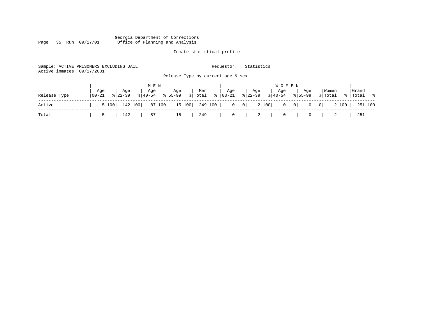#### Georgia Department of Corrections Page 35 Run 09/17/01 Office of Planning and Analysis

## Inmate statistical profile

251 100

| Active inmates | Sample: ACTIVE PRISONERS EXCLUDING JAIL<br>09/17/2001 |                                     | Requestor:      | Statistics                              |                                                         |               |
|----------------|-------------------------------------------------------|-------------------------------------|-----------------|-----------------------------------------|---------------------------------------------------------|---------------|
|                |                                                       | Release Type by current age & sex   |                 |                                         |                                                         |               |
|                | Aqe<br>Aqe                                            | M E N<br>Age<br>Men<br>Age          | Age             | W O M E N<br>Age<br>Aqe                 | Women<br>Aqe                                            | Grand         |
| Release Type   | $8122 - 39$<br>$100 - 21$                             | $8155 - 99$<br>% Total<br>$ 40-54 $ | ႜၟ<br>$ 00-21 $ | $ 22-39 $<br>$8 40-54$                  | $8155 - 99$<br>% Total                                  | ႜ<br>%  Total |
| Active         | 142 100<br>5 100                                      | 87 100<br>15 100                    | 249 100         | $0 \qquad 0$<br>2 100<br>$\overline{0}$ | 2 100<br>$\begin{array}{c c} 0 \end{array}$<br> 0 <br>0 | 251 100       |
| Total          | 142<br>5                                              | 87<br>249<br>15                     | 0               | 2<br>$\circ$                            | 2<br>0                                                  | 251           |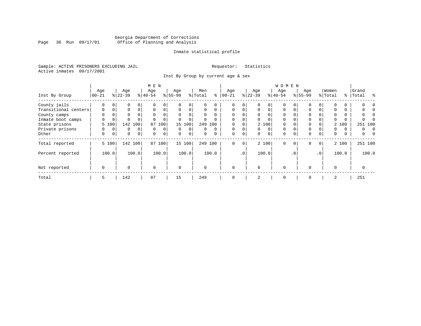### Georgia Department of Corrections Page 36 Run 09/17/01 Office of Planning and Analysis

#### Inmate statistical profile

Sample: ACTIVE PRISONERS EXCLUDING JAIL **Requestor:** Statistics Active inmates 09/17/2001

Inst By Group by current age & sex

| M E N                |             |             |             |                |           |             |           |             |          |          | <b>WOMEN</b> |          |          |             |             |             |             |                 |          |       |           |   |
|----------------------|-------------|-------------|-------------|----------------|-----------|-------------|-----------|-------------|----------|----------|--------------|----------|----------|-------------|-------------|-------------|-------------|-----------------|----------|-------|-----------|---|
|                      | Age         |             | Age         |                | Age       |             | Age       |             | Men      |          | Age          |          | Age      |             | Age         |             | Age         |                 | Women    |       | Grand     |   |
| Inst By Group        | $00 - 21$   |             | $ 22-39 $   |                | $8 40-54$ |             | $8 55-99$ |             | % Total  | ႜ        | $ 00-21 $    |          | $ 22-39$ |             | $ 40-54 $   |             | $8155 - 99$ |                 | % Total  |       | %   Total | ႜ |
| County jails         | 0           | $\mathbf 0$ | 0           | 0              |           | 0           |           | 0           | U        |          |              | 0        |          |             | $\Omega$    |             |             |                 |          |       |           |   |
| Transitional centers | $\mathbf 0$ | 0           | 0           | $\Omega$       | $\Omega$  | 0           | $\Omega$  | $\Omega$    | $\Omega$ | $\Omega$ | $\mathbf 0$  | $\Omega$ | 0        | $\Omega$    | $\Omega$    | $\Omega$    | $\Omega$    |                 | $\Omega$ |       |           |   |
| County camps         | $\Omega$    |             | 0           |                | $\Omega$  | 0           |           |             | $\Omega$ | $\Omega$ | $\Omega$     |          |          |             | $\Omega$    |             |             |                 |          |       |           |   |
| Inmate boot camps    | U           | 0           | $\Omega$    |                |           |             |           | $\Omega$    | 0        |          |              |          |          |             | $\Omega$    |             | $\Omega$    |                 |          |       |           |   |
| State prisons        |             | 5 100       | 142         | 100            | 87        | 100         |           | 15 100      |          | 249 100  |              |          |          | 2 100       | $\Omega$    |             | $\Omega$    |                 |          | 2 100 | 251 100   |   |
| Private prisons      | 0           | $\Omega$    | 0           | 0              | $\Omega$  | 0           | $\Omega$  | $\Omega$    | 0        | $\Omega$ | $\Omega$     | $\Omega$ | $\Omega$ | $\Omega$    | $\Omega$    |             | $\Omega$    |                 | 0        | 0     | 0         | n |
| Other                | 0           | 0           | $\mathbf 0$ | $\overline{0}$ | $\Omega$  | $\mathbf 0$ | $\Omega$  | $\mathbf 0$ | $\Omega$ |          | $\mathbf 0$  | 0        | $\Omega$ | $\mathbf 0$ | $\mathbf 0$ | $\Omega$    | $\Omega$    | $\Omega$        | 0        | 0     | 0         |   |
| Total reported       |             | 5 100       |             | 142 100        | 87        | 100         |           | 15 100      |          | 249 100  | 0            | 0        |          | 2 100       | $\Omega$    | $\mathbf 0$ | 0           | 0 <sup>1</sup>  |          | 2 100 | 251 100   |   |
| Percent reported     |             | 100.0       |             | 100.0          |           | 100.0       |           | 100.0       |          | 100.0    |              | .0'      |          | 100.0       |             | $\cdot$ 0   |             | .0 <sup>1</sup> |          | 100.0 | 100.0     |   |
| Not reported         | $\mathbf 0$ |             | $\Omega$    |                | $\Omega$  |             | $\Omega$  |             | $\Omega$ |          | $\Omega$     |          | $\Omega$ |             | $\Omega$    |             | $\cap$      |                 | $\cap$   |       | O         |   |
| Total                | 5           |             | 142         |                | 87        |             | 15        |             | 249      |          | $\mathbf 0$  |          | 2        |             | $\mathbf 0$ |             | $\Omega$    |                 | 2        |       | 251       |   |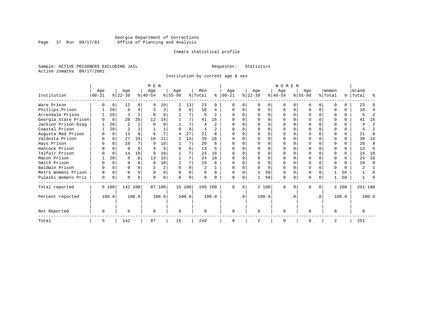### Georgia Department of Corrections Page 37 Run 09/17/01 Office of Planning and Analysis

#### Inmate statistical profile

Sample: ACTIVE PRISONERS EXCLUDING JAIL **Requestor:** Statistics Active inmates 09/17/2001

Institution by current age & sex

|                      | M E N     |          |                |       |           |                |                |          |         |                |            |           | WOMEN          |       |           |          |           |           |          |          |           |                |
|----------------------|-----------|----------|----------------|-------|-----------|----------------|----------------|----------|---------|----------------|------------|-----------|----------------|-------|-----------|----------|-----------|-----------|----------|----------|-----------|----------------|
|                      | Age       |          | Age            |       | Age       |                | Age            |          | Men     |                | Age        |           | Age            |       | Age       |          | Age       |           | Women    |          | Grand     |                |
| Institution          | $00 - 21$ |          | $ 22-39 $      |       | $ 40-54 $ |                | $8 55-99$      |          | % Total | ి              | $ 00 - 21$ |           | $ 22-39 $      |       | $ 40-54 $ |          | $ 55-99 $ |           | % Total  |          | %   Total | ႜ              |
| Ware Prison          |           |          | 12             | 8     | q         | 10             | 2              | 13       | 23      | 9              |            |           |                |       |           |          |           | U         |          |          | 23        | 9              |
| Phillips Prison      |           | 20       | 6              | 4     | 3         | 3              |                | 0        | 10      | 4              |            |           | <sup>0</sup>   | 0     |           | $\Omega$ |           | $\Omega$  |          | $\Omega$ | 10        | 4              |
| Arrendale Prison     |           | 20       | ς              | 2     |           |                |                | 7        |         | $\mathfrak{D}$ |            |           |                | U     |           |          |           | O         |          | 0        | 5         | $\overline{2}$ |
| Georgia State Prison |           | $\Omega$ | 28             | 20    | 12        | 14             |                |          | 41      | 16             |            |           |                | U     |           |          |           | U         |          |          | 41        | 16             |
| Jackson Prison-Diag  |           | 20       | $\overline{2}$ |       |           |                |                | 7        | 4       | $\overline{a}$ |            |           |                | U     | ∩         |          |           | U         |          | $\Omega$ | 4         | $\overline{2}$ |
| Coastal Prison       |           | 20       | $\overline{2}$ |       |           |                |                | $\Omega$ | 4       | $\mathcal{L}$  |            |           | ∩              | U     | ∩         | $\Omega$ |           | U         |          | $\Omega$ | 4         | $\overline{a}$ |
| Augusta Med Prison   |           | 0        | 11             | 8     | 6         |                | 4              | 27       | 21      | R              |            |           |                |       |           |          |           | U         |          | $\Omega$ | 21        | 8              |
| Valdosta Prison      |           | $\Omega$ | 27             | 19    | 10        | 11             | $\overline{a}$ | 13       | 39      | 16             | O          |           |                |       |           |          | N         | U         | ∩        | 0        | 39        | 16             |
| Hays Prison          |           | $\Omega$ | 10             | 7     | q         | 10             |                | 7        | 20      | 8              |            |           | <sup>0</sup>   | O     |           | ∩        |           | $\Omega$  | ∩        |          | 20        | 8              |
| Hancock Prison       |           | $\Omega$ | 9              | 6     |           |                | U              | U        | 13      |                |            |           |                | U     |           |          |           | O         |          | $\Omega$ | 13        | 5              |
| Telfair Prison       |           | O        | 14             | 10    |           | 10             |                |          | 24      | 10             |            |           |                | U     |           |          |           |           |          |          | 2.4       | 10             |
| Macon Prison         |           | 20       | 9              | б.    | 13        | 15             |                |          | 24      | 10             |            |           |                | O     |           |          |           | U         | ∩        | $\Omega$ | 24        | 10             |
| Smith Prison         |           | $\Omega$ | 9              | б     | q         | 10             |                | 7        | 19      | $\mathsf{R}$   |            |           |                | O     |           | $\Omega$ |           | U         | $\Omega$ |          | 19        | 8              |
| Baldwin Prison       |           |          |                |       | 2         | $\overline{a}$ | $\Omega$       |          | 2       |                |            |           |                | O     | $\Omega$  | ∩        |           |           |          | $\Omega$ |           |                |
| Metro Womens Prison  |           | $\Omega$ | U              | 0     | $\Omega$  | $\Omega$       | U              | 0        |         | <sup>0</sup>   |            |           |                | 50    | $\Omega$  | $\Omega$ | ი         | U         |          | 50       |           | O              |
| Pulaski Womens Pris  | 0         | 0        | U              | 0     |           | 0              | U              | 0        |         |                | $\Omega$   | $\Omega$  |                | 50    | $\Omega$  | 0        | N         | 0         |          | 50       |           |                |
| Total reported       |           | 5 100    | 142 100        |       |           | 87 100         | 15 100         |          | 249 100 |                | $\Omega$   | $\Omega$  |                | 2 100 | $\Omega$  | $\Omega$ | 0         | $\Omega$  |          | 2 100    | 251 100   |                |
| Percent reported     |           | 100.0    |                | 100.0 |           | 100.0          |                | 100.0    |         | 100.0          |            | $\cdot$ 0 |                | 100.0 |           | . 0      |           | $\cdot$ 0 |          | 100.0    |           | 100.0          |
| Not Reported         |           |          | U              |       |           |                | $\Omega$       |          |         |                | $\Omega$   |           | $\Omega$       |       | $\Omega$  |          | U         |           | $\Omega$ |          | O         |                |
| Total                | 5.        |          | 142            |       | 87        |                | 15             |          | 249     |                | $\Omega$   |           | $\overline{2}$ |       | $\Omega$  |          | O         |           |          |          | 251       |                |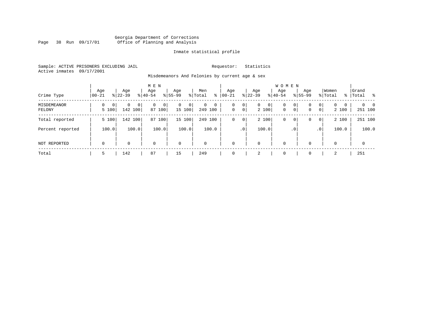#### Georgia Department of Corrections Page 38 Run 09/17/01 Office of Planning and Analysis

#### Inmate statistical profile

Sample: ACTIVE PRISONERS EXCLUDING JAIL **Requestor:** Statistics Active inmates 09/17/2001

Misdemeanors And Felonies by current age & sex

| Crime Type            | Aqe<br>$00 - 21$ | Age<br>$8122 - 39$                             | M E N<br>Age<br>$8140 - 54$ | Age<br>$8155 - 99$          | Men<br>ွေ<br>% Total              | Age<br>$00 - 21$ | Age<br>$ 22-39 $                             | <b>WOMEN</b><br>Aqe<br>$8 40-54$ | Age<br>$8155 - 99$ | Women<br>% Total                                                    | Grand<br>%   Total<br>း         |
|-----------------------|------------------|------------------------------------------------|-----------------------------|-----------------------------|-----------------------------------|------------------|----------------------------------------------|----------------------------------|--------------------|---------------------------------------------------------------------|---------------------------------|
| MISDEMEANOR<br>FELONY | 0<br>5 100       | $\mathbf{0}$<br>$\circ$<br>$\Omega$<br>142 100 | 0<br>0<br>87<br>100         | $\mathbf{0}$<br>0<br>15 100 | $\mathbf 0$<br>$\circ$<br>249 100 | 0<br>$\mathbf 0$ | 0<br>$\mathbf{0}$<br>$\overline{0}$<br>2 100 | 0<br>$\mathbf 0$<br>$\mathbf{0}$ | 0<br>0<br> 0 <br>0 | $\mathbf{0}$<br>$\Omega$<br>$\mathbf{0}$<br>$\overline{0}$<br>2 100 | $\Omega$<br>$\Omega$<br>251 100 |
| Total reported        | 5 100            | 142 100                                        | 100<br>87                   | 15 100                      | 249<br>100                        | 0                | 2 100<br>0                                   | 0                                | 0<br>0             | 2 100<br>$\overline{0}$                                             | 251 100                         |
| Percent reported      | 100.0            | 100.0                                          | 100.0                       | 100.0                       | 100.0                             |                  | 100.0<br>$\cdot$ 0                           |                                  | $\cdot$ 0          | 100.0<br>.0 <sup>1</sup>                                            | 100.0                           |
| NOT REPORTED          | $\mathbf 0$      | 0                                              | $\mathbf 0$                 | $\mathbf 0$                 | $\mathbf 0$                       | $\mathbf 0$      | 0                                            | $\mathbf 0$                      | 0                  | $\mathbf 0$                                                         | $\mathbf 0$                     |
| Total                 | 5                | 142                                            | 87                          | 15                          | 249                               | 0                | 2                                            | $\overline{0}$                   | $\Omega$           | 2                                                                   | 251                             |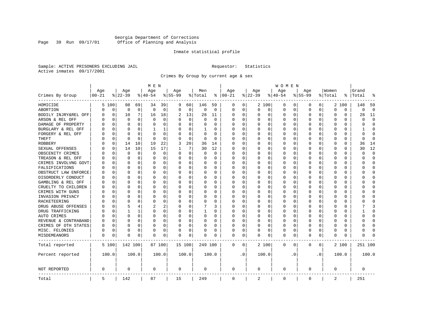### Georgia Department of Corrections Page 39 Run 09/17/01 Office of Planning and Analysis

#### Inmate statistical profile

Sample: ACTIVE PRISONERS EXCLUDING JAIL **Requestor:** Statistics Active inmates 09/17/2001

Crimes By Group by current age & sex

|                      | M E N      |             |             |              |             |          |           |             |          |             |             |           |             |          | W O M E N   |          |           |           |          |          |              |             |
|----------------------|------------|-------------|-------------|--------------|-------------|----------|-----------|-------------|----------|-------------|-------------|-----------|-------------|----------|-------------|----------|-----------|-----------|----------|----------|--------------|-------------|
|                      | Age        |             | Age         |              | Age         |          | Age       |             | Men      |             | Age         |           | Age         |          | Age         |          | Age       |           | Women    |          | Grand        |             |
| Crimes By Group      | $ 00 - 21$ |             | $ 22-39$    |              | $ 40-54$    |          | $8 55-99$ |             | % Total  | ႜ           | $ 00-21$    |           | $ 22-39$    |          | $ 40-54$    |          | $8 55-99$ |           | % Total  | ႜ        | Total        | 읏           |
| HOMICIDE             |            | 5 100       | 98          | 69           | 34          | 39       | 9         | 60          | 146      | 59          | 0           | 0         |             | 2 100    | 0           | 0        | $\Omega$  | 0         |          | 2 100    | 148          | 59          |
| ABORTION             | U          | 0           | $\mathbf 0$ | $\mathbf 0$  | $\mathbf 0$ | 0        | $\Omega$  | $\mathbf 0$ | 0        | $\mathbf 0$ | 0           | 0         | $\mathbf 0$ | 0        | 0           | 0        | $\Omega$  | 0         | $\Omega$ | 0        | 0            | $\mathbf 0$ |
| BODILY INJRY&REL OFF | 0          | $\mathbf 0$ | 10          | 7            | 16          | 18       | 2         | 13          | 28       | 11          | 0           | 0         | 0           | 0        | 0           | 0        | $\Omega$  | 0         | O        | 0        | 28           | 11          |
| ARSON & REL OFF      | O          | $\Omega$    | $\Omega$    | 0            | $\Omega$    | $\Omega$ |           | $\Omega$    | $\Omega$ | $\Omega$    | $\Omega$    | $\Omega$  | 0           | $\Omega$ | $\Omega$    | $\Omega$ | $\Omega$  | $\Omega$  | O        | 0        | $\cap$       | $\Omega$    |
| DAMAGE OF PROPERTY   | U          | $\Omega$    | $\Omega$    | 0            | $\Omega$    | 0        | O         | $\Omega$    | 0        | 0           | $\Omega$    | 0         | $\Omega$    | 0        | $\Omega$    | $\Omega$ | $\Omega$  | $\Omega$  | C        | 0        | O            | $\Omega$    |
| BURGLARY & REL OFF   | 0          | $\Omega$    | $\Omega$    | $\Omega$     | 1           | 1        |           | $\Omega$    | 1        | 0           | $\Omega$    | $\Omega$  | 0           | $\Omega$ | 0           | $\Omega$ | $\Omega$  | $\Omega$  | O        | $\Omega$ |              | $\Omega$    |
| FORGERY & REL OFF    |            | $\Omega$    | $\Omega$    | $\Omega$     | $\Omega$    | 0        |           | $\Omega$    | $\Omega$ | $\Omega$    | O           | $\Omega$  | 0           | $\Omega$ | 0           | $\Omega$ | $\Omega$  | $\Omega$  | C        | 0        | 0            | $\bigcap$   |
| THEFT                |            | 0           | $\Omega$    | $\Omega$     | $\cap$      | 0        |           | $\Omega$    | 0        | $\Omega$    | $\Omega$    | $\Omega$  | U           | O        | U           | 0        | $\Omega$  | $\Omega$  | O        | 0        | <sup>0</sup> | $\Omega$    |
| <b>ROBBERY</b>       | U          | 0           | 14          | 10           | 19          | 22       | 3         | 20          | 36       | 14          | $\Omega$    | 0         | 0           | O        | 0           | 0        | $\Omega$  | $\Omega$  | C        | 0        | 36           | 14          |
| SEXUAL OFFENSES      | U          | $\Omega$    | 14          | 10           | 15          | 17       |           | 7           | 30       | 12          | $\Omega$    | 0         | U           | O        | $\Omega$    | $\Omega$ | $\Omega$  | $\Omega$  | C        | U        | 30           | 12          |
| OBSCENITY CRIMES     |            | $\Omega$    | $\Omega$    | 0            | 0           | 0        | $\Omega$  | 0           | 0        | 0           | $\Omega$    | 0         | U           | O        | 0           | 0        | $\Omega$  | $\Omega$  | C        | 0        | U            | $\mathbf 0$ |
| TREASON & REL OFF    |            | 0           | $\Omega$    | 0            | 0           | 0        | $\Omega$  | 0           | 0        | 0           | $\Omega$    | 0         | 0           | 0        | 0           | 0        | $\Omega$  | 0         | O        | 0        | O            | $\mathbf 0$ |
| CRIMES INVOLVNG GOVT |            | $\Omega$    | $\Omega$    | $\Omega$     | 0           | 0        |           | 0           | 0        | $\Omega$    | $\Omega$    | $\Omega$  | $\Omega$    | $\Omega$ | 0           | $\Omega$ | $\Omega$  | $\Omega$  | $\Omega$ | 0        | U            | $\Omega$    |
| FALSIFICATIONS       | O          | $\Omega$    | $\Omega$    | $\Omega$     | $\Omega$    | 0        | ∩         | 0           | 0        | 0           | $\Omega$    | 0         | 0           | $\Omega$ | 0           | 0        | $\Omega$  | $\Omega$  | O        | 0        | U            | $\mathbf 0$ |
| OBSTRUCT LAW ENFORCE | O          | $\Omega$    | $\Omega$    | 0            | 0           | 0        |           | 0           | 0        | 0           | $\Omega$    | 0         | 0           | $\Omega$ | 0           | 0        | $\Omega$  | 0         | C        | 0        |              | $\mathbf 0$ |
| DISORDERLY CONDUCT   | O          | $\Omega$    | $\Omega$    | <sup>0</sup> | $\Omega$    | 0        |           | $\Omega$    | 0        | O           | $\Omega$    | $\Omega$  | U           | $\Omega$ | $\Omega$    | $\Omega$ | $\Omega$  | $\Omega$  | C        | 0        |              | $\cap$      |
| GAMBLING & REL OFF   | U          | $\Omega$    | O           | 0            | $\Omega$    | 0        | $\Omega$  | $\Omega$    | 0        | 0           | $\Omega$    | $\Omega$  | O           | 0        | U           | O        | O         | $\Omega$  | O        | 0        |              | $\Omega$    |
| CRUELTY TO CHILDREN  | 0          | 0           | $\Omega$    | $\Omega$     | $\Omega$    | 0        |           | $\mathbf 0$ | 0        | 0           | $\Omega$    | $\Omega$  | 0           | 0        | 0           | 0        | $\Omega$  | $\Omega$  | C        | 0        |              | $\Omega$    |
| CRIMES WITH GUNS     | Ω          | $\Omega$    | $\Omega$    | 0            | $\Omega$    | 0        |           | $\Omega$    | 0        | O           | $\Omega$    | $\Omega$  | U           | O        | U           | $\Omega$ | $\Omega$  | $\Omega$  | C        | 0        |              | $\Omega$    |
| INVASION PRIVACY     | U          | 0           | ∩           | 0            | $\Omega$    | 0        |           | 0           | 0        | 0           | $\Omega$    | $\Omega$  | $\Omega$    | O        | 0           | 0        | O         | $\Omega$  | O        | 0        |              | $\Omega$    |
| RACKETEERING         |            | $\Omega$    | ∩           | <sup>0</sup> | n           | 0        |           | 0           | 0        | 0           | $\Omega$    | 0         | O           | O        | 0           | $\Omega$ | $\Omega$  | $\Omega$  | O        | 0        |              | $\cap$      |
| DRUG ABUSE OFFENSES  | n          | $\Omega$    | 5           | 4            |             | 2        |           | $\Omega$    |          | 3           | $\Omega$    | $\Omega$  | $\Omega$    | $\Omega$ | 0           | $\Omega$ | $\Omega$  | $\Omega$  | $\cap$   | 0        |              | 3           |
| DRUG TRAFFICKING     | Ω          | $\Omega$    |             | 1            | 0           | 0        | $\Omega$  | 0           | 1        | 0           | $\Omega$    | $\Omega$  | 0           | 0        | 0           | $\Omega$ | $\Omega$  | $\Omega$  | O        | 0        |              | $\Omega$    |
| AUTO CRIMES          |            | $\Omega$    | $\Omega$    | 0            | $\Omega$    | 0        |           | 0           | $\Omega$ | 0           | 0           | 0         | 0           | 0        | 0           | 0        | $\Omega$  | 0         | O        | 0        |              | $\mathbf 0$ |
| REVENUE & CONTRABAND | 0          | $\Omega$    | $\Omega$    | $\Omega$     | 0           | 0        | $\Omega$  | 0           | 0        | $\Omega$    | $\Omega$    | 0         | 0           | 0        | 0           | $\Omega$ | $\Omega$  | 0         | O        | 0        | U            | $\Omega$    |
| CRIMES OF OTH STATES | 0          | $\Omega$    | $\Omega$    | $\Omega$     | $\Omega$    | 0        | $\Omega$  | $\Omega$    | 0        | 0           | $\Omega$    | $\Omega$  | $\Omega$    | $\Omega$ | 0           | $\Omega$ | $\Omega$  | $\Omega$  | $\Omega$ | 0        | U            | $\Omega$    |
| MISC. FELONIES       | 0          | $\Omega$    | $\Omega$    | 0            | 0           | 0        |           | 0           | 0        | 0           | $\Omega$    | 0         | 0           | $\Omega$ | 0           | $\Omega$ | $\Omega$  | $\Omega$  | O        | 0        |              | $\bigcap$   |
| MISDEMEANORS         | 0          | 0           | $\Omega$    | 0            | $\Omega$    | 0        | $\Omega$  | 0           | 0        | O           | 0           | 0         | U           | 0        | $\Omega$    | 0        | $\Omega$  | 0         | C        | 0        | Λ            |             |
| Total reported       |            | 5 100       | 142 100     |              |             | 87 100   |           | 15 100      | 249 100  |             | 0           | 0         |             | 2 100    | 0           | 0        | 0         | 0         |          | 2 100    | 251 100      |             |
| Percent reported     |            | 100.0       |             | 100.0        |             | 100.0    |           | 100.0       |          | 100.0       |             | $\cdot$ 0 |             | 100.0    |             | . 0      |           | $\cdot$ 0 |          | 100.0    |              | 100.0       |
| NOT REPORTED         | 0          |             | 0           |              | 0           |          | 0         |             | 0        |             | 0           |           | 0           |          | 0           |          | 0         |           | 0        |          | 0            |             |
| Total                | 5          |             | 142         |              | 87          |          | 15        |             | 249      |             | $\mathbf 0$ |           | 2           |          | $\mathbf 0$ |          | 0         |           | 2        |          | 251          |             |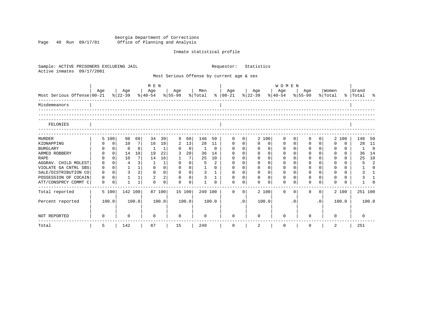Georgia Department of Corrections Page 40 Run 09/17/01 Office of Planning and Analysis

## Inmate statistical profile

| Sample: ACTIVE PRISONERS EXCLUDING JAIL<br>Active inmates<br>09/17/2001 |             |                |                |                 |                                |                |              | Requestor:<br>Statistics |                |                |                                           |                |             |                |                              |              |                |                |                  |             |                    |                |
|-------------------------------------------------------------------------|-------------|----------------|----------------|-----------------|--------------------------------|----------------|--------------|--------------------------|----------------|----------------|-------------------------------------------|----------------|-------------|----------------|------------------------------|--------------|----------------|----------------|------------------|-------------|--------------------|----------------|
|                                                                         |             |                |                |                 |                                |                |              |                          |                |                | Most Serious Offense by current age & sex |                |             |                |                              |              |                |                |                  |             |                    |                |
|                                                                         |             |                |                |                 |                                |                |              |                          | <b>WOMEN</b>   |                |                                           |                |             |                |                              |              |                |                |                  |             |                    |                |
| Most Serious Offense 00-21                                              | Aqe         |                | Age<br>% 22-39 |                 | Age<br>% 40-54 % 55-99 % Total |                | Age          |                          | Men            |                | Age<br>%   00-21 %   22-39                |                | Age         |                | Age<br>$\frac{1}{6}$   40-54 |              | Age<br>% 55-99 |                | Women<br>% Total |             | Grand<br>% Total % |                |
| Misdemeanors                                                            |             |                |                |                 |                                |                |              |                          |                |                |                                           |                |             |                |                              |              |                |                |                  |             |                    |                |
| FELONIES                                                                |             |                |                |                 |                                |                |              |                          |                |                |                                           |                |             |                |                              |              |                |                |                  |             |                    |                |
| <b>MURDER</b>                                                           |             | 5 100          | 98             | 69              | 34                             | 39             | 9            | 60                       | 146            | 59             | $\Omega$                                  | 0              |             | 2 100          | $\Omega$                     | 0            | $\Omega$       | $\Omega$       |                  | 2 100       | 148                | 59             |
| KIDNAPPING                                                              |             | 0              | 10             | 7               | 16                             | 18             | 2            | 13                       | 28             | 11             | $\mathbf 0$                               | 0 <sup>1</sup> | $\Omega$    | 0              | $\mathbf 0$                  | $\mathsf{O}$ | 0              | 0              | $\Omega$         | $\mathbf 0$ | 28                 | 11             |
| <b>BURGLARY</b>                                                         | 0           | $\mathbf{0}$   | $\Omega$       | $\Omega$        | 1                              | $\mathbf{1}$   | 0            | $\mathbf 0$              | $\mathbf{1}$   | $\mathbf 0$    | $\mathbf 0$                               | $\mathbf{0}$   | $\mathbf 0$ | $\overline{0}$ | $\mathbf 0$                  | $\mathbf 0$  | $\mathbf 0$    | 0 <sup>1</sup> | $\Omega$         | $\Omega$    | 1                  | $\mathbf 0$    |
| ARMED ROBBERY                                                           | $\Omega$    | $\mathbf 0$    | 14             | 10 <sup>1</sup> | 19                             | 22             | 3            | 20                       | 36             | 14             | $\Omega$                                  | $\Omega$       | $\Omega$    | $\Omega$       | $\Omega$                     | $\Omega$     | $\mathbf 0$    | $\Omega$       | $\Omega$         | $\Omega$    | 36                 | 14             |
| <b>RAPE</b>                                                             | $\Omega$    | $\Omega$       | 10             | 7               | 14                             | 16             | $\mathbf{1}$ | $7\overline{ }$          | 25             | 10             | $\mathbf 0$                               | $\mathbf 0$    | $\Omega$    | $\Omega$       | $\Omega$                     | $\Omega$     | $\Omega$       | $\Omega$       | $\Omega$         | 0           | 25                 | 10             |
| AGGRAV. CHILD MOLEST                                                    | 0           | $\Omega$       | $\overline{4}$ | 3               | 1                              | 1              | $\Omega$     | $\mathbf 0$              | 5              | $\overline{2}$ | $\Omega$                                  | $\Omega$       | $\Omega$    | $\Omega$       | $\Omega$                     | $\Omega$     | $\Omega$       |                | $\Omega$         | 0           | 5                  | $\overline{2}$ |
| VIOLATE GA CNTRL SBS                                                    | 0           | 0 <sup>1</sup> | $\mathbf{1}$   | 1               | $\mathbf 0$                    | $\mathbf 0$    | $\mathbf 0$  | 0 <sup>1</sup>           | $\mathbf{1}$   | $\Omega$       | $\mathbf 0$                               | $\overline{0}$ | $\mathbf 0$ | 0 <sup>1</sup> | $\mathbf 0$                  | $\mathbf 0$  | $\mathbf 0$    | $\Omega$       | $\Omega$         | 0           |                    | $\Omega$       |
| SALE/DISTRIBUTION CO                                                    | 0           | $\Omega$       | 3              | 2               | $\mathbf 0$                    | 0 <sup>1</sup> | $\mathbf{0}$ | 0 <sup>1</sup>           | $\mathbf{3}$   | $\mathbf{1}$   | $\mathbf 0$                               | 0 <sup>1</sup> | $\mathbf 0$ | 0 <sup>1</sup> | $\mathbf{0}$                 | $\Omega$     | $\mathbf 0$    | $\Omega$       | $\Omega$         | $\Omega$    | 3                  | $\mathbf{1}$   |
| POSSESSION OF COCAIN                                                    | $\Omega$    | $\Omega$       | $\mathbf{1}$   | 1               | $\overline{2}$                 | 2              | $\Omega$     | $\Omega$                 | $\overline{3}$ | $\mathbf{1}$   | $\Omega$                                  | $\Omega$       | $\Omega$    | $\Omega$       | $\Omega$                     | $\Omega$     | $\Omega$       | $\Omega$       | $\Omega$         | $\Omega$    | 3                  |                |
| ATT/CONSPRCY COMMT C                                                    | $\mathbf 0$ | $\mathbf 0$    | $\mathbf{1}$   | $\mathbf{1}$    | $\cap$                         | $\mathbf 0$    | $\Omega$     | $\mathbf 0$              | $\mathbf{1}$   | $\Omega$       | $\cap$                                    | 0              | $\cap$      | $\Omega$       | $\Omega$                     | $\Omega$     | $\Omega$       | $\Omega$       | $\cap$           | $\Omega$    |                    | $\Omega$       |
| Total reported                                                          |             | 5 100          | 142 100        |                 |                                | 87 100         | 15 100       |                          | 249 100        |                | $\Omega$                                  | $\overline{0}$ |             | 2 100          | $\Omega$                     | $\Omega$     | $\Omega$       | $\Omega$       |                  | 2 100       | 251 100            |                |
| Percent reported                                                        |             | 100.0          |                | 100.0           |                                | 100.0          |              | 100.0                    |                | 100.0          |                                           | .0             |             | 100.0          |                              | $\cdot$ 0    |                | $\cdot$ 0      |                  | 100.0       |                    | 100.0          |
| NOT REPORTED                                                            | 0           |                | 0              |                 | $\Omega$                       |                | $\Omega$     |                          | $\Omega$       |                | $\Omega$                                  |                | $\Omega$    |                | $\Omega$                     |              | <sup>n</sup>   |                | <sup>n</sup>     |             | $\Omega$           |                |
| Total                                                                   | 5           |                | 142            |                 | 87                             |                | 15           |                          | 249            |                | 0                                         |                | 2           |                | $\mathbf 0$                  |              | 0              |                | 2                |             | 251                |                |